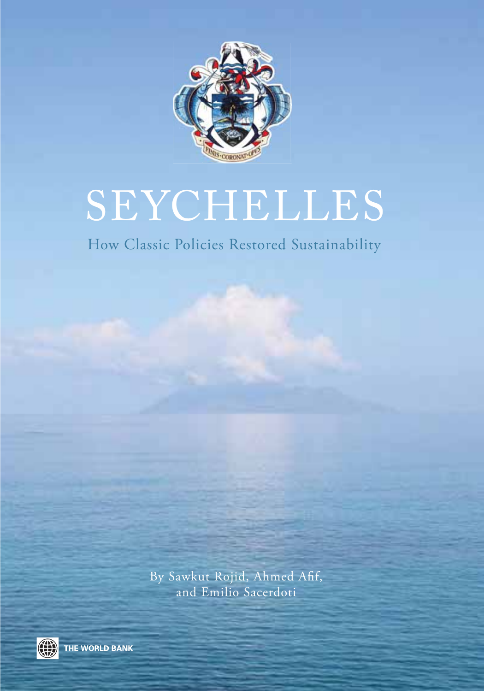

# SEYCHELLES

### How Classic Policies Restored Sustainability

By Sawkut Rojid, Ahmed Afif, and Emilio Sacerdoti



THE WORLD BANK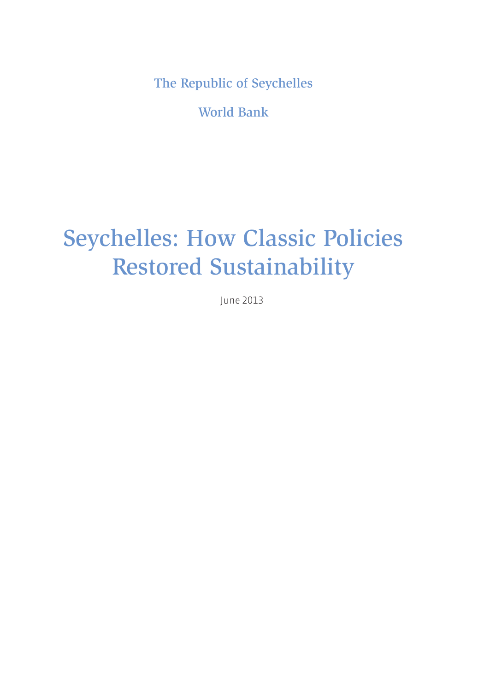The Republic of Seychelles

World Bank

### Seychelles: How Classic Policies Restored Sustainability

June 2013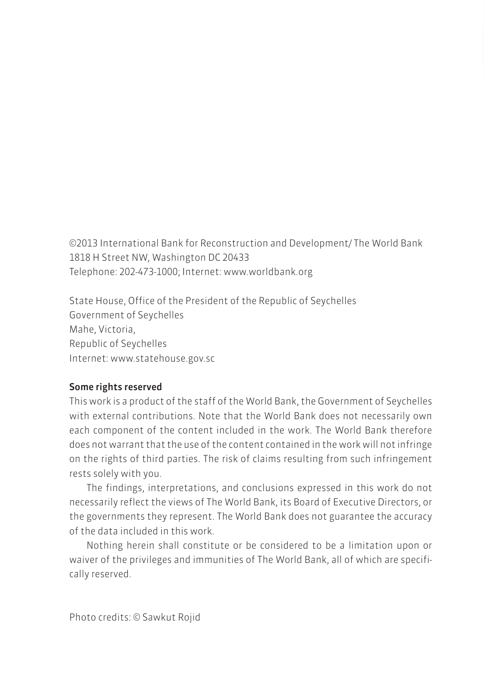©2013 International Bank for Reconstruction and Development/ The World Bank 1818 H Street NW, Washington DC 20433 Telephone: 202-473-1000; Internet: www.worldbank.org

State House, Office of the President of the Republic of Seychelles Government of Seychelles Mahe, Victoria, Republic of Seychelles Internet: www.statehouse.gov.sc

#### Some rights reserved

This work is a product of the staff of the World Bank, the Government of Seychelles with external contributions. Note that the World Bank does not necessarily own each component of the content included in the work. The World Bank therefore does not warrant that the use of the content contained in the work will not infringe on the rights of third parties. The risk of claims resulting from such infringement rests solely with you.

The findings, interpretations, and conclusions expressed in this work do not necessarily reflect the views of The World Bank, its Board of Executive Directors, or the governments they represent. The World Bank does not guarantee the accuracy of the data included in this work.

Nothing herein shall constitute or be considered to be a limitation upon or waiver of the privileges and immunities of The World Bank, all of which are specifically reserved.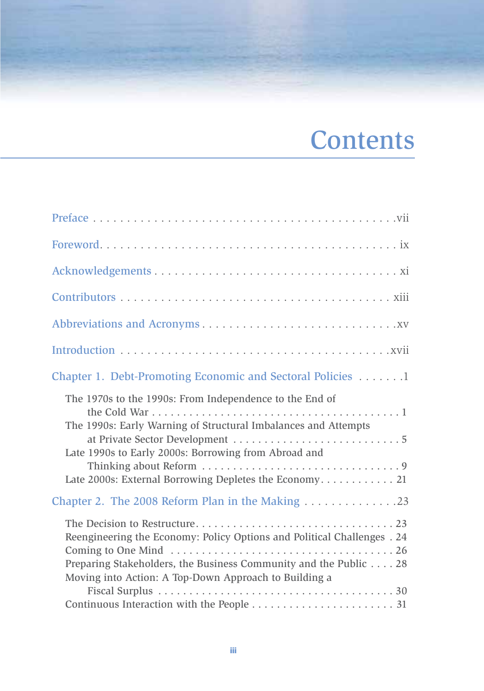# **Contents**

| Chapter 1. Debt-Promoting Economic and Sectoral Policies 1                                                                                                                                                                                  |
|---------------------------------------------------------------------------------------------------------------------------------------------------------------------------------------------------------------------------------------------|
| The 1970s to the 1990s: From Independence to the End of<br>The 1990s: Early Warning of Structural Imbalances and Attempts<br>Late 1990s to Early 2000s: Borrowing from Abroad and<br>Late 2000s: External Borrowing Depletes the Economy 21 |
| Chapter 2. The 2008 Reform Plan in the Making 23                                                                                                                                                                                            |
| Reengineering the Economy: Policy Options and Political Challenges . 24<br>Preparing Stakeholders, the Business Community and the Public 28<br>Moving into Action: A Top-Down Approach to Building a                                        |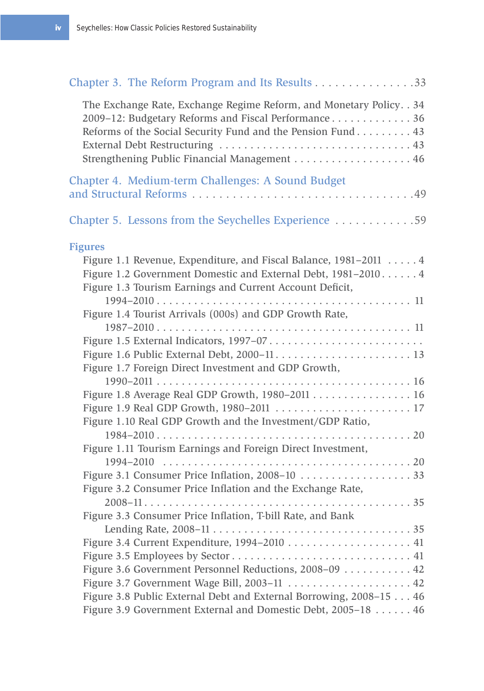| Chapter 3. The Reform Program and Its Results 33                                                                                                                                                                                             |  |
|----------------------------------------------------------------------------------------------------------------------------------------------------------------------------------------------------------------------------------------------|--|
| The Exchange Rate, Exchange Regime Reform, and Monetary Policy. . 34<br>2009-12: Budgetary Reforms and Fiscal Performance 36<br>Reforms of the Social Security Fund and the Pension Fund 43<br>Strengthening Public Financial Management  46 |  |
| Chapter 4. Medium-term Challenges: A Sound Budget                                                                                                                                                                                            |  |
| Chapter 5. Lessons from the Seychelles Experience 59                                                                                                                                                                                         |  |
| <b>Figures</b>                                                                                                                                                                                                                               |  |
| Figure 1.1 Revenue, Expenditure, and Fiscal Balance, 1981–2011 4<br>Figure 1.2 Government Domestic and External Debt, 1981-2010 4<br>Figure 1.3 Tourism Earnings and Current Account Deficit,                                                |  |
| Figure 1.4 Tourist Arrivals (000s) and GDP Growth Rate,                                                                                                                                                                                      |  |
|                                                                                                                                                                                                                                              |  |
|                                                                                                                                                                                                                                              |  |
|                                                                                                                                                                                                                                              |  |
| Figure 1.7 Foreign Direct Investment and GDP Growth,                                                                                                                                                                                         |  |
| Figure 1.8 Average Real GDP Growth, 1980-2011 16                                                                                                                                                                                             |  |
|                                                                                                                                                                                                                                              |  |
| Figure 1.10 Real GDP Growth and the Investment/GDP Ratio,                                                                                                                                                                                    |  |
|                                                                                                                                                                                                                                              |  |
| Figure 1.11 Tourism Earnings and Foreign Direct Investment,                                                                                                                                                                                  |  |
|                                                                                                                                                                                                                                              |  |
| Figure 3.1 Consumer Price Inflation, 2008-10  33                                                                                                                                                                                             |  |
| Figure 3.2 Consumer Price Inflation and the Exchange Rate,                                                                                                                                                                                   |  |
| Figure 3.3 Consumer Price Inflation, T-bill Rate, and Bank                                                                                                                                                                                   |  |
|                                                                                                                                                                                                                                              |  |
|                                                                                                                                                                                                                                              |  |
|                                                                                                                                                                                                                                              |  |
| Figure 3.6 Government Personnel Reductions, 2008-09 42                                                                                                                                                                                       |  |
| Figure 3.7 Government Wage Bill, 2003-11  42                                                                                                                                                                                                 |  |
| Figure 3.8 Public External Debt and External Borrowing, 2008-15 46                                                                                                                                                                           |  |
| Figure 3.9 Government External and Domestic Debt, 2005-18 46                                                                                                                                                                                 |  |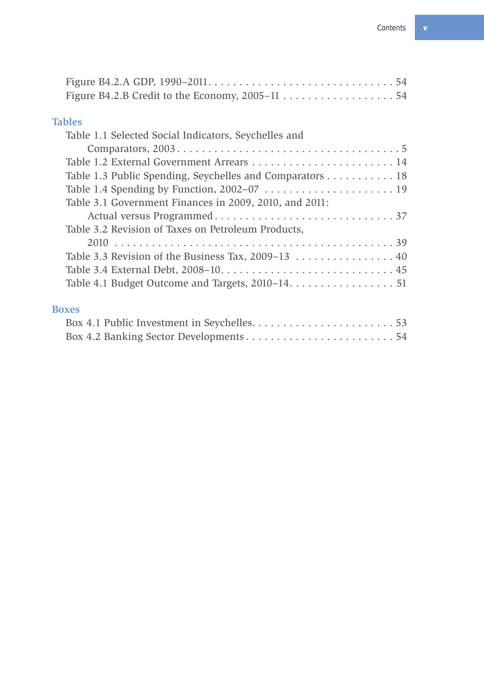| <b>Tables</b>                                            |  |
|----------------------------------------------------------|--|
|                                                          |  |
| Table 1.1 Selected Social Indicators, Seychelles and     |  |
|                                                          |  |
|                                                          |  |
| Table 1.3 Public Spending, Seychelles and Comparators 18 |  |
|                                                          |  |
| Table 3.1 Government Finances in 2009, 2010, and 2011:   |  |
|                                                          |  |
| Table 3.2 Revision of Taxes on Petroleum Products,       |  |
|                                                          |  |
|                                                          |  |
|                                                          |  |
| Table 4.1 Budget Outcome and Targets, 2010–14. 51        |  |
| <b>Boxes</b>                                             |  |
| Doy 4.1 Dublic Invoctment in Cavabelles<br>ビコ            |  |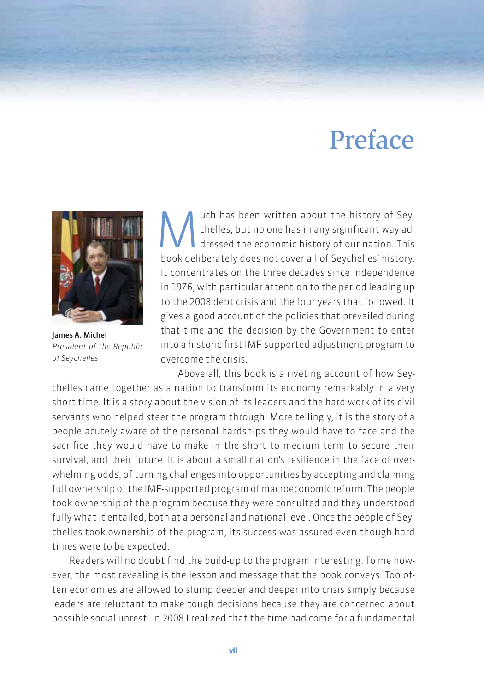### Preface



James A. Michel President of the Republic of Seychelles

We uch has been written about the history of Sey-<br>chelles, but no one has in any significant way ad-<br>dressed the economic history of our nation. This<br>hook deliberately does not sover all of Sovebolles' bistory chelles, but no one has in any significant way addressed the economic history of our nation. This book deliberately does not cover all of Seychelles' history. It concentrates on the three decades since independence in 1976, with particular attention to the period leading up to the 2008 debt crisis and the four years that followed. It gives a good account of the policies that prevailed during that time and the decision by the Government to enter into a historic first IMF-supported adjustment program to overcome the crisis.

Above all, this book is a riveting account of how Seychelles came together as a nation to transform its economy remarkably in a very short time. It is a story about the vision of its leaders and the hard work of its civil servants who helped steer the program through. More tellingly, it is the story of a people acutely aware of the personal hardships they would have to face and the sacrifice they would have to make in the short to medium term to secure their survival, and their future. It is about a small nation's resilience in the face of overwhelming odds, of turning challenges into opportunities by accepting and claiming full ownership of the IMF-supported program of macroeconomic reform. The people took ownership of the program because they were consulted and they understood fully what it entailed, both at a personal and national level. Once the people of Seychelles took ownership of the program, its success was assured even though hard times were to be expected.

Readers will no doubt find the build-up to the program interesting. To me however, the most revealing is the lesson and message that the book conveys. Too often economies are allowed to slump deeper and deeper into crisis simply because leaders are reluctant to make tough decisions because they are concerned about possible social unrest. In 2008 I realized that the time had come for a fundamental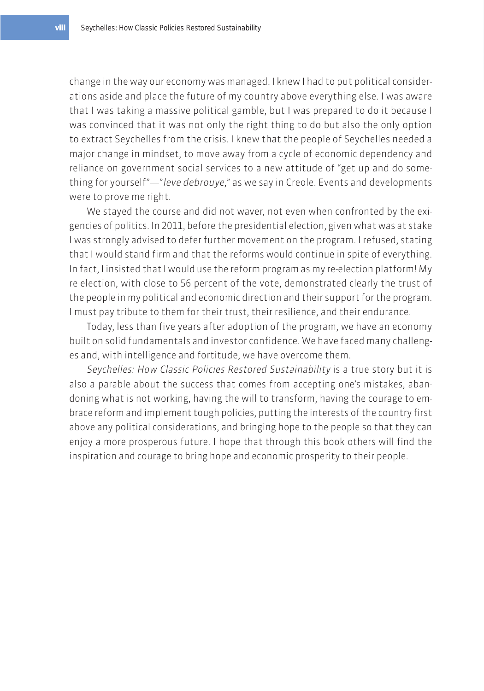change in the way our economy was managed. I knew I had to put political considerations aside and place the future of my country above everything else. I was aware that I was taking a massive political gamble, but I was prepared to do it because I was convinced that it was not only the right thing to do but also the only option to extract Seychelles from the crisis. I knew that the people of Seychelles needed a major change in mindset, to move away from a cycle of economic dependency and reliance on government social services to a new attitude of "get up and do something for yourself"—"leve debrouye," as we say in Creole. Events and developments were to prove me right.

We stayed the course and did not waver, not even when confronted by the exigencies of politics. In 2011, before the presidential election, given what was at stake I was strongly advised to defer further movement on the program. I refused, stating that I would stand firm and that the reforms would continue in spite of everything. In fact, I insisted that I would use the reform program as my re-election platform! My re-election, with close to 56 percent of the vote, demonstrated clearly the trust of the people in my political and economic direction and their support for the program. I must pay tribute to them for their trust, their resilience, and their endurance.

Today, less than five years after adoption of the program, we have an economy built on solid fundamentals and investor confidence. We have faced many challenges and, with intelligence and fortitude, we have overcome them.

Seychelles: How Classic Policies Restored Sustainability is a true story but it is also a parable about the success that comes from accepting one's mistakes, abandoning what is not working, having the will to transform, having the courage to embrace reform and implement tough policies, putting the interests of the country first above any political considerations, and bringing hope to the people so that they can enjoy a more prosperous future. I hope that through this book others will find the inspiration and courage to bring hope and economic prosperity to their people.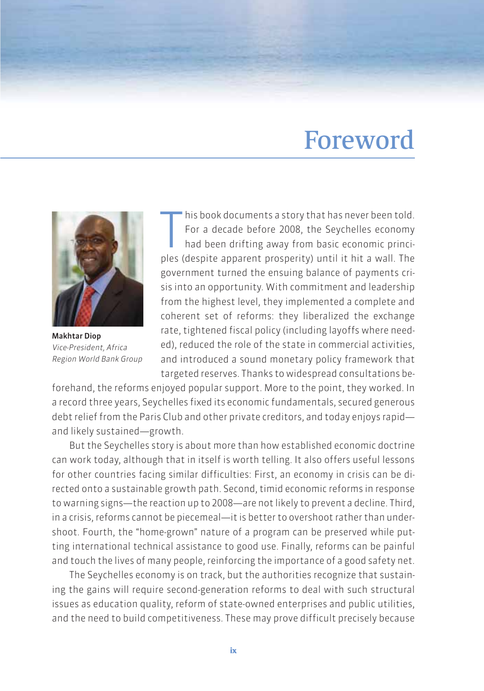### Foreword



Makhtar Diop Vice-President, Africa Region World Bank Group

his book documents a story that has never been told.<br>For a decade before 2008, the Seychelles economy<br>had been drifting away from basic economic princi-<br>ples (despite apparent prosperity) until it hit a wall. The his book documents a story that has never been told. For a decade before 2008, the Seychelles economy had been drifting away from basic economic princigovernment turned the ensuing balance of payments crisis into an opportunity. With commitment and leadership from the highest level, they implemented a complete and coherent set of reforms: they liberalized the exchange rate, tightened fiscal policy (including layoffs where needed), reduced the role of the state in commercial activities, and introduced a sound monetary policy framework that targeted reserves. Thanks to widespread consultations be-

forehand, the reforms enjoyed popular support. More to the point, they worked. In a record three years, Seychelles fixed its economic fundamentals, secured generous debt relief from the Paris Club and other private creditors, and today enjoys rapid and likely sustained—growth.

But the Seychelles story is about more than how established economic doctrine can work today, although that in itself is worth telling. It also offers useful lessons for other countries facing similar difficulties: First, an economy in crisis can be directed onto a sustainable growth path. Second, timid economic reforms in response to warning signs—the reaction up to 2008—are not likely to prevent a decline. Third, in a crisis, reforms cannot be piecemeal—it is better to overshoot rather than undershoot. Fourth, the "home-grown" nature of a program can be preserved while putting international technical assistance to good use. Finally, reforms can be painful and touch the lives of many people, reinforcing the importance of a good safety net.

The Seychelles economy is on track, but the authorities recognize that sustaining the gains will require second-generation reforms to deal with such structural issues as education quality, reform of state-owned enterprises and public utilities, and the need to build competitiveness. These may prove difficult precisely because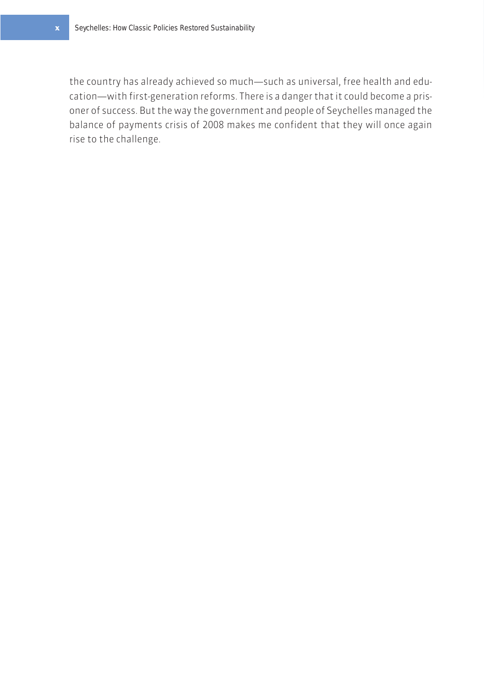the country has already achieved so much—such as universal, free health and education—with first-generation reforms. There is a danger that it could become a prisoner of success. But the way the government and people of Seychelles managed the balance of payments crisis of 2008 makes me confident that they will once again rise to the challenge.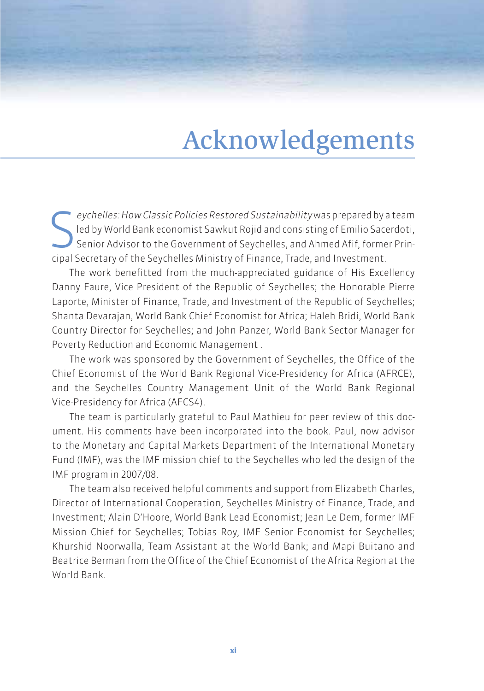# Acknowledgements

Entertain Seychelles: How Classic Policies Restored Sustainability was prepared by a led by World Bank economist Sawkut Rojid and consisting of Emilio Sacception Advisor to the Government of Seychelles, and Ahmed Afif, for eychelles: How Classic Policies Restored Sustainability was prepared by a team led by World Bank economist Sawkut Rojid and consisting of Emilio Sacerdoti, Senior Advisor to the Government of Seychelles, and Ahmed Afif, former Prin-

The work benefitted from the much-appreciated guidance of His Excellency Danny Faure, Vice President of the Republic of Seychelles; the Honorable Pierre Laporte, Minister of Finance, Trade, and Investment of the Republic of Seychelles; Shanta Devarajan, World Bank Chief Economist for Africa; Haleh Bridi, World Bank Country Director for Seychelles; and John Panzer, World Bank Sector Manager for Poverty Reduction and Economic Management .

The work was sponsored by the Government of Seychelles, the Office of the Chief Economist of the World Bank Regional Vice-Presidency for Africa (AFRCE), and the Seychelles Country Management Unit of the World Bank Regional Vice-Presidency for Africa (AFCS4).

The team is particularly grateful to Paul Mathieu for peer review of this document. His comments have been incorporated into the book. Paul, now advisor to the Monetary and Capital Markets Department of the International Monetary Fund (IMF), was the IMF mission chief to the Seychelles who led the design of the IMF program in 2007/08.

The team also received helpful comments and support from Elizabeth Charles, Director of International Cooperation, Seychelles Ministry of Finance, Trade, and Investment; Alain D'Hoore, World Bank Lead Economist; Jean Le Dem, former IMF Mission Chief for Seychelles; Tobias Roy, IMF Senior Economist for Seychelles; Khurshid Noorwalla, Team Assistant at the World Bank; and Mapi Buitano and Beatrice Berman from the Office of the Chief Economist of the Africa Region at the World Bank.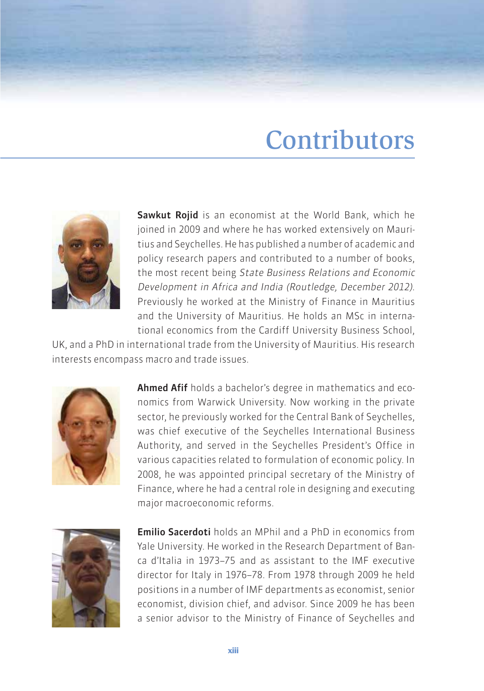### **Contributors**



Sawkut Rojid is an economist at the World Bank, which he joined in 2009 and where he has worked extensively on Mauritius and Seychelles. He has published a number of academic and policy research papers and contributed to a number of books, the most recent being State Business Relations and Economic Development in Africa and India (Routledge, December 2012). Previously he worked at the Ministry of Finance in Mauritius and the University of Mauritius. He holds an MSc in international economics from the Cardiff University Business School,

UK, and a PhD in international trade from the University of Mauritius. His research interests encompass macro and trade issues.



Ahmed Afif holds a bachelor's degree in mathematics and economics from Warwick University. Now working in the private sector, he previously worked for the Central Bank of Seychelles, was chief executive of the Seychelles International Business Authority, and served in the Seychelles President's Office in various capacities related to formulation of economic policy. In 2008, he was appointed principal secretary of the Ministry of Finance, where he had a central role in designing and executing major macroeconomic reforms.



Emilio Sacerdoti holds an MPhil and a PhD in economics from Yale University. He worked in the Research Department of Banca d'Italia in 1973–75 and as assistant to the IMF executive director for Italy in 1976–78. From 1978 through 2009 he held positions in a number of IMF departments as economist, senior economist, division chief, and advisor. Since 2009 he has been a senior advisor to the Ministry of Finance of Seychelles and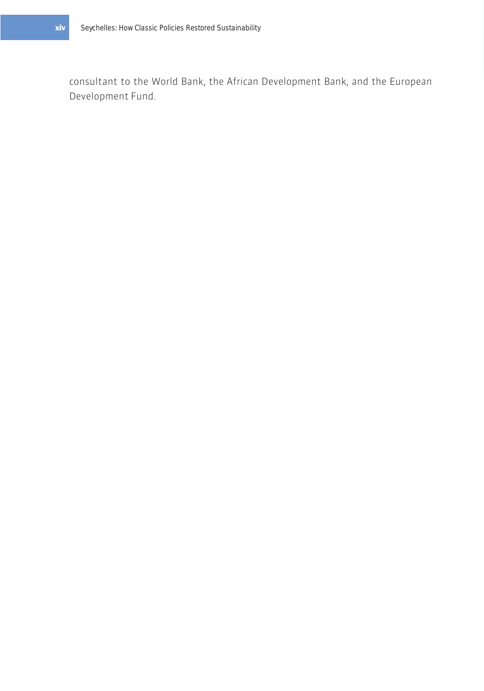consultant to the World Bank, the African Development Bank, and the European Development Fund.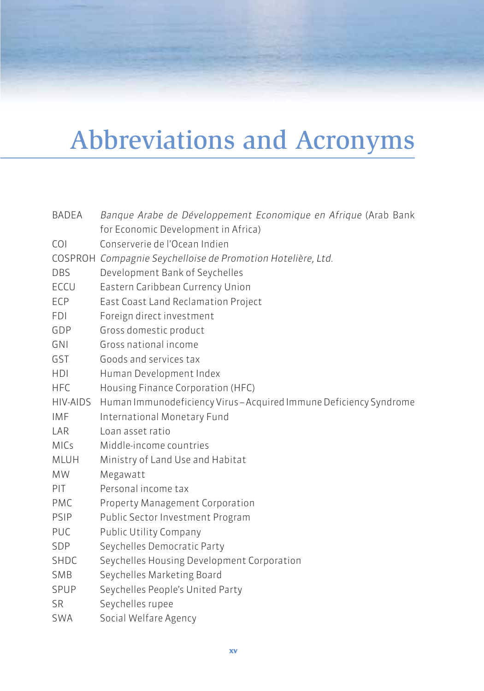# Abbreviations and Acronyms

| <b>BADEA</b> | Banque Arabe de Développement Economique en Afrique (Arab Bank     |
|--------------|--------------------------------------------------------------------|
|              | for Economic Development in Africa)                                |
| <b>COI</b>   | Conserverie de l'Ocean Indien                                      |
|              | COSPROH Compagnie Seychelloise de Promotion Hotelière, Ltd.        |
| <b>DBS</b>   | Development Bank of Seychelles                                     |
| <b>ECCU</b>  | Eastern Caribbean Currency Union                                   |
| ECP          | East Coast Land Reclamation Project                                |
| <b>FDI</b>   | Foreign direct investment                                          |
| GDP          | Gross domestic product                                             |
| GNI          | Gross national income                                              |
| GST          | Goods and services tax                                             |
| <b>HDI</b>   | Human Development Index                                            |
| <b>HFC</b>   | Housing Finance Corporation (HFC)                                  |
| HIV-AIDS     | Human Immunodeficiency Virus - Acquired Immune Deficiency Syndrome |
| <b>IMF</b>   | International Monetary Fund                                        |
| LAR          | Loan asset ratio                                                   |
| <b>MICs</b>  | Middle-income countries                                            |
| <b>MLUH</b>  | Ministry of Land Use and Habitat                                   |
| <b>MW</b>    | Megawatt                                                           |
| PIT          | Personal income tax                                                |
| PMC          | Property Management Corporation                                    |
| PSIP         | Public Sector Investment Program                                   |
| PUC          | Public Utility Company                                             |
| SDP          | Seychelles Democratic Party                                        |
| <b>SHDC</b>  | Seychelles Housing Development Corporation                         |
| SMB          | Seychelles Marketing Board                                         |
| SPUP         | Seychelles People's United Party                                   |
| <b>SR</b>    | Seychelles rupee                                                   |
| <b>SWA</b>   | Social Welfare Agency                                              |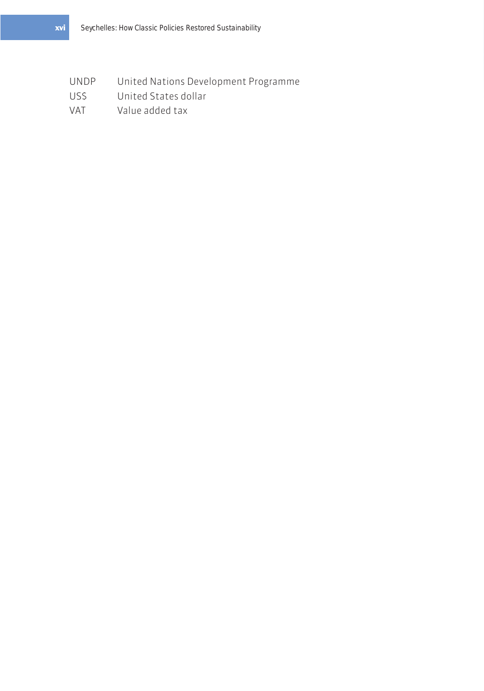- UNDP United Nations Development Programme
- US\$ United States dollar
- VAT Value added tax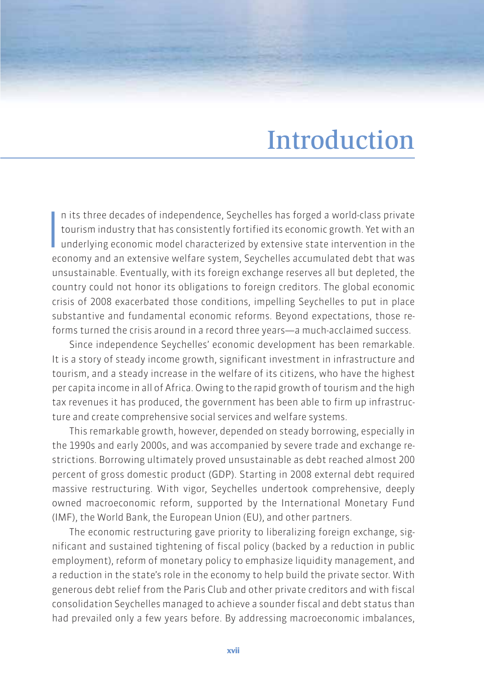### Introduction

 $\frac{1}{2}$ n its three decades of independence, Seychelles has forged a world-class private tourism industry that has consistently fortified its economic growth. Yet with an underlying economic model characterized by extensive state intervention in the economy and an extensive welfare system, Seychelles accumulated debt that was unsustainable. Eventually, with its foreign exchange reserves all but depleted, the country could not honor its obligations to foreign creditors. The global economic crisis of 2008 exacerbated those conditions, impelling Seychelles to put in place substantive and fundamental economic reforms. Beyond expectations, those reforms turned the crisis around in a record three years—a much-acclaimed success.

Since independence Seychelles' economic development has been remarkable. It is a story of steady income growth, significant investment in infrastructure and tourism, and a steady increase in the welfare of its citizens, who have the highest per capita income in all of Africa. Owing to the rapid growth of tourism and the high tax revenues it has produced, the government has been able to firm up infrastructure and create comprehensive social services and welfare systems.

This remarkable growth, however, depended on steady borrowing, especially in the 1990s and early 2000s, and was accompanied by severe trade and exchange restrictions. Borrowing ultimately proved unsustainable as debt reached almost 200 percent of gross domestic product (GDP). Starting in 2008 external debt required massive restructuring. With vigor, Seychelles undertook comprehensive, deeply owned macroeconomic reform, supported by the International Monetary Fund (IMF), the World Bank, the European Union (EU), and other partners.

The economic restructuring gave priority to liberalizing foreign exchange, significant and sustained tightening of fiscal policy (backed by a reduction in public employment), reform of monetary policy to emphasize liquidity management, and a reduction in the state's role in the economy to help build the private sector. With generous debt relief from the Paris Club and other private creditors and with fiscal consolidation Seychelles managed to achieve a sounder fiscal and debt status than had prevailed only a few years before. By addressing macroeconomic imbalances,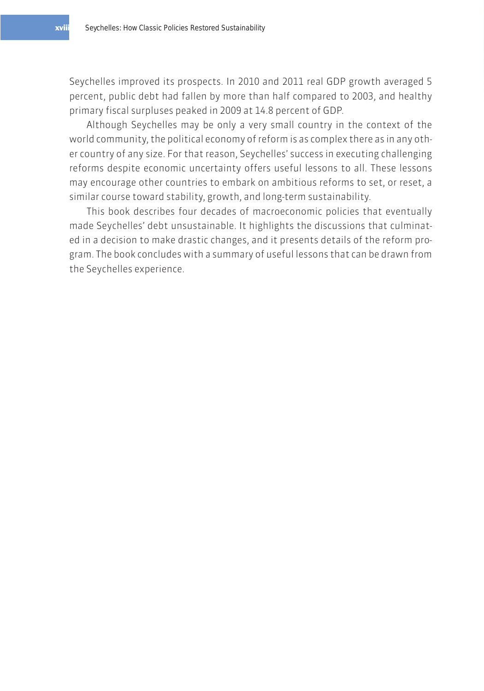Seychelles improved its prospects. In 2010 and 2011 real GDP growth averaged 5 percent, public debt had fallen by more than half compared to 2003, and healthy primary fiscal surpluses peaked in 2009 at 14.8 percent of GDP.

Although Seychelles may be only a very small country in the context of the world community, the political economy of reform is as complex there as in any other country of any size. For that reason, Seychelles' success in executing challenging reforms despite economic uncertainty offers useful lessons to all. These lessons may encourage other countries to embark on ambitious reforms to set, or reset, a similar course toward stability, growth, and long-term sustainability.

This book describes four decades of macroeconomic policies that eventually made Seychelles' debt unsustainable. It highlights the discussions that culminated in a decision to make drastic changes, and it presents details of the reform program. The book concludes with a summary of useful lessons that can be drawn from the Seychelles experience.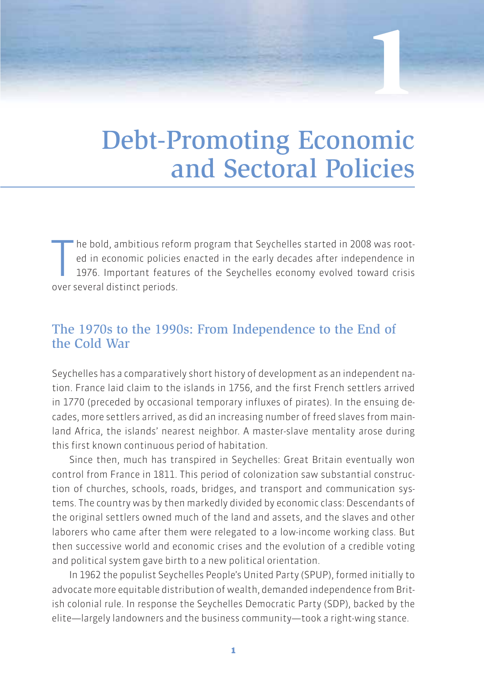# Debt-Promoting Economic and Sectoral Policies

**1**

The bold, ambitious reformed in economic policies<br>1976. Important featured over several distinct periods. he bold, ambitious reform program that Seychelles started in 2008 was rooted in economic policies enacted in the early decades after independence in 1976. Important features of the Seychelles economy evolved toward crisis

### The 1970s to the 1990s: From Independence to the End of the Cold War

Seychelles has a comparatively short history of development as an independent nation. France laid claim to the islands in 1756, and the first French settlers arrived in 1770 (preceded by occasional temporary influxes of pirates). In the ensuing decades, more settlers arrived, as did an increasing number of freed slaves from mainland Africa, the islands' nearest neighbor. A master-slave mentality arose during this first known continuous period of habitation.

Since then, much has transpired in Seychelles: Great Britain eventually won control from France in 1811. This period of colonization saw substantial construction of churches, schools, roads, bridges, and transport and communication systems. The country was by then markedly divided by economic class: Descendants of the original settlers owned much of the land and assets, and the slaves and other laborers who came after them were relegated to a low-income working class. But then successive world and economic crises and the evolution of a credible voting and political system gave birth to a new political orientation.

In 1962 the populist Seychelles People's United Party (SPUP), formed initially to advocate more equitable distribution of wealth, demanded independence from British colonial rule. In response the Seychelles Democratic Party (SDP), backed by the elite—largely landowners and the business community—took a right-wing stance.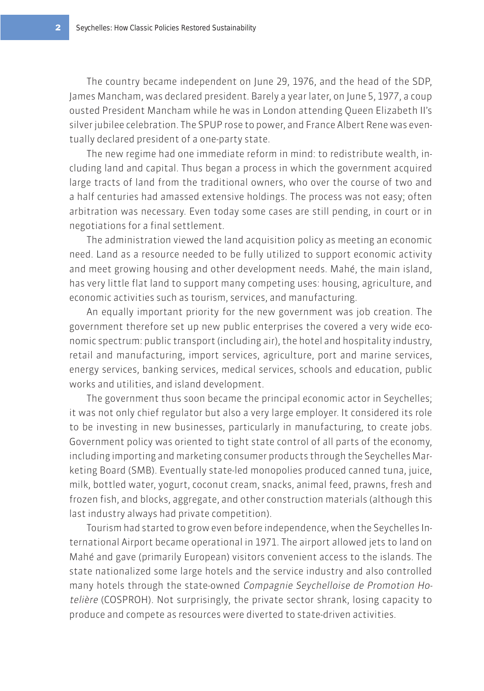The country became independent on June 29, 1976, and the head of the SDP, James Mancham, was declared president. Barely a year later, on June 5, 1977, a coup ousted President Mancham while he was in London attending Queen Elizabeth II's silver jubilee celebration. The SPUP rose to power, and France Albert Rene was eventually declared president of a one-party state.

The new regime had one immediate reform in mind: to redistribute wealth, including land and capital. Thus began a process in which the government acquired large tracts of land from the traditional owners, who over the course of two and a half centuries had amassed extensive holdings. The process was not easy; often arbitration was necessary. Even today some cases are still pending, in court or in negotiations for a final settlement.

The administration viewed the land acquisition policy as meeting an economic need. Land as a resource needed to be fully utilized to support economic activity and meet growing housing and other development needs. Mahé, the main island, has very little flat land to support many competing uses: housing, agriculture, and economic activities such as tourism, services, and manufacturing.

An equally important priority for the new government was job creation. The government therefore set up new public enterprises the covered a very wide economic spectrum: public transport (including air), the hotel and hospitality industry, retail and manufacturing, import services, agriculture, port and marine services, energy services, banking services, medical services, schools and education, public works and utilities, and island development.

The government thus soon became the principal economic actor in Seychelles; it was not only chief regulator but also a very large employer. It considered its role to be investing in new businesses, particularly in manufacturing, to create jobs. Government policy was oriented to tight state control of all parts of the economy, including importing and marketing consumer products through the Seychelles Marketing Board (SMB). Eventually state-led monopolies produced canned tuna, juice, milk, bottled water, yogurt, coconut cream, snacks, animal feed, prawns, fresh and frozen fish, and blocks, aggregate, and other construction materials (although this last industry always had private competition).

Tourism had started to grow even before independence, when the Seychelles International Airport became operational in 1971. The airport allowed jets to land on Mahé and gave (primarily European) visitors convenient access to the islands. The state nationalized some large hotels and the service industry and also controlled many hotels through the state-owned Compagnie Seychelloise de Promotion Hotelière (COSPROH). Not surprisingly, the private sector shrank, losing capacity to produce and compete as resources were diverted to state-driven activities.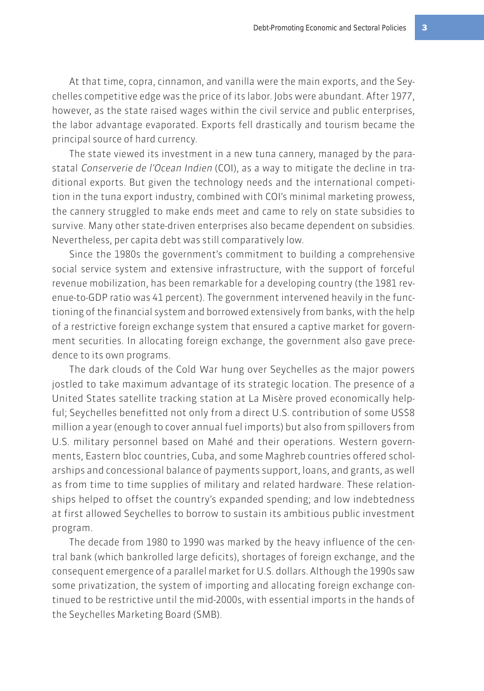At that time, copra, cinnamon, and vanilla were the main exports, and the Seychelles competitive edge was the price of its labor. Jobs were abundant. After 1977, however, as the state raised wages within the civil service and public enterprises, the labor advantage evaporated. Exports fell drastically and tourism became the principal source of hard currency.

The state viewed its investment in a new tuna cannery, managed by the parastatal Conserverie de l'Ocean Indien (COI), as a way to mitigate the decline in traditional exports. But given the technology needs and the international competition in the tuna export industry, combined with COI's minimal marketing prowess, the cannery struggled to make ends meet and came to rely on state subsidies to survive. Many other state-driven enterprises also became dependent on subsidies. Nevertheless, per capita debt was still comparatively low.

Since the 1980s the government's commitment to building a comprehensive social service system and extensive infrastructure, with the support of forceful revenue mobilization, has been remarkable for a developing country (the 1981 revenue-to-GDP ratio was 41 percent). The government intervened heavily in the functioning of the financial system and borrowed extensively from banks, with the help of a restrictive foreign exchange system that ensured a captive market for government securities. In allocating foreign exchange, the government also gave precedence to its own programs.

The dark clouds of the Cold War hung over Seychelles as the major powers jostled to take maximum advantage of its strategic location. The presence of a United States satellite tracking station at La Misère proved economically helpful; Seychelles benefitted not only from a direct U.S. contribution of some US\$8 million a year (enough to cover annual fuel imports) but also from spillovers from U.S. military personnel based on Mahé and their operations. Western governments, Eastern bloc countries, Cuba, and some Maghreb countries offered scholarships and concessional balance of payments support, loans, and grants, as well as from time to time supplies of military and related hardware. These relationships helped to offset the country's expanded spending; and low indebtedness at first allowed Seychelles to borrow to sustain its ambitious public investment program.

The decade from 1980 to 1990 was marked by the heavy influence of the central bank (which bankrolled large deficits), shortages of foreign exchange, and the consequent emergence of a parallel market for U.S. dollars. Although the 1990s saw some privatization, the system of importing and allocating foreign exchange continued to be restrictive until the mid-2000s, with essential imports in the hands of the Seychelles Marketing Board (SMB).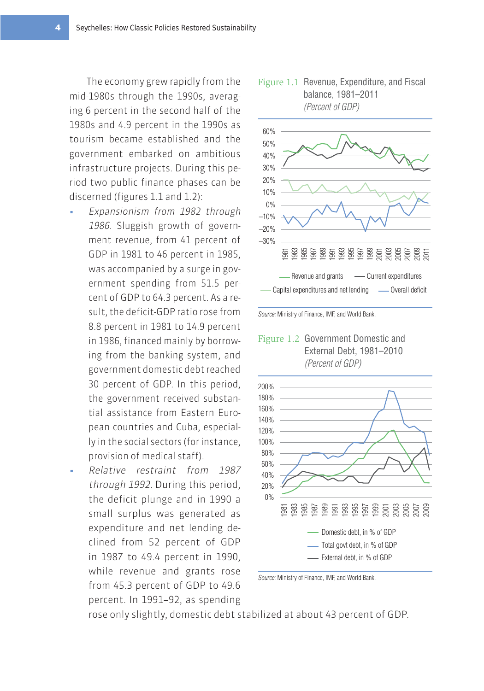The economy grew rapidly from the mid-1980s through the 1990s, averaging 6 percent in the second half of the 1980s and 4.9 percent in the 1990s as tourism became established and the government embarked on ambitious infrastructure projects. During this period two public finance phases can be discerned (figures 1.1 and 1.2):

- Expansionism from 1982 through 1986. Sluggish growth of government revenue, from 41 percent of GDP in 1981 to 46 percent in 1985, was accompanied by a surge in government spending from 51.5 percent of GDP to 64.3 percent. As a result, the deficit-GDP ratio rose from 8.8 percent in 1981 to 14.9 percent in 1986, financed mainly by borrowing from the banking system, and government domestic debt reached 30 percent of GDP. In this period, the government received substantial assistance from Eastern European countries and Cuba, especially in the social sectors (for instance, provision of medical staff).
- Relative restraint from 1987 through 1992. During this period, the deficit plunge and in 1990 a small surplus was generated as expenditure and net lending declined from 52 percent of GDP in 1987 to 49.4 percent in 1990, while revenue and grants rose from 45.3 percent of GDP to 49.6 percent. In 1991–92, as spending











Source: Ministry of Finance, IMF, and World Bank.

rose only slightly, domestic debt stabilized at about 43 percent of GDP.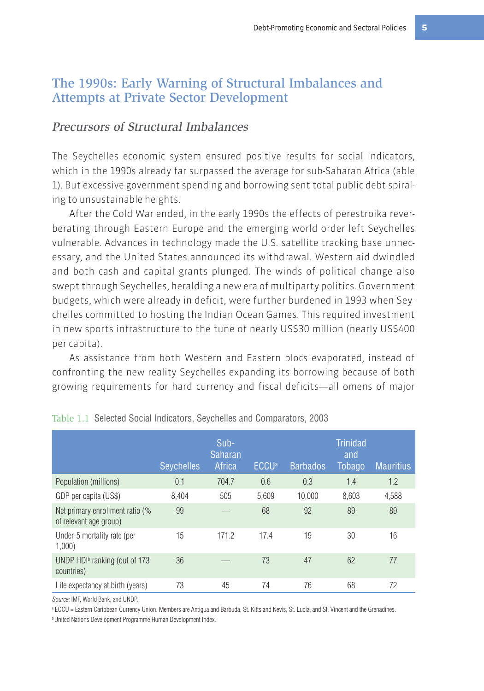#### The 1990s: Early Warning of Structural Imbalances and Attempts at Private Sector Development

#### Precursors of Structural Imbalances

The Seychelles economic system ensured positive results for social indicators, which in the 1990s already far surpassed the average for sub-Saharan Africa (able 1). But excessive government spending and borrowing sent total public debt spiraling to unsustainable heights.

After the Cold War ended, in the early 1990s the effects of perestroika reverberating through Eastern Europe and the emerging world order left Seychelles vulnerable. Advances in technology made the U.S. satellite tracking base unnecessary, and the United States announced its withdrawal. Western aid dwindled and both cash and capital grants plunged. The winds of political change also swept through Seychelles, heralding a new era of multiparty politics. Government budgets, which were already in deficit, were further burdened in 1993 when Seychelles committed to hosting the Indian Ocean Games. This required investment in new sports infrastructure to the tune of nearly US\$30 million (nearly US\$400 per capita).

As assistance from both Western and Eastern blocs evaporated, instead of confronting the new reality Seychelles expanding its borrowing because of both growing requirements for hard currency and fiscal deficits—all omens of major

|                                                           | <b>Seychelles</b> | $Sub-$<br><b>Saharan</b><br>Africa | <b>ECCU</b> <sup>a</sup> | <b>Barbados</b> | Trinidad<br>and<br>Tobago | <b>Mauritius</b> |
|-----------------------------------------------------------|-------------------|------------------------------------|--------------------------|-----------------|---------------------------|------------------|
| Population (millions)                                     | 0.1               | 704.7                              | 0.6                      | 0.3             | 1.4                       | 1.2              |
| GDP per capita (US\$)                                     | 8.404             | 505                                | 5,609                    | 10.000          | 8.603                     | 4,588            |
| Net primary enrollment ratio (%<br>of relevant age group) | 99                |                                    | 68                       | 92              | 89                        | 89               |
| Under-5 mortality rate (per<br>1,000                      | 15                | 171.2                              | 17.4                     | 19              | 30                        | 16               |
| UNDP $HDb$ ranking (out of 173<br>countries)              | 36                |                                    | 73                       | 47              | 62                        | 77               |
| Life expectancy at birth (years)                          | 73                | 45                                 | 74                       | 76              | 68                        | 72               |

|  |  |  |  | Table 1.1 Selected Social Indicators, Seychelles and Comparators, 2003 |  |
|--|--|--|--|------------------------------------------------------------------------|--|
|--|--|--|--|------------------------------------------------------------------------|--|

Source: IMF, World Bank, and UNDP.

a ECCU = Eastern Caribbean Currency Union. Members are Antigua and Barbuda, St. Kitts and Nevis, St. Lucia, and St. Vincent and the Grenadines.

**b United Nations Development Programme Human Development Index.**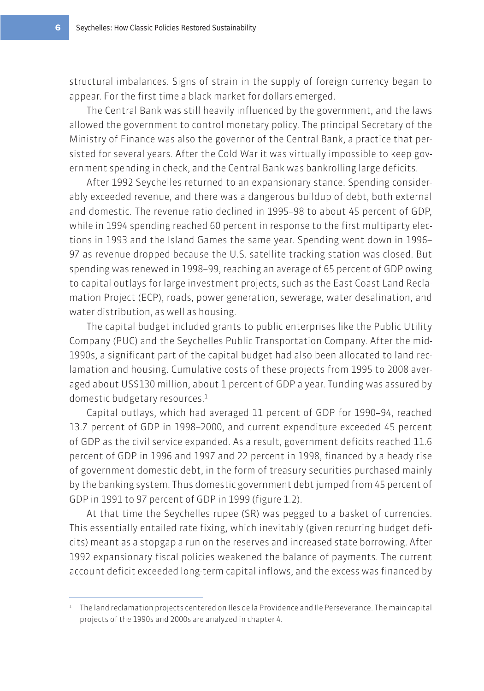structural imbalances. Signs of strain in the supply of foreign currency began to appear. For the first time a black market for dollars emerged.

The Central Bank was still heavily influenced by the government, and the laws allowed the government to control monetary policy. The principal Secretary of the Ministry of Finance was also the governor of the Central Bank, a practice that persisted for several years. After the Cold War it was virtually impossible to keep government spending in check, and the Central Bank was bankrolling large deficits.

After 1992 Seychelles returned to an expansionary stance. Spending considerably exceeded revenue, and there was a dangerous buildup of debt, both external and domestic. The revenue ratio declined in 1995–98 to about 45 percent of GDP, while in 1994 spending reached 60 percent in response to the first multiparty elections in 1993 and the Island Games the same year. Spending went down in 1996– 97 as revenue dropped because the U.S. satellite tracking station was closed. But spending was renewed in 1998–99, reaching an average of 65 percent of GDP owing to capital outlays for large investment projects, such as the East Coast Land Reclamation Project (ECP), roads, power generation, sewerage, water desalination, and water distribution, as well as housing.

The capital budget included grants to public enterprises like the Public Utility Company (PUC) and the Seychelles Public Transportation Company. After the mid-1990s, a significant part of the capital budget had also been allocated to land reclamation and housing. Cumulative costs of these projects from 1995 to 2008 averaged about US\$130 million, about 1 percent of GDP a year. Tunding was assured by domestic budgetary resources.<sup>1</sup>

Capital outlays, which had averaged 11 percent of GDP for 1990–94, reached 13.7 percent of GDP in 1998–2000, and current expenditure exceeded 45 percent of GDP as the civil service expanded. As a result, government deficits reached 11.6 percent of GDP in 1996 and 1997 and 22 percent in 1998, financed by a heady rise of government domestic debt, in the form of treasury securities purchased mainly by the banking system. Thus domestic government debt jumped from 45 percent of GDP in 1991 to 97 percent of GDP in 1999 (figure 1.2).

At that time the Seychelles rupee (SR) was pegged to a basket of currencies. This essentially entailed rate fixing, which inevitably (given recurring budget deficits) meant as a stopgap a run on the reserves and increased state borrowing. After 1992 expansionary fiscal policies weakened the balance of payments. The current account deficit exceeded long-term capital inflows, and the excess was financed by

<sup>&</sup>lt;sup>1</sup> The land reclamation projects centered on Iles de la Providence and Ile Perseverance. The main capital projects of the 1990s and 2000s are analyzed in chapter 4.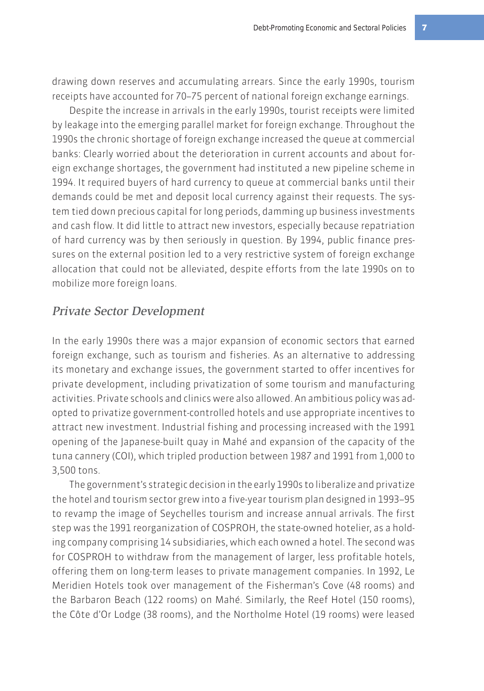drawing down reserves and accumulating arrears. Since the early 1990s, tourism receipts have accounted for 70–75 percent of national foreign exchange earnings.

Despite the increase in arrivals in the early 1990s, tourist receipts were limited by leakage into the emerging parallel market for foreign exchange. Throughout the 1990s the chronic shortage of foreign exchange increased the queue at commercial banks: Clearly worried about the deterioration in current accounts and about foreign exchange shortages, the government had instituted a new pipeline scheme in 1994. It required buyers of hard currency to queue at commercial banks until their demands could be met and deposit local currency against their requests. The system tied down precious capital for long periods, damming up business investments and cash flow. It did little to attract new investors, especially because repatriation of hard currency was by then seriously in question. By 1994, public finance pressures on the external position led to a very restrictive system of foreign exchange allocation that could not be alleviated, despite efforts from the late 1990s on to mobilize more foreign loans.

#### Private Sector Development

In the early 1990s there was a major expansion of economic sectors that earned foreign exchange, such as tourism and fisheries. As an alternative to addressing its monetary and exchange issues, the government started to offer incentives for private development, including privatization of some tourism and manufacturing activities. Private schools and clinics were also allowed. An ambitious policy was adopted to privatize government-controlled hotels and use appropriate incentives to attract new investment. Industrial fishing and processing increased with the 1991 opening of the Japanese-built quay in Mahé and expansion of the capacity of the tuna cannery (COI), which tripled production between 1987 and 1991 from 1,000 to 3,500 tons.

The government's strategic decision in the early 1990s to liberalize and privatize the hotel and tourism sector grew into a five-year tourism plan designed in 1993–95 to revamp the image of Seychelles tourism and increase annual arrivals. The first step was the 1991 reorganization of COSPROH, the state-owned hotelier, as a holding company comprising 14 subsidiaries, which each owned a hotel. The second was for COSPROH to withdraw from the management of larger, less profitable hotels, offering them on long-term leases to private management companies. In 1992, Le Meridien Hotels took over management of the Fisherman's Cove (48 rooms) and the Barbaron Beach (122 rooms) on Mahé. Similarly, the Reef Hotel (150 rooms), the Côte d'Or Lodge (38 rooms), and the Northolme Hotel (19 rooms) were leased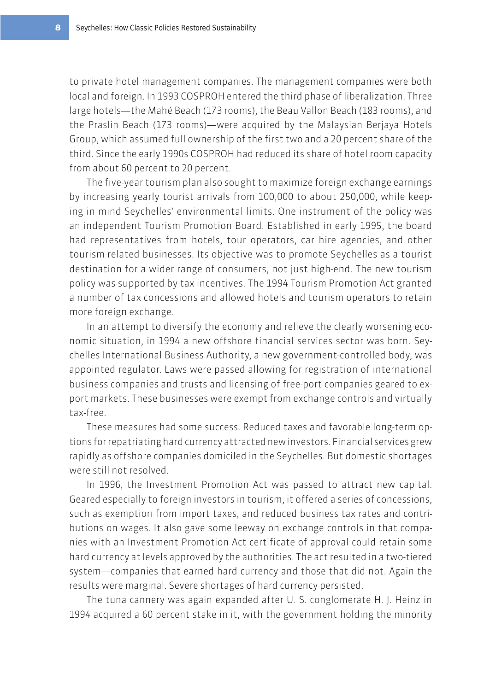to private hotel management companies. The management companies were both local and foreign. In 1993 COSPROH entered the third phase of liberalization. Three large hotels—the Mahé Beach (173 rooms), the Beau Vallon Beach (183 rooms), and the Praslin Beach (173 rooms)—were acquired by the Malaysian Berjaya Hotels Group, which assumed full ownership of the first two and a 20 percent share of the third. Since the early 1990s COSPROH had reduced its share of hotel room capacity from about 60 percent to 20 percent.

The five-year tourism plan also sought to maximize foreign exchange earnings by increasing yearly tourist arrivals from 100,000 to about 250,000, while keeping in mind Seychelles' environmental limits. One instrument of the policy was an independent Tourism Promotion Board. Established in early 1995, the board had representatives from hotels, tour operators, car hire agencies, and other tourism-related businesses. Its objective was to promote Seychelles as a tourist destination for a wider range of consumers, not just high-end. The new tourism policy was supported by tax incentives. The 1994 Tourism Promotion Act granted a number of tax concessions and allowed hotels and tourism operators to retain more foreign exchange.

In an attempt to diversify the economy and relieve the clearly worsening economic situation, in 1994 a new offshore financial services sector was born. Seychelles International Business Authority, a new government-controlled body, was appointed regulator. Laws were passed allowing for registration of international business companies and trusts and licensing of free-port companies geared to export markets. These businesses were exempt from exchange controls and virtually tax-free.

These measures had some success. Reduced taxes and favorable long-term options for repatriating hard currency attracted new investors. Financial services grew rapidly as offshore companies domiciled in the Seychelles. But domestic shortages were still not resolved.

In 1996, the Investment Promotion Act was passed to attract new capital. Geared especially to foreign investors in tourism, it offered a series of concessions, such as exemption from import taxes, and reduced business tax rates and contributions on wages. It also gave some leeway on exchange controls in that companies with an Investment Promotion Act certificate of approval could retain some hard currency at levels approved by the authorities. The act resulted in a two-tiered system—companies that earned hard currency and those that did not. Again the results were marginal. Severe shortages of hard currency persisted.

The tuna cannery was again expanded after U. S. conglomerate H. J. Heinz in 1994 acquired a 60 percent stake in it, with the government holding the minority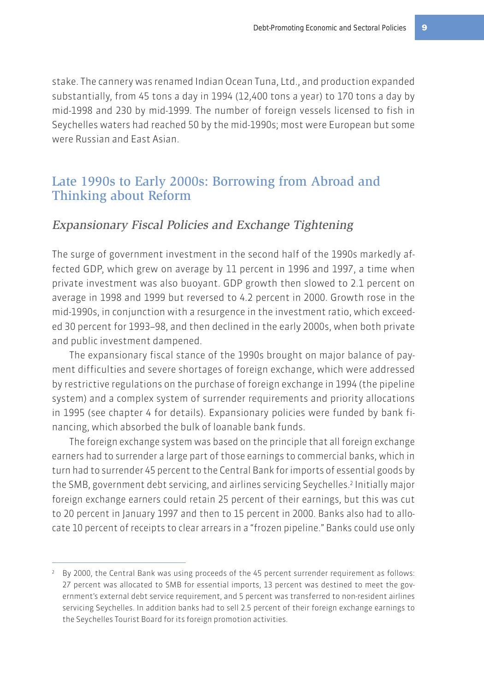stake. The cannery was renamed Indian Ocean Tuna, Ltd., and production expanded substantially, from 45 tons a day in 1994 (12,400 tons a year) to 170 tons a day by mid-1998 and 230 by mid-1999. The number of foreign vessels licensed to fish in Seychelles waters had reached 50 by the mid-1990s; most were European but some were Russian and East Asian.

### Late 1990s to Early 2000s: Borrowing from Abroad and Thinking about Reform

### Expansionary Fiscal Policies and Exchange Tightening

The surge of government investment in the second half of the 1990s markedly affected GDP, which grew on average by 11 percent in 1996 and 1997, a time when private investment was also buoyant. GDP growth then slowed to 2.1 percent on average in 1998 and 1999 but reversed to 4.2 percent in 2000. Growth rose in the mid-1990s, in conjunction with a resurgence in the investment ratio, which exceeded 30 percent for 1993–98, and then declined in the early 2000s, when both private and public investment dampened.

The expansionary fiscal stance of the 1990s brought on major balance of payment difficulties and severe shortages of foreign exchange, which were addressed by restrictive regulations on the purchase of foreign exchange in 1994 (the pipeline system) and a complex system of surrender requirements and priority allocations in 1995 (see chapter 4 for details). Expansionary policies were funded by bank financing, which absorbed the bulk of loanable bank funds.

The foreign exchange system was based on the principle that all foreign exchange earners had to surrender a large part of those earnings to commercial banks, which in turn had to surrender 45 percent to the Central Bank for imports of essential goods by the SMB, government debt servicing, and airlines servicing Seychelles.<sup>2</sup> Initially major foreign exchange earners could retain 25 percent of their earnings, but this was cut to 20 percent in January 1997 and then to 15 percent in 2000. Banks also had to allocate 10 percent of receipts to clear arrears in a "frozen pipeline." Banks could use only

<sup>&</sup>lt;sup>2</sup> By 2000, the Central Bank was using proceeds of the 45 percent surrender requirement as follows: 27 percent was allocated to SMB for essential imports, 13 percent was destined to meet the government's external debt service requirement, and 5 percent was transferred to non-resident airlines servicing Seychelles. In addition banks had to sell 2.5 percent of their foreign exchange earnings to the Seychelles Tourist Board for its foreign promotion activities.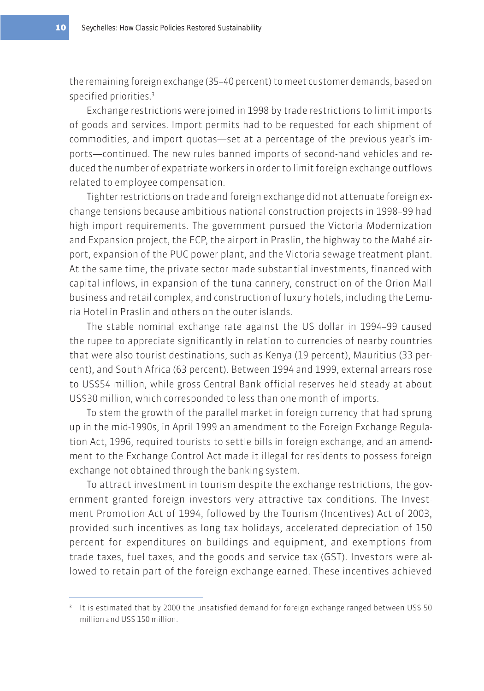the remaining foreign exchange (35–40 percent) to meet customer demands, based on specified priorities.3

Exchange restrictions were joined in 1998 by trade restrictions to limit imports of goods and services. Import permits had to be requested for each shipment of commodities, and import quotas—set at a percentage of the previous year's imports—continued. The new rules banned imports of second-hand vehicles and reduced the number of expatriate workers in order to limit foreign exchange outflows related to employee compensation.

Tighter restrictions on trade and foreign exchange did not attenuate foreign exchange tensions because ambitious national construction projects in 1998–99 had high import requirements. The government pursued the Victoria Modernization and Expansion project, the ECP, the airport in Praslin, the highway to the Mahé airport, expansion of the PUC power plant, and the Victoria sewage treatment plant. At the same time, the private sector made substantial investments, financed with capital inflows, in expansion of the tuna cannery, construction of the Orion Mall business and retail complex, and construction of luxury hotels, including the Lemuria Hotel in Praslin and others on the outer islands.

The stable nominal exchange rate against the US dollar in 1994–99 caused the rupee to appreciate significantly in relation to currencies of nearby countries that were also tourist destinations, such as Kenya (19 percent), Mauritius (33 percent), and South Africa (63 percent). Between 1994 and 1999, external arrears rose to US\$54 million, while gross Central Bank official reserves held steady at about US\$30 million, which corresponded to less than one month of imports.

To stem the growth of the parallel market in foreign currency that had sprung up in the mid-1990s, in April 1999 an amendment to the Foreign Exchange Regulation Act, 1996, required tourists to settle bills in foreign exchange, and an amendment to the Exchange Control Act made it illegal for residents to possess foreign exchange not obtained through the banking system.

To attract investment in tourism despite the exchange restrictions, the government granted foreign investors very attractive tax conditions. The Investment Promotion Act of 1994, followed by the Tourism (Incentives) Act of 2003, provided such incentives as long tax holidays, accelerated depreciation of 150 percent for expenditures on buildings and equipment, and exemptions from trade taxes, fuel taxes, and the goods and service tax (GST). Investors were allowed to retain part of the foreign exchange earned. These incentives achieved

<sup>&</sup>lt;sup>3</sup> It is estimated that by 2000 the unsatisfied demand for foreign exchange ranged between US\$ 50 million and US\$ 150 million.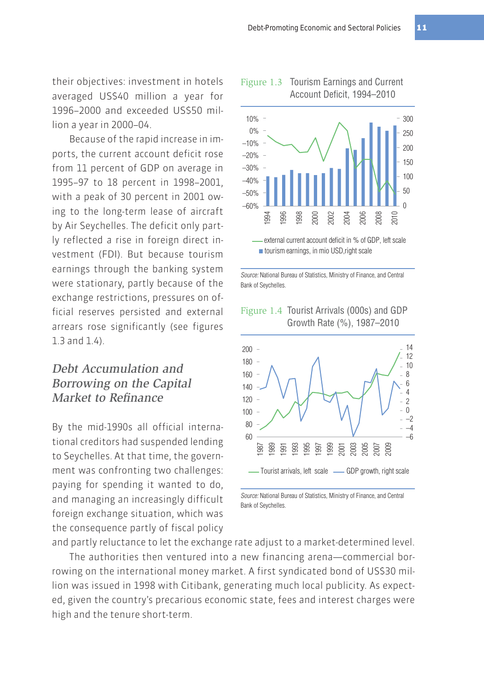their objectives: investment in hotels averaged US\$40 million a year for 1996–2000 and exceeded US\$50 million a year in 2000–04.

Because of the rapid increase in imports, the current account deficit rose from 11 percent of GDP on average in 1995–97 to 18 percent in 1998–2001, with a peak of 30 percent in 2001 owing to the long-term lease of aircraft by Air Seychelles. The deficit only partly reflected a rise in foreign direct investment (FDI). But because tourism earnings through the banking system were stationary, partly because of the exchange restrictions, pressures on official reserves persisted and external arrears rose significantly (see figures 1.3 and 1.4).

### Debt Accumulation and Borrowing on the Capital Market to Refinance

By the mid-1990s all official international creditors had suspended lending to Seychelles. At that time, the government was confronting two challenges: paying for spending it wanted to do, and managing an increasingly difficult foreign exchange situation, which was the consequence partly of fiscal policy

#### Figure 1.3 Tourism Earnings and Current Account Deficit, 1994–2010



Source: National Bureau of Statistics, Ministry of Finance, and Central Bank of Seychelles.





Source: National Bureau of Statistics, Ministry of Finance, and Central Bank of Seychelles.

and partly reluctance to let the exchange rate adjust to a market-determined level.

The authorities then ventured into a new financing arena—commercial borrowing on the international money market. A first syndicated bond of US\$30 million was issued in 1998 with Citibank, generating much local publicity. As expected, given the country's precarious economic state, fees and interest charges were high and the tenure short-term.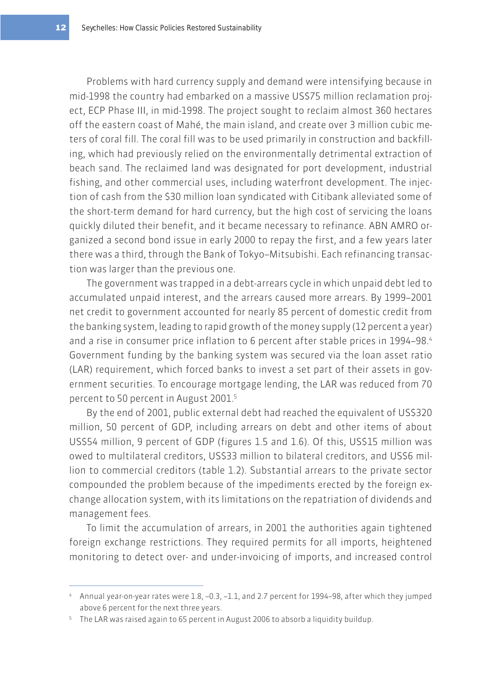Problems with hard currency supply and demand were intensifying because in mid-1998 the country had embarked on a massive US\$75 million reclamation project, ECP Phase III, in mid-1998. The project sought to reclaim almost 360 hectares off the eastern coast of Mahé, the main island, and create over 3 million cubic meters of coral fill. The coral fill was to be used primarily in construction and backfilling, which had previously relied on the environmentally detrimental extraction of beach sand. The reclaimed land was designated for port development, industrial fishing, and other commercial uses, including waterfront development. The injection of cash from the \$30 million loan syndicated with Citibank alleviated some of the short-term demand for hard currency, but the high cost of servicing the loans quickly diluted their benefit, and it became necessary to refinance. ABN AMRO organized a second bond issue in early 2000 to repay the first, and a few years later there was a third, through the Bank of Tokyo–Mitsubishi. Each refinancing transaction was larger than the previous one.

The government was trapped in a debt-arrears cycle in which unpaid debt led to accumulated unpaid interest, and the arrears caused more arrears. By 1999–2001 net credit to government accounted for nearly 85 percent of domestic credit from the banking system, leading to rapid growth of the money supply (12 percent a year) and a rise in consumer price inflation to 6 percent after stable prices in 1994–98.4 Government funding by the banking system was secured via the loan asset ratio (LAR) requirement, which forced banks to invest a set part of their assets in government securities. To encourage mortgage lending, the LAR was reduced from 70 percent to 50 percent in August 2001.5

By the end of 2001, public external debt had reached the equivalent of US\$320 million, 50 percent of GDP, including arrears on debt and other items of about US\$54 million, 9 percent of GDP (figures 1.5 and 1.6). Of this, US\$15 million was owed to multilateral creditors, US\$33 million to bilateral creditors, and US\$6 million to commercial creditors (table 1.2). Substantial arrears to the private sector compounded the problem because of the impediments erected by the foreign exchange allocation system, with its limitations on the repatriation of dividends and management fees.

To limit the accumulation of arrears, in 2001 the authorities again tightened foreign exchange restrictions. They required permits for all imports, heightened monitoring to detect over- and under-invoicing of imports, and increased control

<sup>4</sup> Annual year-on-year rates were 1.8, –0.3, –1.1, and 2.7 percent for 1994–98, after which they jumped above 6 percent for the next three years.

<sup>5</sup> The LAR was raised again to 65 percent in August 2006 to absorb a liquidity buildup.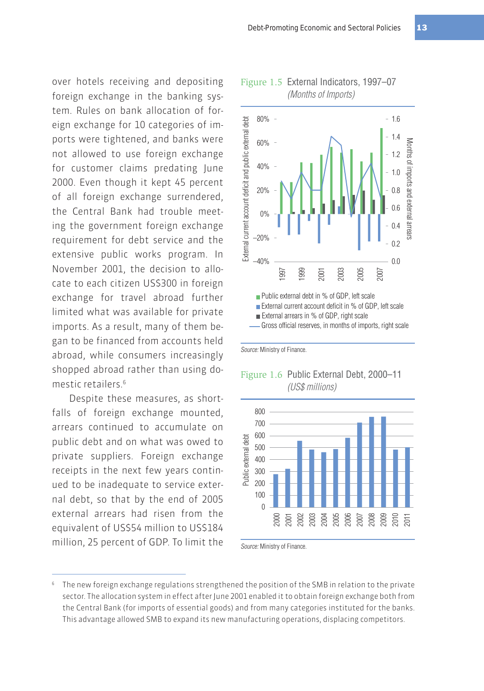over hotels receiving and depositing foreign exchange in the banking system. Rules on bank allocation of foreign exchange for 10 categories of imports were tightened, and banks were not allowed to use foreign exchange for customer claims predating June 2000. Even though it kept 45 percent of all foreign exchange surrendered, the Central Bank had trouble meeting the government foreign exchange requirement for debt service and the extensive public works program. In November 2001, the decision to allocate to each citizen US\$300 in foreign exchange for travel abroad further limited what was available for private imports. As a result, many of them began to be financed from accounts held abroad, while consumers increasingly shopped abroad rather than using domestic retailers<sup>6</sup>

Despite these measures, as shortfalls of foreign exchange mounted, arrears continued to accumulate on public debt and on what was owed to private suppliers. Foreign exchange receipts in the next few years continued to be inadequate to service external debt, so that by the end of 2005 external arrears had risen from the equivalent of US\$54 million to US\$184 million, 25 percent of GDP. To limit the





#### Figure 1.6 Public External Debt, 2000–11 (US\$ millions)



Source: Ministry of Finance.

Source: Ministry of Finance.

The new foreign exchange regulations strengthened the position of the SMB in relation to the private sector. The allocation system in effect after June 2001 enabled it to obtain foreign exchange both from the Central Bank (for imports of essential goods) and from many categories instituted for the banks. This advantage allowed SMB to expand its new manufacturing operations, displacing competitors.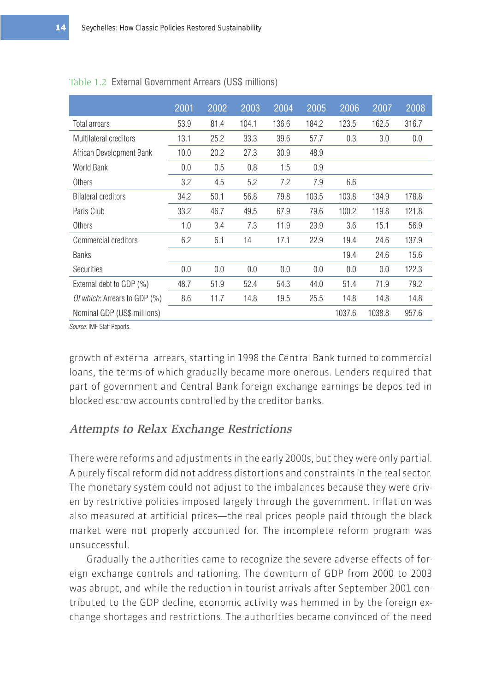|                              | 2001 | 2002 | 2003  | 2004  | 2005  | 2006   | 2007   | 2008  |
|------------------------------|------|------|-------|-------|-------|--------|--------|-------|
| Total arrears                | 53.9 | 81.4 | 104.1 | 136.6 | 184.2 | 123.5  | 162.5  | 316.7 |
| Multilateral creditors       | 13.1 | 25.2 | 33.3  | 39.6  | 57.7  | 0.3    | 3.0    | 0.0   |
| African Development Bank     | 10.0 | 20.2 | 27.3  | 30.9  | 48.9  |        |        |       |
| World Bank                   | 0.0  | 0.5  | 0.8   | 1.5   | 0.9   |        |        |       |
| Others                       | 3.2  | 4.5  | 5.2   | 7.2   | 7.9   | 6.6    |        |       |
| <b>Bilateral creditors</b>   | 34.2 | 50.1 | 56.8  | 79.8  | 103.5 | 103.8  | 134.9  | 178.8 |
| Paris Club                   | 33.2 | 46.7 | 49.5  | 67.9  | 79.6  | 100.2  | 119.8  | 121.8 |
| Others                       | 1.0  | 3.4  | 7.3   | 11.9  | 23.9  | 3.6    | 15.1   | 56.9  |
| Commercial creditors         | 6.2  | 6.1  | 14    | 17.1  | 22.9  | 19.4   | 24.6   | 137.9 |
| <b>Banks</b>                 |      |      |       |       |       | 19.4   | 24.6   | 15.6  |
| <b>Securities</b>            | 0.0  | 0.0  | 0.0   | 0.0   | 0.0   | 0.0    | 0.0    | 122.3 |
| External debt to GDP (%)     | 48.7 | 51.9 | 52.4  | 54.3  | 44.0  | 51.4   | 71.9   | 79.2  |
| Of which: Arrears to GDP (%) | 8.6  | 11.7 | 14.8  | 19.5  | 25.5  | 14.8   | 14.8   | 14.8  |
| Nominal GDP (US\$ millions)  |      |      |       |       |       | 1037.6 | 1038.8 | 957.6 |

#### Table 1.2 External Government Arrears (US\$ millions)

Source: IMF Staff Reports.

growth of external arrears, starting in 1998 the Central Bank turned to commercial loans, the terms of which gradually became more onerous. Lenders required that part of government and Central Bank foreign exchange earnings be deposited in blocked escrow accounts controlled by the creditor banks.

#### Attempts to Relax Exchange Restrictions

There were reforms and adjustments in the early 2000s, but they were only partial. A purely fiscal reform did not address distortions and constraints in the real sector. The monetary system could not adjust to the imbalances because they were driven by restrictive policies imposed largely through the government. Inflation was also measured at artificial prices—the real prices people paid through the black market were not properly accounted for. The incomplete reform program was unsuccessful.

Gradually the authorities came to recognize the severe adverse effects of foreign exchange controls and rationing. The downturn of GDP from 2000 to 2003 was abrupt, and while the reduction in tourist arrivals after September 2001 contributed to the GDP decline, economic activity was hemmed in by the foreign exchange shortages and restrictions. The authorities became convinced of the need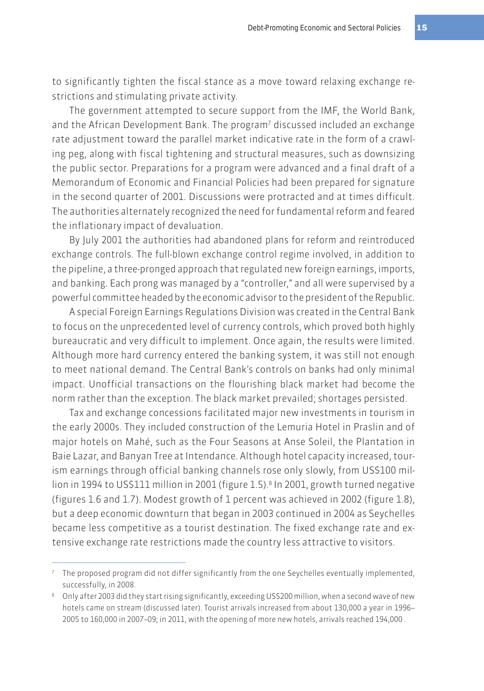to significantly tighten the fiscal stance as a move toward relaxing exchange restrictions and stimulating private activity.

The government attempted to secure support from the IMF, the World Bank, and the African Development Bank. The program<sup>7</sup> discussed included an exchange rate adjustment toward the parallel market indicative rate in the form of a crawling peg, along with fiscal tightening and structural measures, such as downsizing the public sector. Preparations for a program were advanced and a final draft of a Memorandum of Economic and Financial Policies had been prepared for signature in the second quarter of 2001. Discussions were protracted and at times difficult. The authorities alternately recognized the need for fundamental reform and feared the inflationary impact of devaluation.

By July 2001 the authorities had abandoned plans for reform and reintroduced exchange controls. The full-blown exchange control regime involved, in addition to the pipeline, a three-pronged approach that regulated new foreign earnings, imports, and banking. Each prong was managed by a "controller," and all were supervised by a powerful committee headed by the economic advisor to the president of the Republic.

A special Foreign Earnings Regulations Division was created in the Central Bank to focus on the unprecedented level of currency controls, which proved both highly bureaucratic and very difficult to implement. Once again, the results were limited. Although more hard currency entered the banking system, it was still not enough to meet national demand. The Central Bank's controls on banks had only minimal impact. Unofficial transactions on the flourishing black market had become the norm rather than the exception. The black market prevailed; shortages persisted.

Tax and exchange concessions facilitated major new investments in tourism in the early 2000s. They included construction of the Lemuria Hotel in Praslin and of major hotels on Mahé, such as the Four Seasons at Anse Soleil, the Plantation in Baie Lazar, and Banyan Tree at Intendance. Although hotel capacity increased, tourism earnings through official banking channels rose only slowly, from US\$100 million in 1994 to US\$111 million in 2001 (figure 1.5).<sup>8</sup> In 2001, growth turned negative (figures 1.6 and 1.7). Modest growth of 1 percent was achieved in 2002 (figure 1.8), but a deep economic downturn that began in 2003 continued in 2004 as Seychelles became less competitive as a tourist destination. The fixed exchange rate and extensive exchange rate restrictions made the country less attractive to visitors.

<sup>7</sup> The proposed program did not differ significantly from the one Seychelles eventually implemented, successfully, in 2008.

<sup>&</sup>lt;sup>8</sup> Only after 2003 did they start rising significantly, exceeding US\$200 million, when a second wave of new hotels came on stream (discussed later). Tourist arrivals increased from about 130,000 a year in 1996– 2005 to 160,000 in 2007–09; in 2011, with the opening of more new hotels, arrivals reached 194,000 .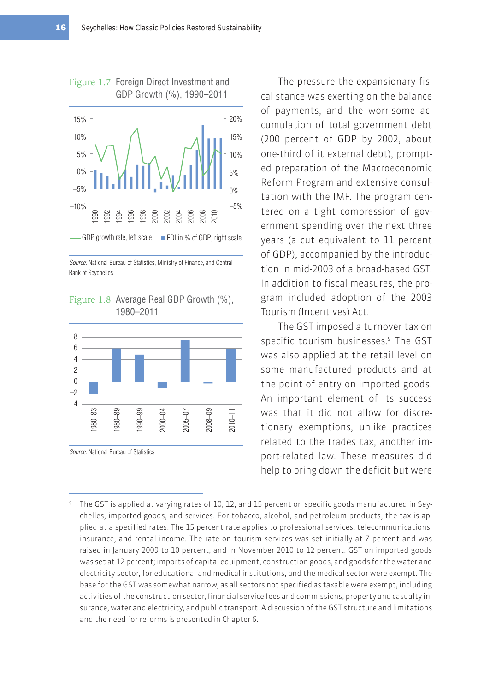

Source: National Bureau of Statistics, Ministry of Finance, and Central Bank of Seychelles

Figure 1.8 Average Real GDP Growth (%), 1980–2011



Source: National Bureau of Statistics

The pressure the expansionary fiscal stance was exerting on the balance of payments, and the worrisome accumulation of total government debt (200 percent of GDP by 2002, about one-third of it external debt), prompted preparation of the Macroeconomic Reform Program and extensive consultation with the IMF. The program centered on a tight compression of government spending over the next three years (a cut equivalent to 11 percent of GDP), accompanied by the introduction in mid-2003 of a broad-based GST. In addition to fiscal measures, the program included adoption of the 2003 Tourism (Incentives) Act.

The GST imposed a turnover tax on specific tourism businesses.<sup>9</sup> The GST was also applied at the retail level on some manufactured products and at the point of entry on imported goods. An important element of its success was that it did not allow for discretionary exemptions, unlike practices related to the trades tax, another import-related law. These measures did help to bring down the deficit but were

<sup>9</sup> The GST is applied at varying rates of 10, 12, and 15 percent on specific goods manufactured in Seychelles, imported goods, and services. For tobacco, alcohol, and petroleum products, the tax is applied at a specified rates. The 15 percent rate applies to professional services, telecommunications, insurance, and rental income. The rate on tourism services was set initially at 7 percent and was raised in January 2009 to 10 percent, and in November 2010 to 12 percent. GST on imported goods was set at 12 percent; imports of capital equipment, construction goods, and goods for the water and electricity sector, for educational and medical institutions, and the medical sector were exempt. The base for the GST was somewhat narrow, as all sectors not specified as taxable were exempt, including activities of the construction sector, financial service fees and commissions, property and casualty insurance, water and electricity, and public transport. A discussion of the GST structure and limitations and the need for reforms is presented in Chapter 6.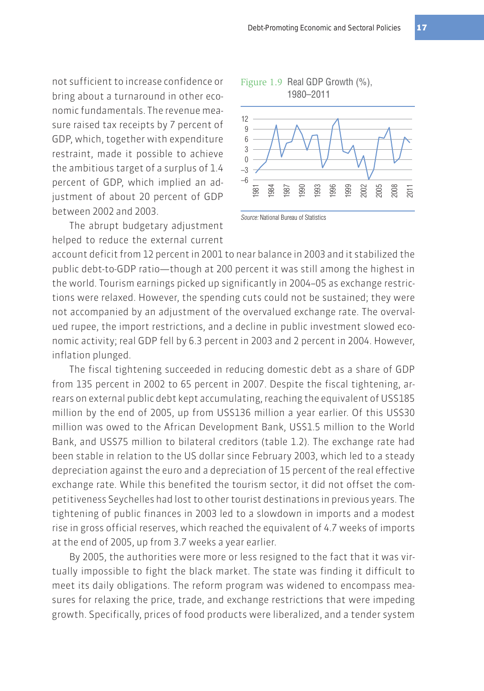not sufficient to increase confidence or bring about a turnaround in other economic fundamentals. The revenue measure raised tax receipts by 7 percent of GDP, which, together with expenditure restraint, made it possible to achieve the ambitious target of a surplus of 1.4 percent of GDP, which implied an adjustment of about 20 percent of GDP between 2002 and 2003.

The abrupt budgetary adjustment helped to reduce the external current



Source: National Bureau of Statistics

account deficit from 12 percent in 2001 to near balance in 2003 and it stabilized the public debt-to-GDP ratio—though at 200 percent it was still among the highest in the world. Tourism earnings picked up significantly in 2004–05 as exchange restrictions were relaxed. However, the spending cuts could not be sustained; they were not accompanied by an adjustment of the overvalued exchange rate. The overvalued rupee, the import restrictions, and a decline in public investment slowed economic activity; real GDP fell by 6.3 percent in 2003 and 2 percent in 2004. However, inflation plunged.

The fiscal tightening succeeded in reducing domestic debt as a share of GDP from 135 percent in 2002 to 65 percent in 2007. Despite the fiscal tightening, arrears on external public debt kept accumulating, reaching the equivalent of US\$185 million by the end of 2005, up from US\$136 million a year earlier. Of this US\$30 million was owed to the African Development Bank, US\$1.5 million to the World Bank, and US\$75 million to bilateral creditors (table 1.2). The exchange rate had been stable in relation to the US dollar since February 2003, which led to a steady depreciation against the euro and a depreciation of 15 percent of the real effective exchange rate. While this benefited the tourism sector, it did not offset the competitiveness Seychelles had lost to other tourist destinations in previous years. The tightening of public finances in 2003 led to a slowdown in imports and a modest rise in gross official reserves, which reached the equivalent of 4.7 weeks of imports at the end of 2005, up from 3.7 weeks a year earlier.

By 2005, the authorities were more or less resigned to the fact that it was virtually impossible to fight the black market. The state was finding it difficult to meet its daily obligations. The reform program was widened to encompass measures for relaxing the price, trade, and exchange restrictions that were impeding growth. Specifically, prices of food products were liberalized, and a tender system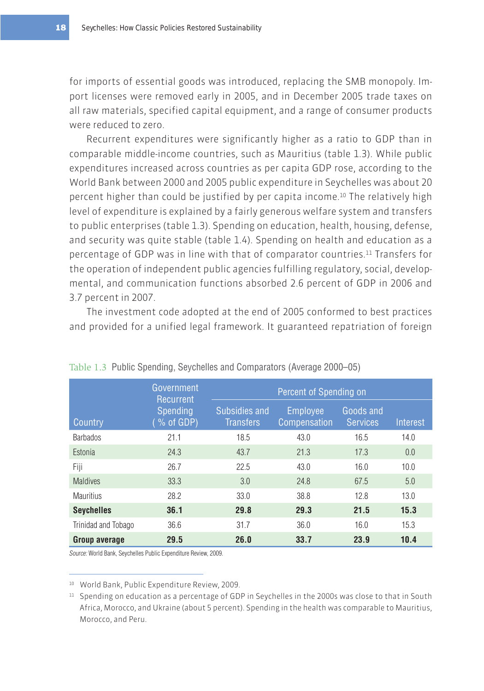for imports of essential goods was introduced, replacing the SMB monopoly. Import licenses were removed early in 2005, and in December 2005 trade taxes on all raw materials, specified capital equipment, and a range of consumer products were reduced to zero.

Recurrent expenditures were significantly higher as a ratio to GDP than in comparable middle-income countries, such as Mauritius (table 1.3). While public expenditures increased across countries as per capita GDP rose, according to the World Bank between 2000 and 2005 public expenditure in Seychelles was about 20 percent higher than could be justified by per capita income.10 The relatively high level of expenditure is explained by a fairly generous welfare system and transfers to public enterprises (table 1.3). Spending on education, health, housing, defense, and security was quite stable (table 1.4). Spending on health and education as a percentage of GDP was in line with that of comparator countries.11 Transfers for the operation of independent public agencies fulfilling regulatory, social, developmental, and communication functions absorbed 2.6 percent of GDP in 2006 and 3.7 percent in 2007.

The investment code adopted at the end of 2005 conformed to best practices and provided for a unified legal framework. It guaranteed repatriation of foreign

|                      | Government<br>Recurrent      | Percent of Spending on            |                                 |                              |          |  |  |
|----------------------|------------------------------|-----------------------------------|---------------------------------|------------------------------|----------|--|--|
| Country              | <b>Spending</b><br>% of GDP) | Subsidies and<br><b>Transfers</b> | <b>Employee</b><br>Compensation | Goods and<br><b>Services</b> | Interest |  |  |
| <b>Barbados</b>      | 21.1                         | 18.5                              | 43.0                            | 16.5                         | 14.0     |  |  |
| Estonia              | 24.3                         | 43.7                              | 21.3                            | 17.3                         | 0.0      |  |  |
| Fiji                 | 26.7                         | 22.5                              | 43.0                            | 16.0                         | 10.0     |  |  |
| <b>Maldives</b>      | 33.3                         | 3.0                               | 24.8                            | 67.5                         | 5.0      |  |  |
| <b>Mauritius</b>     | 28.2                         | 33.0                              | 38.8                            | 12.8                         | 13.0     |  |  |
| <b>Seychelles</b>    | 36.1                         | 29.8                              | 29.3                            | 21.5                         | 15.3     |  |  |
| Trinidad and Tobago  | 36.6                         | 31.7                              | 36.0                            | 16.0                         | 15.3     |  |  |
| <b>Group average</b> | 29.5                         | 26.0                              | 33.7                            | 23.9                         | 10.4     |  |  |

Table 1.3 Public Spending, Seychelles and Comparators (Average 2000–05)

Source: World Bank, Seychelles Public Expenditure Review, 2009.

10 World Bank, Public Expenditure Review, 2009.

<sup>11</sup> Spending on education as a percentage of GDP in Seychelles in the 2000s was close to that in South Africa, Morocco, and Ukraine (about 5 percent). Spending in the health was comparable to Mauritius, Morocco, and Peru.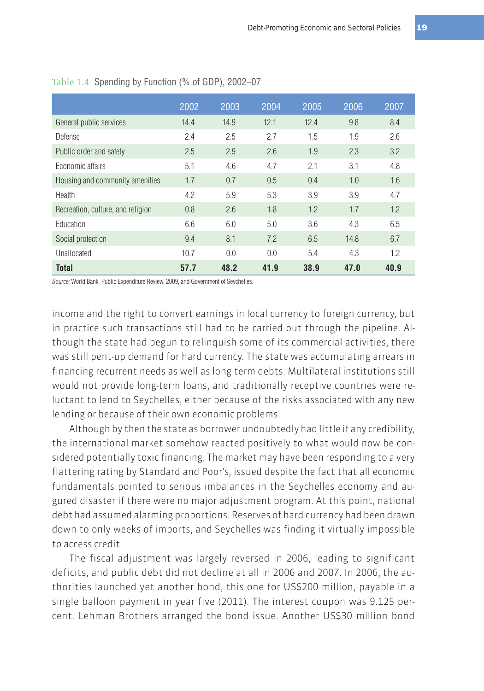|                                   | 2002 | 2003 | 2004 | 2005 | 2006 | 2007 |
|-----------------------------------|------|------|------|------|------|------|
| General public services           | 14.4 | 14.9 | 12.1 | 12.4 | 9.8  | 8.4  |
| Defense                           | 2.4  | 2.5  | 2.7  | 1.5  | 1.9  | 2.6  |
| Public order and safety           | 2.5  | 2.9  | 2.6  | 1.9  | 2.3  | 3.2  |
| Economic affairs                  | 5.1  | 4.6  | 4.7  | 2.1  | 3.1  | 4.8  |
| Housing and community amenities   | 1.7  | 0.7  | 0.5  | 0.4  | 1.0  | 1.6  |
| Health                            | 4.2  | 5.9  | 5.3  | 3.9  | 3.9  | 4.7  |
| Recreation, culture, and religion | 0.8  | 2.6  | 1.8  | 1.2  | 1.7  | 1.2  |
| <b>Education</b>                  | 6.6  | 6.0  | 5.0  | 3.6  | 4.3  | 6.5  |
| Social protection                 | 9.4  | 8.1  | 7.2  | 6.5  | 14.8 | 6.7  |
| Unallocated                       | 10.7 | 0.0  | 0.0  | 5.4  | 4.3  | 1.2  |
| <b>Total</b>                      | 57.7 | 48.2 | 41.9 | 38.9 | 47.0 | 40.9 |

#### Table 1.4 Spending by Function (% of GDP), 2002–07

Source: World Bank, Public Expenditure Review, 2009, and Government of Seychelles.

income and the right to convert earnings in local currency to foreign currency, but in practice such transactions still had to be carried out through the pipeline. Although the state had begun to relinquish some of its commercial activities, there was still pent-up demand for hard currency. The state was accumulating arrears in financing recurrent needs as well as long-term debts. Multilateral institutions still would not provide long-term loans, and traditionally receptive countries were reluctant to lend to Seychelles, either because of the risks associated with any new lending or because of their own economic problems.

Although by then the state as borrower undoubtedly had little if any credibility, the international market somehow reacted positively to what would now be considered potentially toxic financing. The market may have been responding to a very flattering rating by Standard and Poor's, issued despite the fact that all economic fundamentals pointed to serious imbalances in the Seychelles economy and augured disaster if there were no major adjustment program. At this point, national debt had assumed alarming proportions. Reserves of hard currency had been drawn down to only weeks of imports, and Seychelles was finding it virtually impossible to access credit.

The fiscal adjustment was largely reversed in 2006, leading to significant deficits, and public debt did not decline at all in 2006 and 2007. In 2006, the authorities launched yet another bond, this one for US\$200 million, payable in a single balloon payment in year five (2011). The interest coupon was 9.125 percent. Lehman Brothers arranged the bond issue. Another US\$30 million bond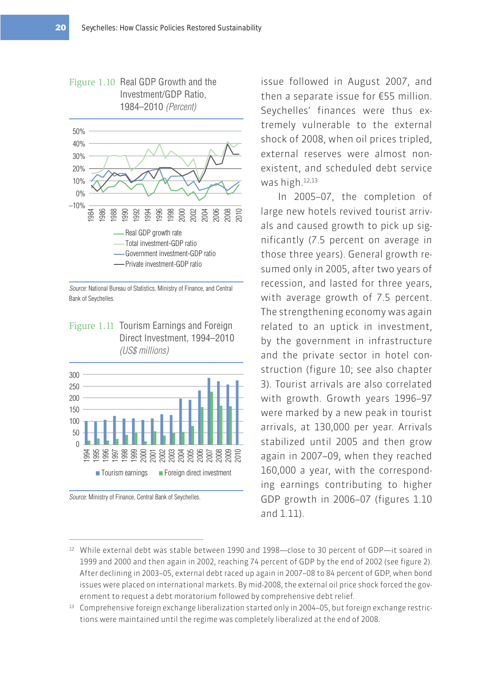

Figure 1.10 Real GDP Growth and the

Source: National Bureau of Statistics, Ministry of Finance, and Central Bank of Seychelles.

Figure 1.11 Tourism Earnings and Foreign Direct Investment, 1994–2010 (US\$ millions)



Source: Ministry of Finance, Central Bank of Seychelles.

issue followed in August 2007, and then a separate issue for €55 million. Seychelles' finances were thus extremely vulnerable to the external shock of 2008, when oil prices tripled, external reserves were almost nonexistent, and scheduled debt service was high.12,13

In 2005–07, the completion of large new hotels revived tourist arrivals and caused growth to pick up significantly (7.5 percent on average in those three years). General growth resumed only in 2005, after two years of recession, and lasted for three years, with average growth of 7.5 percent. The strengthening economy was again related to an uptick in investment, by the government in infrastructure and the private sector in hotel construction (figure 10; see also chapter 3). Tourist arrivals are also correlated with growth. Growth years 1996–97 were marked by a new peak in tourist arrivals, at 130,000 per year. Arrivals stabilized until 2005 and then grow again in 2007–09, when they reached 160,000 a year, with the corresponding earnings contributing to higher GDP growth in 2006–07 (figures 1.10 and 1.11).

- 12 While external debt was stable between 1990 and 1998—close to 30 percent of GDP—it soared in 1999 and 2000 and then again in 2002, reaching 74 percent of GDP by the end of 2002 (see figure 2). After declining in 2003–05, external debt raced up again in 2007–08 to 84 percent of GDP, when bond issues were placed on international markets. By mid-2008, the external oil price shock forced the government to request a debt moratorium followed by comprehensive debt relief.
- 13 Comprehensive foreign exchange liberalization started only in 2004–05, but foreign exchange restrictions were maintained until the regime was completely liberalized at the end of 2008.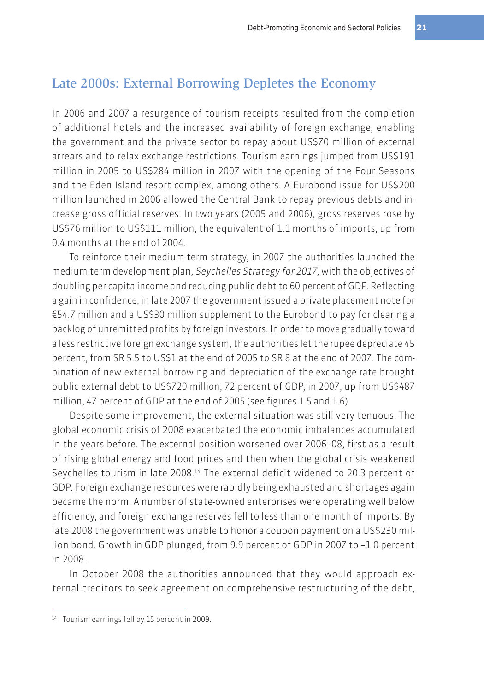## Late 2000s: External Borrowing Depletes the Economy

In 2006 and 2007 a resurgence of tourism receipts resulted from the completion of additional hotels and the increased availability of foreign exchange, enabling the government and the private sector to repay about US\$70 million of external arrears and to relax exchange restrictions. Tourism earnings jumped from US\$191 million in 2005 to US\$284 million in 2007 with the opening of the Four Seasons and the Eden Island resort complex, among others. A Eurobond issue for US\$200 million launched in 2006 allowed the Central Bank to repay previous debts and increase gross official reserves. In two years (2005 and 2006), gross reserves rose by US\$76 million to US\$111 million, the equivalent of 1.1 months of imports, up from 0.4 months at the end of 2004.

To reinforce their medium-term strategy, in 2007 the authorities launched the medium-term development plan, Seychelles Strategy for 2017, with the objectives of doubling per capita income and reducing public debt to 60 percent of GDP. Reflecting a gain in confidence, in late 2007 the government issued a private placement note for €54.7 million and a US\$30 million supplement to the Eurobond to pay for clearing a backlog of unremitted profits by foreign investors. In order to move gradually toward a less restrictive foreign exchange system, the authorities let the rupee depreciate 45 percent, from SR 5.5 to US\$1 at the end of 2005 to SR 8 at the end of 2007. The combination of new external borrowing and depreciation of the exchange rate brought public external debt to US\$720 million, 72 percent of GDP, in 2007, up from US\$487 million, 47 percent of GDP at the end of 2005 (see figures 1.5 and 1.6).

Despite some improvement, the external situation was still very tenuous. The global economic crisis of 2008 exacerbated the economic imbalances accumulated in the years before. The external position worsened over 2006–08, first as a result of rising global energy and food prices and then when the global crisis weakened Seychelles tourism in late 2008.14 The external deficit widened to 20.3 percent of GDP. Foreign exchange resources were rapidly being exhausted and shortages again became the norm. A number of state-owned enterprises were operating well below efficiency, and foreign exchange reserves fell to less than one month of imports. By late 2008 the government was unable to honor a coupon payment on a US\$230 million bond. Growth in GDP plunged, from 9.9 percent of GDP in 2007 to –1.0 percent in 2008.

In October 2008 the authorities announced that they would approach external creditors to seek agreement on comprehensive restructuring of the debt,

<sup>14</sup> Tourism earnings fell by 15 percent in 2009.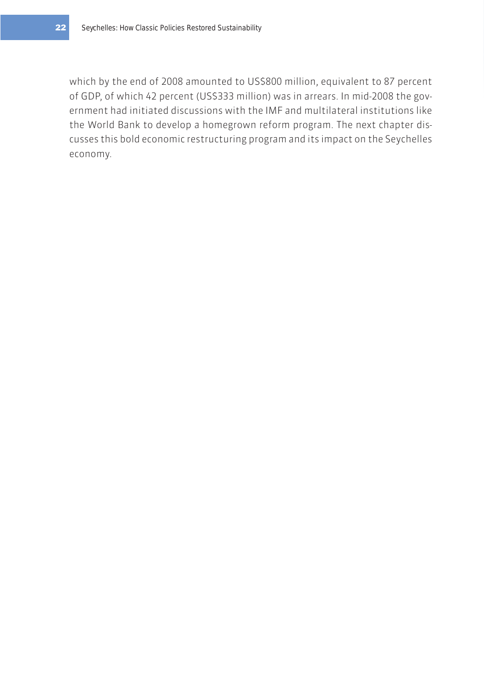which by the end of 2008 amounted to US\$800 million, equivalent to 87 percent of GDP, of which 42 percent (US\$333 million) was in arrears. In mid-2008 the government had initiated discussions with the IMF and multilateral institutions like the World Bank to develop a homegrown reform program. The next chapter discusses this bold economic restructuring program and its impact on the Seychelles economy.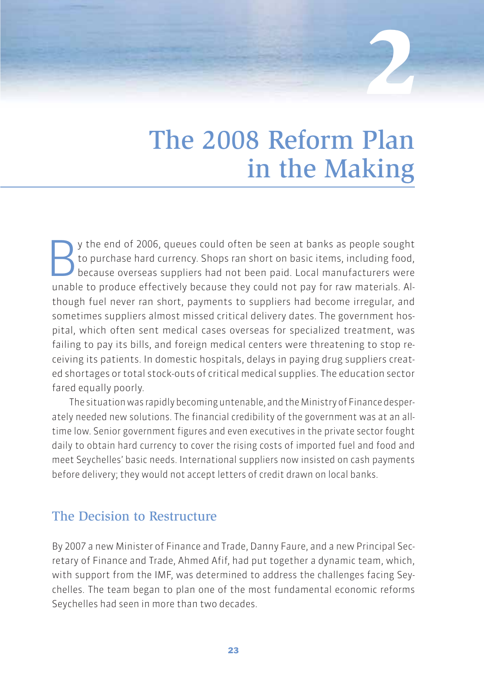# The 2008 Reform Plan in the Making

**2**

y the end of 2006, queues could often be seen at banks as people sought<br>to purchase hard currency. Shops ran short on basic items, including food,<br>because overseas suppliers had not been paid. Local manufacturers were to purchase hard currency. Shops ran short on basic items, including food, because overseas suppliers had not been paid. Local manufacturers were unable to produce effectively because they could not pay for raw materials. Although fuel never ran short, payments to suppliers had become irregular, and sometimes suppliers almost missed critical delivery dates. The government hospital, which often sent medical cases overseas for specialized treatment, was failing to pay its bills, and foreign medical centers were threatening to stop receiving its patients. In domestic hospitals, delays in paying drug suppliers created shortages or total stock-outs of critical medical supplies. The education sector fared equally poorly.

The situation was rapidly becoming untenable, and the Ministry of Finance desperately needed new solutions. The financial credibility of the government was at an alltime low. Senior government figures and even executives in the private sector fought daily to obtain hard currency to cover the rising costs of imported fuel and food and meet Seychelles' basic needs. International suppliers now insisted on cash payments before delivery; they would not accept letters of credit drawn on local banks.

#### The Decision to Restructure

By 2007 a new Minister of Finance and Trade, Danny Faure, and a new Principal Secretary of Finance and Trade, Ahmed Afif, had put together a dynamic team, which, with support from the IMF, was determined to address the challenges facing Seychelles. The team began to plan one of the most fundamental economic reforms Seychelles had seen in more than two decades.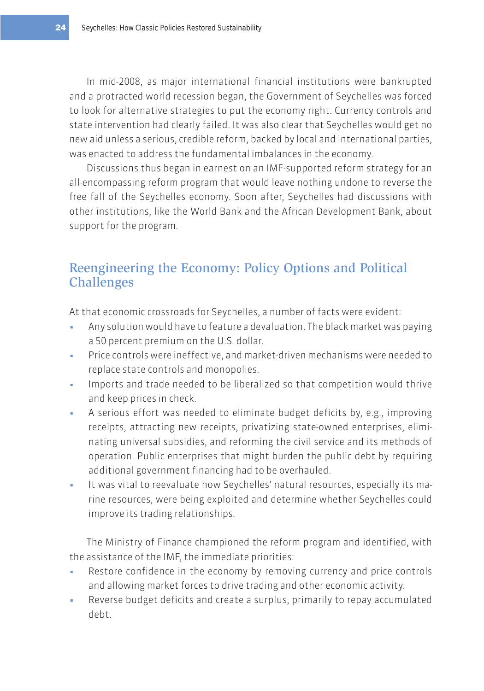In mid-2008, as major international financial institutions were bankrupted and a protracted world recession began, the Government of Seychelles was forced to look for alternative strategies to put the economy right. Currency controls and state intervention had clearly failed. It was also clear that Seychelles would get no new aid unless a serious, credible reform, backed by local and international parties, was enacted to address the fundamental imbalances in the economy.

Discussions thus began in earnest on an IMF-supported reform strategy for an all-encompassing reform program that would leave nothing undone to reverse the free fall of the Seychelles economy. Soon after, Seychelles had discussions with other institutions, like the World Bank and the African Development Bank, about support for the program.

# Reengineering the Economy: Policy Options and Political **Challenges**

At that economic crossroads for Seychelles, a number of facts were evident:

- Any solution would have to feature a devaluation. The black market was paying a 50 percent premium on the U.S. dollar.
- Price controls were ineffective, and market-driven mechanisms were needed to replace state controls and monopolies.
- Imports and trade needed to be liberalized so that competition would thrive and keep prices in check.
- A serious effort was needed to eliminate budget deficits by, e.g., improving receipts, attracting new receipts, privatizing state-owned enterprises, eliminating universal subsidies, and reforming the civil service and its methods of operation. Public enterprises that might burden the public debt by requiring additional government financing had to be overhauled.
- **t** It was vital to reevaluate how Seychelles' natural resources, especially its marine resources, were being exploited and determine whether Seychelles could improve its trading relationships.

The Ministry of Finance championed the reform program and identified, with the assistance of the IMF, the immediate priorities:

- Restore confidence in the economy by removing currency and price controls and allowing market forces to drive trading and other economic activity.
- Reverse budget deficits and create a surplus, primarily to repay accumulated debt.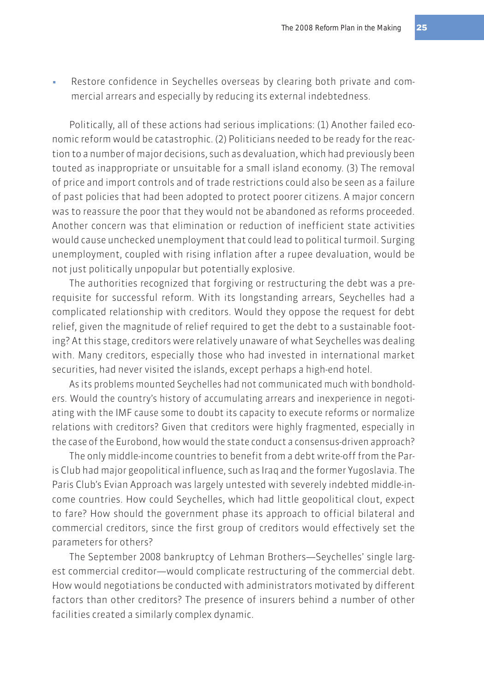Restore confidence in Seychelles overseas by clearing both private and commercial arrears and especially by reducing its external indebtedness.

Politically, all of these actions had serious implications: (1) Another failed economic reform would be catastrophic. (2) Politicians needed to be ready for the reaction to a number of major decisions, such as devaluation, which had previously been touted as inappropriate or unsuitable for a small island economy. (3) The removal of price and import controls and of trade restrictions could also be seen as a failure of past policies that had been adopted to protect poorer citizens. A major concern was to reassure the poor that they would not be abandoned as reforms proceeded. Another concern was that elimination or reduction of inefficient state activities would cause unchecked unemployment that could lead to political turmoil. Surging unemployment, coupled with rising inflation after a rupee devaluation, would be not just politically unpopular but potentially explosive.

The authorities recognized that forgiving or restructuring the debt was a prerequisite for successful reform. With its longstanding arrears, Seychelles had a complicated relationship with creditors. Would they oppose the request for debt relief, given the magnitude of relief required to get the debt to a sustainable footing? At this stage, creditors were relatively unaware of what Seychelles was dealing with. Many creditors, especially those who had invested in international market securities, had never visited the islands, except perhaps a high-end hotel.

As its problems mounted Seychelles had not communicated much with bondholders. Would the country's history of accumulating arrears and inexperience in negotiating with the IMF cause some to doubt its capacity to execute reforms or normalize relations with creditors? Given that creditors were highly fragmented, especially in the case of the Eurobond, how would the state conduct a consensus-driven approach?

The only middle-income countries to benefit from a debt write-off from the Paris Club had major geopolitical influence, such as Iraq and the former Yugoslavia. The Paris Club's Evian Approach was largely untested with severely indebted middle-income countries. How could Seychelles, which had little geopolitical clout, expect to fare? How should the government phase its approach to official bilateral and commercial creditors, since the first group of creditors would effectively set the parameters for others?

The September 2008 bankruptcy of Lehman Brothers—Seychelles' single largest commercial creditor—would complicate restructuring of the commercial debt. How would negotiations be conducted with administrators motivated by different factors than other creditors? The presence of insurers behind a number of other facilities created a similarly complex dynamic.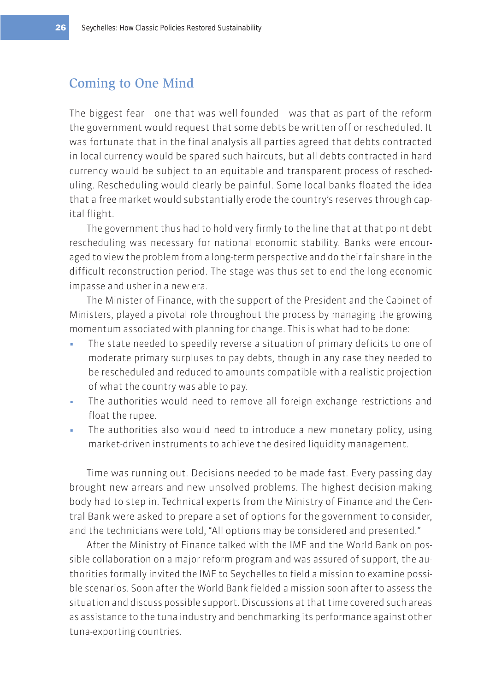## Coming to One Mind

The biggest fear—one that was well-founded—was that as part of the reform the government would request that some debts be written off or rescheduled. It was fortunate that in the final analysis all parties agreed that debts contracted in local currency would be spared such haircuts, but all debts contracted in hard currency would be subject to an equitable and transparent process of rescheduling. Rescheduling would clearly be painful. Some local banks floated the idea that a free market would substantially erode the country's reserves through capital flight.

The government thus had to hold very firmly to the line that at that point debt rescheduling was necessary for national economic stability. Banks were encouraged to view the problem from a long-term perspective and do their fair share in the difficult reconstruction period. The stage was thus set to end the long economic impasse and usher in a new era.

The Minister of Finance, with the support of the President and the Cabinet of Ministers, played a pivotal role throughout the process by managing the growing momentum associated with planning for change. This is what had to be done:

- The state needed to speedily reverse a situation of primary deficits to one of moderate primary surpluses to pay debts, though in any case they needed to be rescheduled and reduced to amounts compatible with a realistic projection of what the country was able to pay.
- The authorities would need to remove all foreign exchange restrictions and float the rupee.
- The authorities also would need to introduce a new monetary policy, using market-driven instruments to achieve the desired liquidity management.

Time was running out. Decisions needed to be made fast. Every passing day brought new arrears and new unsolved problems. The highest decision-making body had to step in. Technical experts from the Ministry of Finance and the Central Bank were asked to prepare a set of options for the government to consider, and the technicians were told, "All options may be considered and presented."

After the Ministry of Finance talked with the IMF and the World Bank on possible collaboration on a major reform program and was assured of support, the authorities formally invited the IMF to Seychelles to field a mission to examine possible scenarios. Soon after the World Bank fielded a mission soon after to assess the situation and discuss possible support. Discussions at that time covered such areas as assistance to the tuna industry and benchmarking its performance against other tuna-exporting countries.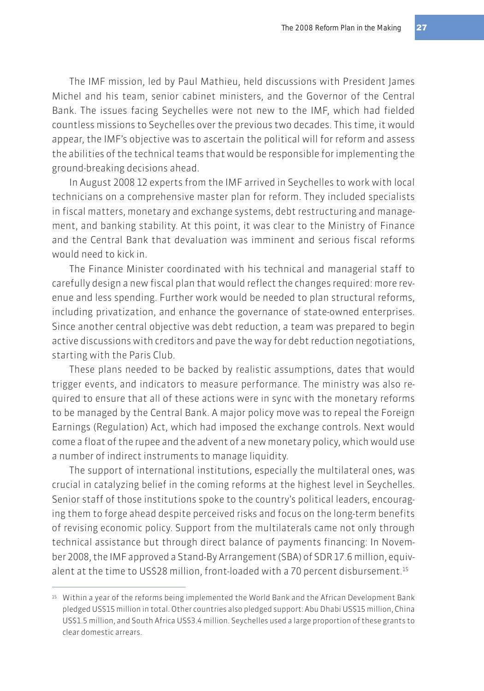The IMF mission, led by Paul Mathieu, held discussions with President James Michel and his team, senior cabinet ministers, and the Governor of the Central Bank. The issues facing Seychelles were not new to the IMF, which had fielded countless missions to Seychelles over the previous two decades. This time, it would appear, the IMF's objective was to ascertain the political will for reform and assess the abilities of the technical teams that would be responsible for implementing the ground-breaking decisions ahead.

In August 2008 12 experts from the IMF arrived in Seychelles to work with local technicians on a comprehensive master plan for reform. They included specialists in fiscal matters, monetary and exchange systems, debt restructuring and management, and banking stability. At this point, it was clear to the Ministry of Finance and the Central Bank that devaluation was imminent and serious fiscal reforms would need to kick in.

The Finance Minister coordinated with his technical and managerial staff to carefully design a new fiscal plan that would reflect the changes required: more revenue and less spending. Further work would be needed to plan structural reforms, including privatization, and enhance the governance of state-owned enterprises. Since another central objective was debt reduction, a team was prepared to begin active discussions with creditors and pave the way for debt reduction negotiations, starting with the Paris Club.

These plans needed to be backed by realistic assumptions, dates that would trigger events, and indicators to measure performance. The ministry was also required to ensure that all of these actions were in sync with the monetary reforms to be managed by the Central Bank. A major policy move was to repeal the Foreign Earnings (Regulation) Act, which had imposed the exchange controls. Next would come a float of the rupee and the advent of a new monetary policy, which would use a number of indirect instruments to manage liquidity.

The support of international institutions, especially the multilateral ones, was crucial in catalyzing belief in the coming reforms at the highest level in Seychelles. Senior staff of those institutions spoke to the country's political leaders, encouraging them to forge ahead despite perceived risks and focus on the long-term benefits of revising economic policy. Support from the multilaterals came not only through technical assistance but through direct balance of payments financing: In November 2008, the IMF approved a Stand-By Arrangement (SBA) of SDR 17.6 million, equivalent at the time to US\$28 million, front-loaded with a 70 percent disbursement.<sup>15</sup>

<sup>15</sup> Within a year of the reforms being implemented the World Bank and the African Development Bank pledged US\$15 million in total. Other countries also pledged support: Abu Dhabi US\$15 million, China US\$1.5 million, and South Africa US\$3.4 million. Seychelles used a large proportion of these grants to clear domestic arrears.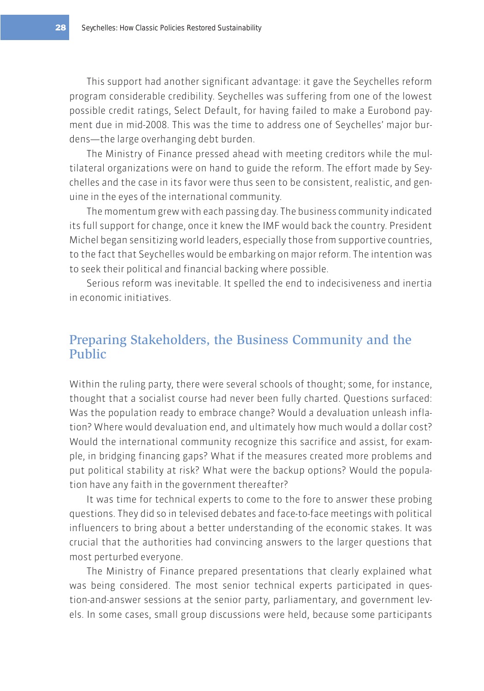This support had another significant advantage: it gave the Seychelles reform program considerable credibility. Seychelles was suffering from one of the lowest possible credit ratings, Select Default, for having failed to make a Eurobond payment due in mid-2008. This was the time to address one of Seychelles' major burdens—the large overhanging debt burden.

The Ministry of Finance pressed ahead with meeting creditors while the multilateral organizations were on hand to guide the reform. The effort made by Seychelles and the case in its favor were thus seen to be consistent, realistic, and genuine in the eyes of the international community.

The momentum grew with each passing day. The business community indicated its full support for change, once it knew the IMF would back the country. President Michel began sensitizing world leaders, especially those from supportive countries, to the fact that Seychelles would be embarking on major reform. The intention was to seek their political and financial backing where possible.

Serious reform was inevitable. It spelled the end to indecisiveness and inertia in economic initiatives.

## Preparing Stakeholders, the Business Community and the Public

Within the ruling party, there were several schools of thought; some, for instance, thought that a socialist course had never been fully charted. Questions surfaced: Was the population ready to embrace change? Would a devaluation unleash inflation? Where would devaluation end, and ultimately how much would a dollar cost? Would the international community recognize this sacrifice and assist, for example, in bridging financing gaps? What if the measures created more problems and put political stability at risk? What were the backup options? Would the population have any faith in the government thereafter?

It was time for technical experts to come to the fore to answer these probing questions. They did so in televised debates and face-to-face meetings with political influencers to bring about a better understanding of the economic stakes. It was crucial that the authorities had convincing answers to the larger questions that most perturbed everyone.

The Ministry of Finance prepared presentations that clearly explained what was being considered. The most senior technical experts participated in question-and-answer sessions at the senior party, parliamentary, and government levels. In some cases, small group discussions were held, because some participants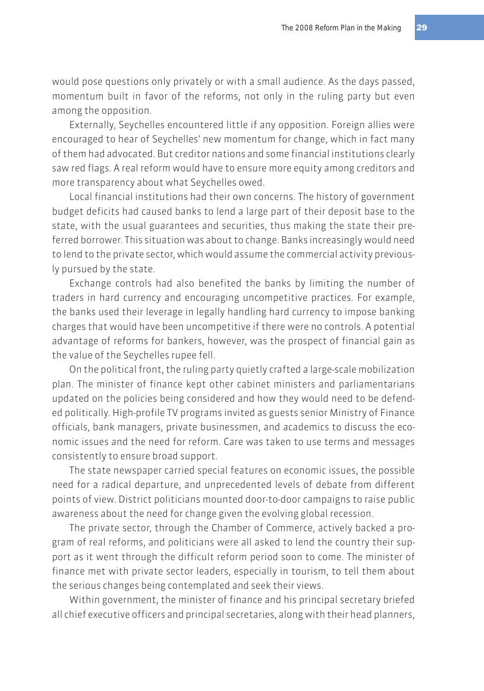would pose questions only privately or with a small audience. As the days passed, momentum built in favor of the reforms, not only in the ruling party but even among the opposition.

Externally, Seychelles encountered little if any opposition. Foreign allies were encouraged to hear of Seychelles' new momentum for change, which in fact many of them had advocated. But creditor nations and some financial institutions clearly saw red flags. A real reform would have to ensure more equity among creditors and more transparency about what Seychelles owed.

Local financial institutions had their own concerns. The history of government budget deficits had caused banks to lend a large part of their deposit base to the state, with the usual guarantees and securities, thus making the state their preferred borrower. This situation was about to change. Banks increasingly would need to lend to the private sector, which would assume the commercial activity previously pursued by the state.

Exchange controls had also benefited the banks by limiting the number of traders in hard currency and encouraging uncompetitive practices. For example, the banks used their leverage in legally handling hard currency to impose banking charges that would have been uncompetitive if there were no controls. A potential advantage of reforms for bankers, however, was the prospect of financial gain as the value of the Seychelles rupee fell.

On the political front, the ruling party quietly crafted a large-scale mobilization plan. The minister of finance kept other cabinet ministers and parliamentarians updated on the policies being considered and how they would need to be defended politically. High-profile TV programs invited as guests senior Ministry of Finance officials, bank managers, private businessmen, and academics to discuss the economic issues and the need for reform. Care was taken to use terms and messages consistently to ensure broad support.

The state newspaper carried special features on economic issues, the possible need for a radical departure, and unprecedented levels of debate from different points of view. District politicians mounted door-to-door campaigns to raise public awareness about the need for change given the evolving global recession.

The private sector, through the Chamber of Commerce, actively backed a program of real reforms, and politicians were all asked to lend the country their support as it went through the difficult reform period soon to come. The minister of finance met with private sector leaders, especially in tourism, to tell them about the serious changes being contemplated and seek their views.

Within government, the minister of finance and his principal secretary briefed all chief executive officers and principal secretaries, along with their head planners,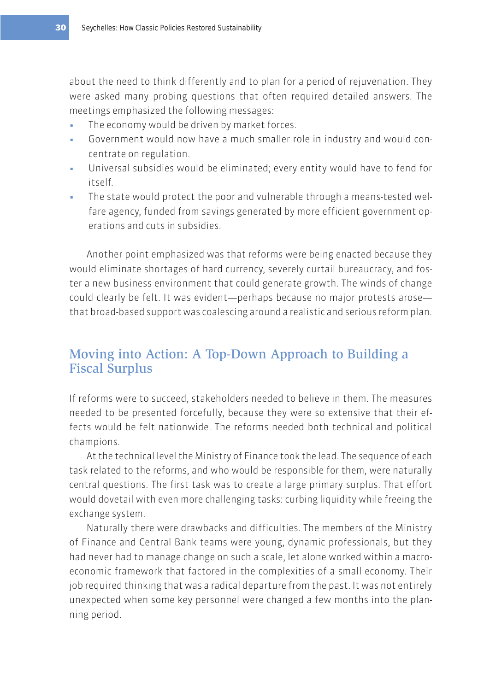about the need to think differently and to plan for a period of rejuvenation. They were asked many probing questions that often required detailed answers. The meetings emphasized the following messages:

- The economy would be driven by market forces.
- Government would now have a much smaller role in industry and would concentrate on regulation.
- Universal subsidies would be eliminated; every entity would have to fend for itself.
- The state would protect the poor and vulnerable through a means-tested welfare agency, funded from savings generated by more efficient government operations and cuts in subsidies.

Another point emphasized was that reforms were being enacted because they would eliminate shortages of hard currency, severely curtail bureaucracy, and foster a new business environment that could generate growth. The winds of change could clearly be felt. It was evident—perhaps because no major protests arose that broad-based support was coalescing around a realistic and serious reform plan.

# Moving into Action: A Top-Down Approach to Building a Fiscal Surplus

If reforms were to succeed, stakeholders needed to believe in them. The measures needed to be presented forcefully, because they were so extensive that their effects would be felt nationwide. The reforms needed both technical and political champions.

At the technical level the Ministry of Finance took the lead. The sequence of each task related to the reforms, and who would be responsible for them, were naturally central questions. The first task was to create a large primary surplus. That effort would dovetail with even more challenging tasks: curbing liquidity while freeing the exchange system.

Naturally there were drawbacks and difficulties. The members of the Ministry of Finance and Central Bank teams were young, dynamic professionals, but they had never had to manage change on such a scale, let alone worked within a macroeconomic framework that factored in the complexities of a small economy. Their job required thinking that was a radical departure from the past. It was not entirely unexpected when some key personnel were changed a few months into the planning period.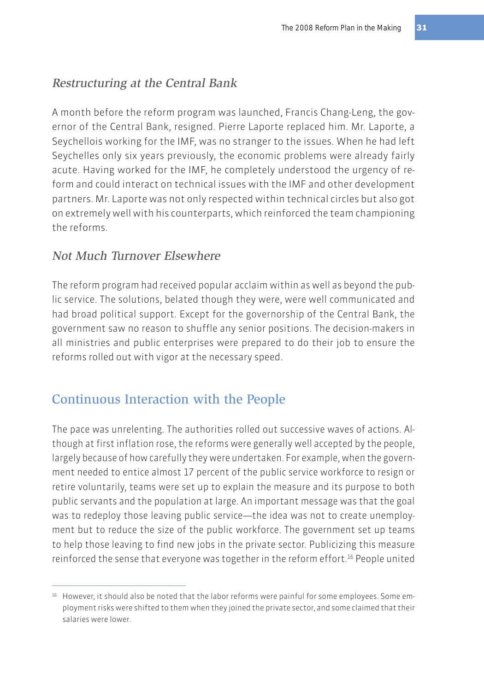## Restructuring at the Central Bank

A month before the reform program was launched, Francis Chang-Leng, the governor of the Central Bank, resigned. Pierre Laporte replaced him. Mr. Laporte, a Seychellois working for the IMF, was no stranger to the issues. When he had left Seychelles only six years previously, the economic problems were already fairly acute. Having worked for the IMF, he completely understood the urgency of reform and could interact on technical issues with the IMF and other development partners. Mr. Laporte was not only respected within technical circles but also got on extremely well with his counterparts, which reinforced the team championing the reforms.

#### Not Much Turnover Elsewhere

The reform program had received popular acclaim within as well as beyond the public service. The solutions, belated though they were, were well communicated and had broad political support. Except for the governorship of the Central Bank, the government saw no reason to shuffle any senior positions. The decision-makers in all ministries and public enterprises were prepared to do their job to ensure the reforms rolled out with vigor at the necessary speed.

# Continuous Interaction with the People

The pace was unrelenting. The authorities rolled out successive waves of actions. Although at first inflation rose, the reforms were generally well accepted by the people, largely because of how carefully they were undertaken. For example, when the government needed to entice almost 17 percent of the public service workforce to resign or retire voluntarily, teams were set up to explain the measure and its purpose to both public servants and the population at large. An important message was that the goal was to redeploy those leaving public service—the idea was not to create unemployment but to reduce the size of the public workforce. The government set up teams to help those leaving to find new jobs in the private sector. Publicizing this measure reinforced the sense that everyone was together in the reform effort.<sup>16</sup> People united

<sup>16</sup> However, it should also be noted that the labor reforms were painful for some employees. Some employment risks were shifted to them when they joined the private sector, and some claimed that their salaries were lower.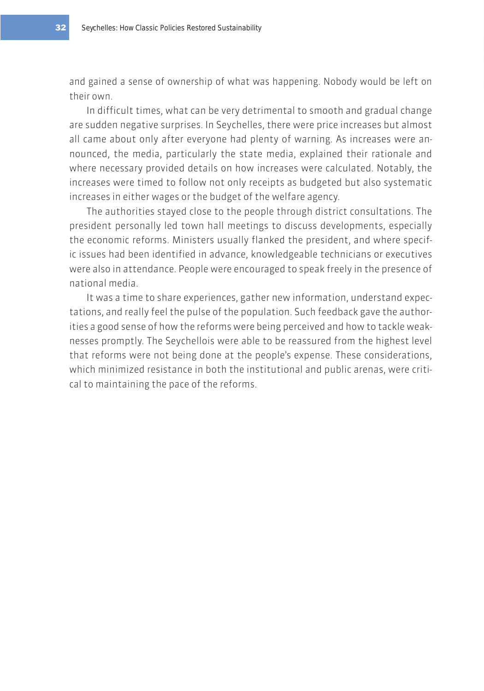and gained a sense of ownership of what was happening. Nobody would be left on their own.

In difficult times, what can be very detrimental to smooth and gradual change are sudden negative surprises. In Seychelles, there were price increases but almost all came about only after everyone had plenty of warning. As increases were announced, the media, particularly the state media, explained their rationale and where necessary provided details on how increases were calculated. Notably, the increases were timed to follow not only receipts as budgeted but also systematic increases in either wages or the budget of the welfare agency.

The authorities stayed close to the people through district consultations. The president personally led town hall meetings to discuss developments, especially the economic reforms. Ministers usually flanked the president, and where specific issues had been identified in advance, knowledgeable technicians or executives were also in attendance. People were encouraged to speak freely in the presence of national media.

It was a time to share experiences, gather new information, understand expectations, and really feel the pulse of the population. Such feedback gave the authorities a good sense of how the reforms were being perceived and how to tackle weaknesses promptly. The Seychellois were able to be reassured from the highest level that reforms were not being done at the people's expense. These considerations, which minimized resistance in both the institutional and public arenas, were critical to maintaining the pace of the reforms.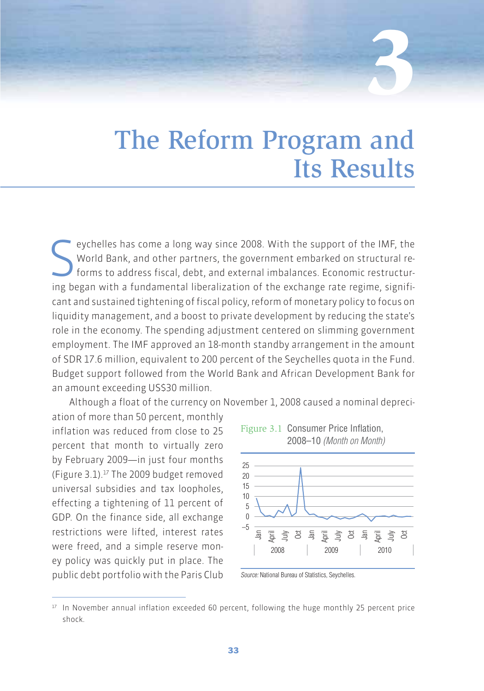# The Reform Program and Its Results

**3**

eychelles has come a long way since 2008. With the support of the IMF, the World Bank, and other partners, the government embarked on structural reforms to address fiscal, debt, and external imbalances. Economic restructur eychelles has come a long way since 2008. With the support of the IMF, the World Bank, and other partners, the government embarked on structural reforms to address fiscal, debt, and external imbalances. Economic restructurcant and sustained tightening of fiscal policy, reform of monetary policy to focus on liquidity management, and a boost to private development by reducing the state's role in the economy. The spending adjustment centered on slimming government employment. The IMF approved an 18-month standby arrangement in the amount of SDR 17.6 million, equivalent to 200 percent of the Seychelles quota in the Fund. Budget support followed from the World Bank and African Development Bank for an amount exceeding US\$30 million.

Although a float of the currency on November 1, 2008 caused a nominal depreci-

ation of more than 50 percent, monthly inflation was reduced from close to 25 percent that month to virtually zero by February 2009—in just four months (Figure 3.1).17 The 2009 budget removed universal subsidies and tax loopholes, effecting a tightening of 11 percent of GDP. On the finance side, all exchange restrictions were lifted, interest rates were freed, and a simple reserve money policy was quickly put in place. The public debt portfolio with the Paris Club





Source: National Bureau of Statistics, Seychelles.

<sup>17</sup> In November annual inflation exceeded 60 percent, following the huge monthly 25 percent price shock.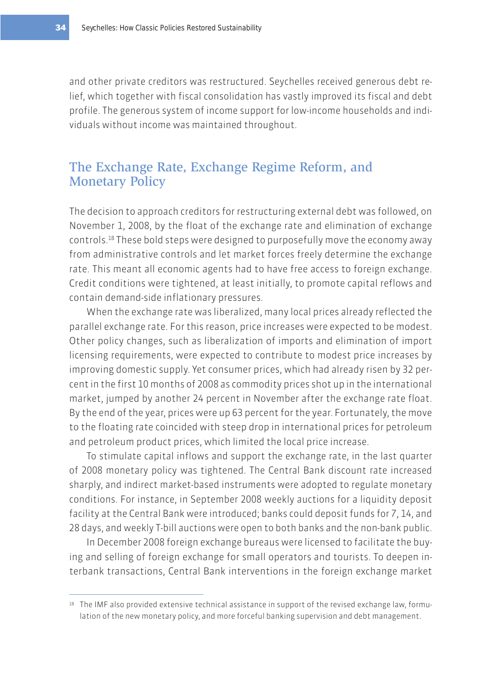and other private creditors was restructured. Seychelles received generous debt relief, which together with fiscal consolidation has vastly improved its fiscal and debt profile. The generous system of income support for low-income households and individuals without income was maintained throughout.

## The Exchange Rate, Exchange Regime Reform, and Monetary Policy

The decision to approach creditors for restructuring external debt was followed, on November 1, 2008, by the float of the exchange rate and elimination of exchange controls.18 These bold steps were designed to purposefully move the economy away from administrative controls and let market forces freely determine the exchange rate. This meant all economic agents had to have free access to foreign exchange. Credit conditions were tightened, at least initially, to promote capital reflows and contain demand-side inflationary pressures.

When the exchange rate was liberalized, many local prices already reflected the parallel exchange rate. For this reason, price increases were expected to be modest. Other policy changes, such as liberalization of imports and elimination of import licensing requirements, were expected to contribute to modest price increases by improving domestic supply. Yet consumer prices, which had already risen by 32 percent in the first 10 months of 2008 as commodity prices shot up in the international market, jumped by another 24 percent in November after the exchange rate float. By the end of the year, prices were up 63 percent for the year. Fortunately, the move to the floating rate coincided with steep drop in international prices for petroleum and petroleum product prices, which limited the local price increase.

To stimulate capital inflows and support the exchange rate, in the last quarter of 2008 monetary policy was tightened. The Central Bank discount rate increased sharply, and indirect market-based instruments were adopted to regulate monetary conditions. For instance, in September 2008 weekly auctions for a liquidity deposit facility at the Central Bank were introduced; banks could deposit funds for 7, 14, and 28 days, and weekly T-bill auctions were open to both banks and the non-bank public.

In December 2008 foreign exchange bureaus were licensed to facilitate the buying and selling of foreign exchange for small operators and tourists. To deepen interbank transactions, Central Bank interventions in the foreign exchange market

<sup>18</sup> The IMF also provided extensive technical assistance in support of the revised exchange law, formulation of the new monetary policy, and more forceful banking supervision and debt management.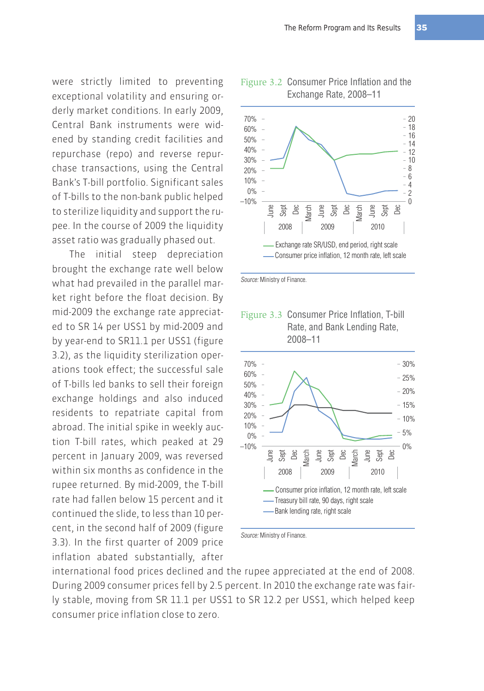were strictly limited to preventing exceptional volatility and ensuring orderly market conditions. In early 2009, Central Bank instruments were widened by standing credit facilities and repurchase (repo) and reverse repurchase transactions, using the Central Bank's T-bill portfolio. Significant sales of T-bills to the non-bank public helped to sterilize liquidity and support the rupee. In the course of 2009 the liquidity asset ratio was gradually phased out.

The initial steep depreciation brought the exchange rate well below what had prevailed in the parallel market right before the float decision. By mid-2009 the exchange rate appreciated to SR 14 per US\$1 by mid-2009 and by year-end to SR11.1 per US\$1 (figure 3.2), as the liquidity sterilization operations took effect; the successful sale of T-bills led banks to sell their foreign exchange holdings and also induced residents to repatriate capital from abroad. The initial spike in weekly auction T-bill rates, which peaked at 29 percent in January 2009, was reversed within six months as confidence in the rupee returned. By mid-2009, the T-bill rate had fallen below 15 percent and it continued the slide, to less than 10 percent, in the second half of 2009 (figure 3.3). In the first quarter of 2009 price inflation abated substantially, after



#### Figure 3.2 Consumer Price Inflation and the Exchange Rate, 2008–11

Source: Ministry of Finance.





Source: Ministry of Finance.

international food prices declined and the rupee appreciated at the end of 2008. During 2009 consumer prices fell by 2.5 percent. In 2010 the exchange rate was fairly stable, moving from SR 11.1 per US\$1 to SR 12.2 per US\$1, which helped keep consumer price inflation close to zero.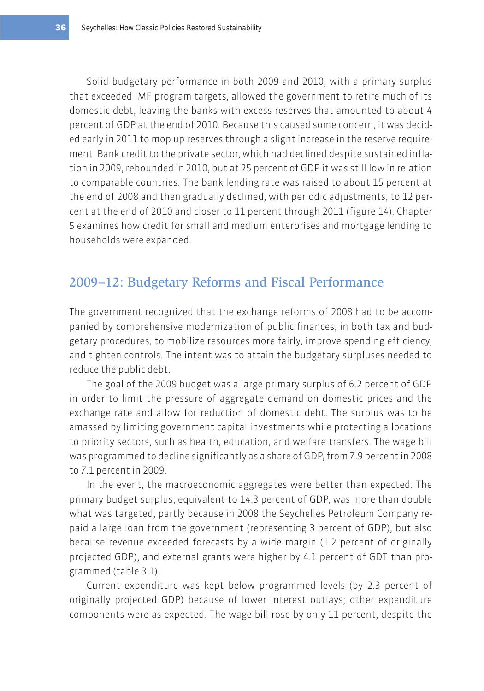Solid budgetary performance in both 2009 and 2010, with a primary surplus that exceeded IMF program targets, allowed the government to retire much of its domestic debt, leaving the banks with excess reserves that amounted to about 4 percent of GDP at the end of 2010. Because this caused some concern, it was decided early in 2011 to mop up reserves through a slight increase in the reserve requirement. Bank credit to the private sector, which had declined despite sustained inflation in 2009, rebounded in 2010, but at 25 percent of GDP it was still low in relation to comparable countries. The bank lending rate was raised to about 15 percent at the end of 2008 and then gradually declined, with periodic adjustments, to 12 percent at the end of 2010 and closer to 11 percent through 2011 (figure 14). Chapter 5 examines how credit for small and medium enterprises and mortgage lending to households were expanded.

### 2009–12: Budgetary Reforms and Fiscal Performance

The government recognized that the exchange reforms of 2008 had to be accompanied by comprehensive modernization of public finances, in both tax and budgetary procedures, to mobilize resources more fairly, improve spending efficiency, and tighten controls. The intent was to attain the budgetary surpluses needed to reduce the public debt.

The goal of the 2009 budget was a large primary surplus of 6.2 percent of GDP in order to limit the pressure of aggregate demand on domestic prices and the exchange rate and allow for reduction of domestic debt. The surplus was to be amassed by limiting government capital investments while protecting allocations to priority sectors, such as health, education, and welfare transfers. The wage bill was programmed to decline significantly as a share of GDP, from 7.9 percent in 2008 to 7.1 percent in 2009.

In the event, the macroeconomic aggregates were better than expected. The primary budget surplus, equivalent to 14.3 percent of GDP, was more than double what was targeted, partly because in 2008 the Seychelles Petroleum Company repaid a large loan from the government (representing 3 percent of GDP), but also because revenue exceeded forecasts by a wide margin (1.2 percent of originally projected GDP), and external grants were higher by 4.1 percent of GDT than programmed (table 3.1).

Current expenditure was kept below programmed levels (by 2.3 percent of originally projected GDP) because of lower interest outlays; other expenditure components were as expected. The wage bill rose by only 11 percent, despite the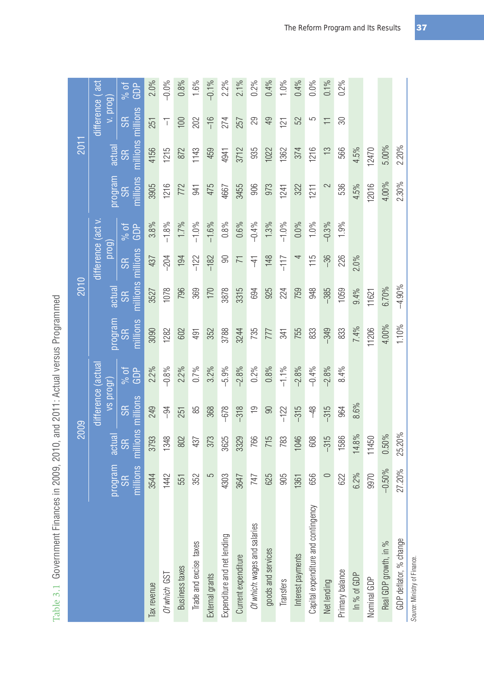|                                     |                       | 2009                  |                                       |               |                       | 2010                  |                              |             |                       | 2011                  |                             |             |
|-------------------------------------|-----------------------|-----------------------|---------------------------------------|---------------|-----------------------|-----------------------|------------------------------|-------------|-----------------------|-----------------------|-----------------------------|-------------|
|                                     | program               | actual                | difference (actual<br><b>IDOJI</b> SV |               | program               | actual                | $d$ ifference (act v<br>prog |             | program               | actual                | difference (act<br>v. prog) |             |
|                                     | millions<br><b>SR</b> | nillions<br>${\sf S}$ | millions<br>œ                         | GDP<br>$%$ of | nillions<br><b>SR</b> | nillions<br><b>SR</b> | millions<br>œ                | GDP<br>% of | nillions<br><b>SR</b> | nillions<br><b>SR</b> | millions<br><b>SR</b>       | GDP<br>% of |
| Tax revenue                         | 3544                  | 3793                  | 249                                   | 2.2%          | 3090                  | 3527                  | 437                          | 3.8%        | 3905                  | 4156                  | 251                         | 2.0%        |
| Of which GST                        | 1442                  | 1348                  | $\frac{4}{5}$                         | $-0.8%$       | 1282                  | 1078                  | $-204$                       | $-1.8%$     | 1216                  | 1215                  | $\overline{\top}$           | $-0.0%$     |
| <b>Business taxes</b>               | 551                   | 802                   | 251                                   | 2.2%          | 602                   | 796                   | 194                          | 1.7%        | 772                   | 872                   | 100                         | 0.8%        |
| Trade and excise taxes              | 352                   | 437                   | 85                                    | 0.7%          | 491                   | 369                   | $-122$                       | $-1.0\%$    | 941                   | 1143                  | 202                         | 1.6%        |
| External grants                     | 5                     | 373                   | 368                                   | 3.2%          | 352                   | 170                   | $-182$                       | $-1.6%$     | 475                   | 459                   | $-16$                       | $-0.1%$     |
| Expenditure and net lending         | 4303                  | 3625                  | $-678$                                | $-5.9%$       | 3788                  | 3878                  | 90                           | 0.8%        | 4667                  | 4941                  | 274                         | $2.2\%$     |
| Current expenditure                 | 3647                  | 3329                  | $-318$                                | $-2.8%$       | 3244                  | 3315                  | $\overline{7}$               | 0.6%        | 3455                  | 3712                  | 257                         | $2.1\%$     |
| Of which: wages and salaries        | 747                   | 766                   | $\overline{e}$                        | $0.2\%$       | 735                   | 694                   | $-41$                        | $-0.4%$     | 906                   | 935                   | 29                          | $0.2\%$     |
| goods and services                  | 625                   | 715                   | $\Theta$                              | 0.8%          | 777                   | 925                   | 148                          | 1.3%        | 973                   | 1022                  | 49                          | 0.4%        |
| Transfers                           | 905                   | 783                   | $-122$                                | $-1.1\%$      | 341                   | 224                   | $-117$                       | $-1.0\%$    | 1241                  | 1362                  | 121                         | $1.0\%$     |
| Interest payments                   | 1361                  | 1046                  | $-315$                                | $-2.8%$       | 755                   | 759                   | 4                            | 0.0%        | 322                   | 374                   | 52                          | 0.4%        |
| Capital expenditure and contingency | 656                   | 608                   | $-48$                                 | $-0.4%$       | 833                   | 948                   | 115                          | 1.0%        | 1211                  | 1216                  | 5                           | $0.0\%$     |
| Net lending                         | $\circ$               | $-315$                | $-315$                                | $-2.8%$       | $-349$                | $-385$                | $-36$                        | $-0.3\%$    | 2                     | $\frac{1}{2}$         | ≓                           | $0.1\%$     |
| Primary balance                     | 622                   | 1586                  | 964                                   | 8.4%          | 833                   | 1059                  | 226                          | 1.9%        | 536                   | 566                   | 30                          | $0.2\%$     |
| In % of GDP                         | 6.2%                  | 14.8%                 | 8.6%                                  |               | 7.4%                  | 9.4%                  | $2.0\%$                      |             | 4.5%                  | 4.5%                  |                             |             |
| Nominal GDP                         | 9970                  | 11450                 |                                       |               | 11206                 | 11621                 |                              |             | 12016                 | 12470                 |                             |             |
| Real GDP growth, in %               | $-0.50%$              | $0.50\%$              |                                       |               | 4.00%                 | 6.70%                 |                              |             | 4.00%                 | 5.00%                 |                             |             |
| GDP deflator, % change              | 27.20%                | 25.20%                |                                       |               | 1.10%                 | $-4.90%$              |                              |             | 2.30%                 | 2.20%                 |                             |             |

Table 3.1 Government Finances in 2009, 2010, and 2011: Actual versus Programmed Table 3.1 Government Finances in 2009, 2010, and 2011: Actual versus Programmed

Source: Ministry of Finance. Source: Ministry of Finance.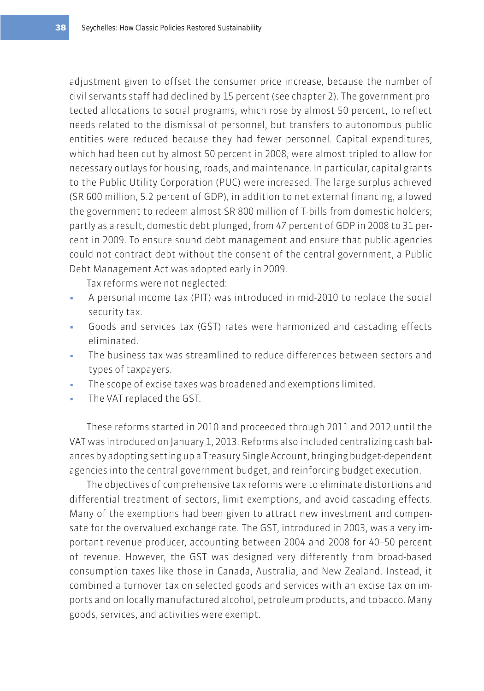adjustment given to offset the consumer price increase, because the number of civil servants staff had declined by 15 percent (see chapter 2). The government protected allocations to social programs, which rose by almost 50 percent, to reflect needs related to the dismissal of personnel, but transfers to autonomous public entities were reduced because they had fewer personnel. Capital expenditures, which had been cut by almost 50 percent in 2008, were almost tripled to allow for necessary outlays for housing, roads, and maintenance. In particular, capital grants to the Public Utility Corporation (PUC) were increased. The large surplus achieved (SR 600 million, 5.2 percent of GDP), in addition to net external financing, allowed the government to redeem almost SR 800 million of T-bills from domestic holders; partly as a result, domestic debt plunged, from 47 percent of GDP in 2008 to 31 percent in 2009. To ensure sound debt management and ensure that public agencies could not contract debt without the consent of the central government, a Public Debt Management Act was adopted early in 2009.

Tax reforms were not neglected:

- A personal income tax (PIT) was introduced in mid-2010 to replace the social security tax.
- Goods and services tax (GST) rates were harmonized and cascading effects eliminated.
- The business tax was streamlined to reduce differences between sectors and types of taxpayers.
- The scope of excise taxes was broadened and exemptions limited.
- The VAT replaced the GST.

These reforms started in 2010 and proceeded through 2011 and 2012 until the VAT was introduced on January 1, 2013. Reforms also included centralizing cash balances by adopting setting up a Treasury Single Account, bringing budget-dependent agencies into the central government budget, and reinforcing budget execution.

The objectives of comprehensive tax reforms were to eliminate distortions and differential treatment of sectors, limit exemptions, and avoid cascading effects. Many of the exemptions had been given to attract new investment and compensate for the overvalued exchange rate. The GST, introduced in 2003, was a very important revenue producer, accounting between 2004 and 2008 for 40–50 percent of revenue. However, the GST was designed very differently from broad-based consumption taxes like those in Canada, Australia, and New Zealand. Instead, it combined a turnover tax on selected goods and services with an excise tax on imports and on locally manufactured alcohol, petroleum products, and tobacco. Many goods, services, and activities were exempt.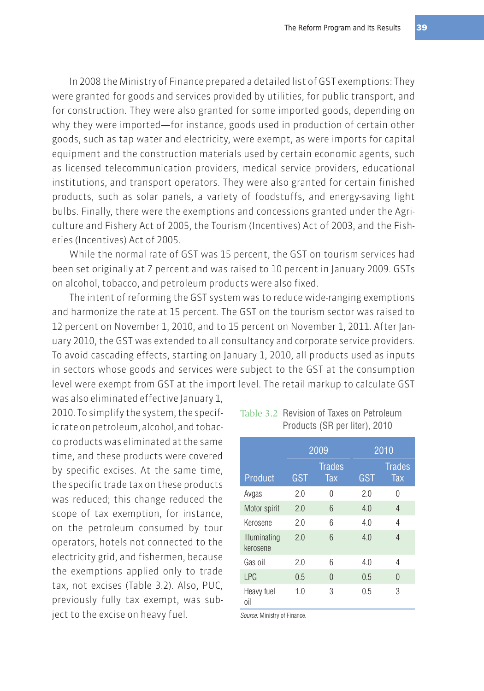In 2008 the Ministry of Finance prepared a detailed list of GST exemptions: They were granted for goods and services provided by utilities, for public transport, and for construction. They were also granted for some imported goods, depending on why they were imported—for instance, goods used in production of certain other goods, such as tap water and electricity, were exempt, as were imports for capital equipment and the construction materials used by certain economic agents, such as licensed telecommunication providers, medical service providers, educational institutions, and transport operators. They were also granted for certain finished products, such as solar panels, a variety of foodstuffs, and energy-saving light bulbs. Finally, there were the exemptions and concessions granted under the Agriculture and Fishery Act of 2005, the Tourism (Incentives) Act of 2003, and the Fisheries (Incentives) Act of 2005.

While the normal rate of GST was 15 percent, the GST on tourism services had been set originally at 7 percent and was raised to 10 percent in January 2009. GSTs on alcohol, tobacco, and petroleum products were also fixed.

The intent of reforming the GST system was to reduce wide-ranging exemptions and harmonize the rate at 15 percent. The GST on the tourism sector was raised to 12 percent on November 1, 2010, and to 15 percent on November 1, 2011. After January 2010, the GST was extended to all consultancy and corporate service providers. To avoid cascading effects, starting on January 1, 2010, all products used as inputs in sectors whose goods and services were subject to the GST at the consumption level were exempt from GST at the import level. The retail markup to calculate GST

was also eliminated effective January 1, 2010. To simplify the system, the specific rate on petroleum, alcohol, and tobacco products was eliminated at the same time, and these products were covered by specific excises. At the same time, the specific trade tax on these products was reduced; this change reduced the scope of tax exemption, for instance, on the petroleum consumed by tour operators, hotels not connected to the electricity grid, and fishermen, because the exemptions applied only to trade tax, not excises (Table 3.2). Also, PUC, previously fully tax exempt, was subject to the excise on heavy fuel.

Table 3.2 Revision of Taxes on Petroleum Products (SR per liter), 2010

|                          | 2009 |                      | 2010 |                      |  |
|--------------------------|------|----------------------|------|----------------------|--|
| Product                  | GST  | <b>Trades</b><br>Tax | GST  | <b>Trades</b><br>Tax |  |
| Avgas                    | 2.0  | 0                    | 20   | U                    |  |
| Motor spirit             | 2.0  | 6                    | 4.0  | 4                    |  |
| Kerosene                 | 2.0  | 6                    | 4.0  | 4                    |  |
| Illuminating<br>kerosene | 2.0  | 6                    | 4.0  | 4                    |  |
| Gas oil                  | 2.0  | 6                    | 4.0  | 4                    |  |
| LPG                      | 0.5  | 0                    | 0.5  | $\Omega$             |  |
| Heavy fuel<br>oil        | 1.0  | 3                    | 0.5  | 3                    |  |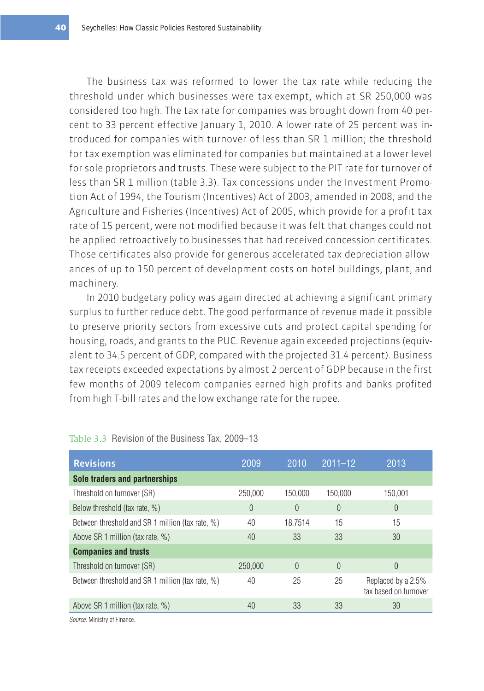The business tax was reformed to lower the tax rate while reducing the threshold under which businesses were tax-exempt, which at SR 250,000 was considered too high. The tax rate for companies was brought down from 40 percent to 33 percent effective January 1, 2010. A lower rate of 25 percent was introduced for companies with turnover of less than SR 1 million; the threshold for tax exemption was eliminated for companies but maintained at a lower level for sole proprietors and trusts. These were subject to the PIT rate for turnover of less than SR 1 million (table 3.3). Tax concessions under the Investment Promotion Act of 1994, the Tourism (Incentives) Act of 2003, amended in 2008, and the Agriculture and Fisheries (Incentives) Act of 2005, which provide for a profit tax rate of 15 percent, were not modified because it was felt that changes could not be applied retroactively to businesses that had received concession certificates. Those certificates also provide for generous accelerated tax depreciation allowances of up to 150 percent of development costs on hotel buildings, plant, and machinery.

In 2010 budgetary policy was again directed at achieving a significant primary surplus to further reduce debt. The good performance of revenue made it possible to preserve priority sectors from excessive cuts and protect capital spending for housing, roads, and grants to the PUC. Revenue again exceeded projections (equivalent to 34.5 percent of GDP, compared with the projected 31.4 percent). Business tax receipts exceeded expectations by almost 2 percent of GDP because in the first few months of 2009 telecom companies earned high profits and banks profited from high T-bill rates and the low exchange rate for the rupee.

| <b>Revisions</b>                                 | 2009     | 2010     | $2011 - 12$ | 2013                                        |
|--------------------------------------------------|----------|----------|-------------|---------------------------------------------|
| Sole traders and partnerships                    |          |          |             |                                             |
| Threshold on turnover (SR)                       | 250.000  | 150.000  | 150,000     | 150.001                                     |
| Below threshold (tax rate, %)                    | $\theta$ | $\theta$ | $\theta$    | 0                                           |
| Between threshold and SR 1 million (tax rate, %) | 40       | 18.7514  | 15          | 15                                          |
| Above SR 1 million (tax rate, %)                 | 40       | 33       | 33          | 30                                          |
| <b>Companies and trusts</b>                      |          |          |             |                                             |
| Threshold on turnover (SR)                       | 250,000  | $\Omega$ | $\theta$    | 0                                           |
| Between threshold and SR 1 million (tax rate, %) | 40       | 25       | 25          | Replaced by a 2.5%<br>tax based on turnover |
| Above SR 1 million (tax rate, %)                 | 40       | 33       | 33          | 30                                          |

#### Table 3.3 Revision of the Business Tax, 2009–13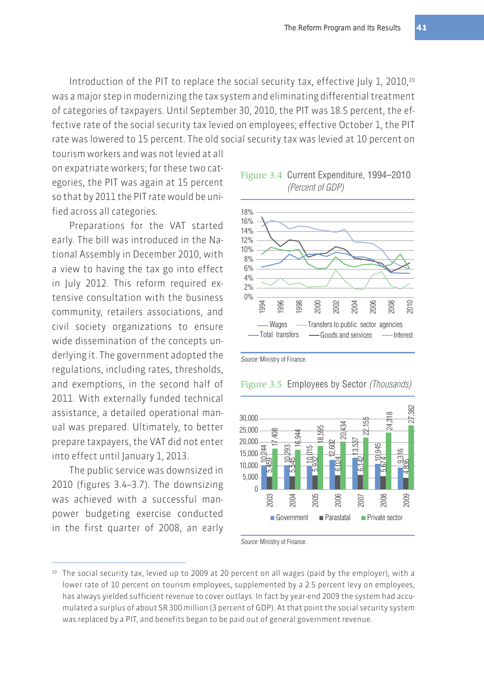Introduction of the PIT to replace the social security tax, effective July 1, 2010, $19$ was a major step in modernizing the tax system and eliminating differential treatment of categories of taxpayers. Until September 30, 2010, the PIT was 18.5 percent, the effective rate of the social security tax levied on employees; effective October 1, the PIT rate was lowered to 15 percent. The old social security tax was levied at 10 percent on

tourism workers and was not levied at all on expatriate workers; for these two categories, the PIT was again at 15 percent so that by 2011 the PIT rate would be unified across all categories.

Preparations for the VAT started early. The bill was introduced in the National Assembly in December 2010, with a view to having the tax go into effect in July 2012. This reform required extensive consultation with the business community, retailers associations, and civil society organizations to ensure wide dissemination of the concepts underlying it. The government adopted the regulations, including rates, thresholds, and exemptions, in the second half of 2011. With externally funded technical assistance, a detailed operational manual was prepared. Ultimately, to better prepare taxpayers, the VAT did not enter into effect until January 1, 2013.

The public service was downsized in 2010 (figures 3.4–3.7). The downsizing was achieved with a successful manpower budgeting exercise conducted in the first quarter of 2008, an early





Source: Ministry of Finance.

#### Figure 3.5 Employees by Sector (Thousands)



<sup>19</sup> The social security tax, levied up to 2009 at 20 percent on all wages (paid by the employer), with a lower rate of 10 percent on tourism employees, supplemented by a 2.5 percent levy on employees, has always yielded sufficient revenue to cover outlays. In fact by year-end 2009 the system had accumulated a surplus of about SR 300 million (3 percent of GDP). At that point the social security system was replaced by a PIT, and benefits began to be paid out of general government revenue.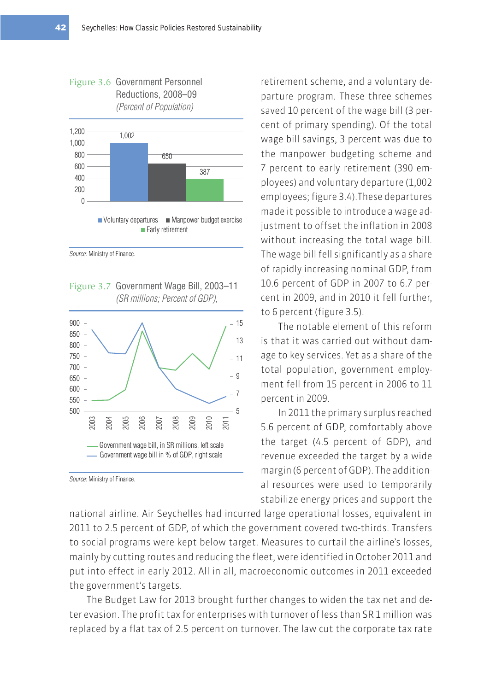



Source: Ministry of Finance.

Figure 3.7 Government Wage Bill, 2003–11 (SR millions; Percent of GDP),



Source: Ministry of Finance.

retirement scheme, and a voluntary departure program. These three schemes saved 10 percent of the wage bill (3 percent of primary spending). Of the total wage bill savings, 3 percent was due to the manpower budgeting scheme and 7 percent to early retirement (390 employees) and voluntary departure (1,002 employees; figure 3.4).These departures made it possible to introduce a wage adjustment to offset the inflation in 2008 without increasing the total wage bill. The wage bill fell significantly as a share of rapidly increasing nominal GDP, from 10.6 percent of GDP in 2007 to 6.7 percent in 2009, and in 2010 it fell further, to 6 percent (figure 3.5).

The notable element of this reform is that it was carried out without damage to key services. Yet as a share of the total population, government employment fell from 15 percent in 2006 to 11 percent in 2009.

In 2011 the primary surplus reached 5.6 percent of GDP, comfortably above the target (4.5 percent of GDP), and revenue exceeded the target by a wide margin (6 percent of GDP). The additional resources were used to temporarily stabilize energy prices and support the

national airline. Air Seychelles had incurred large operational losses, equivalent in 2011 to 2.5 percent of GDP, of which the government covered two-thirds. Transfers to social programs were kept below target. Measures to curtail the airline's losses, mainly by cutting routes and reducing the fleet, were identified in October 2011 and put into effect in early 2012. All in all, macroeconomic outcomes in 2011 exceeded the government's targets.

The Budget Law for 2013 brought further changes to widen the tax net and deter evasion. The profit tax for enterprises with turnover of less than SR 1 million was replaced by a flat tax of 2.5 percent on turnover. The law cut the corporate tax rate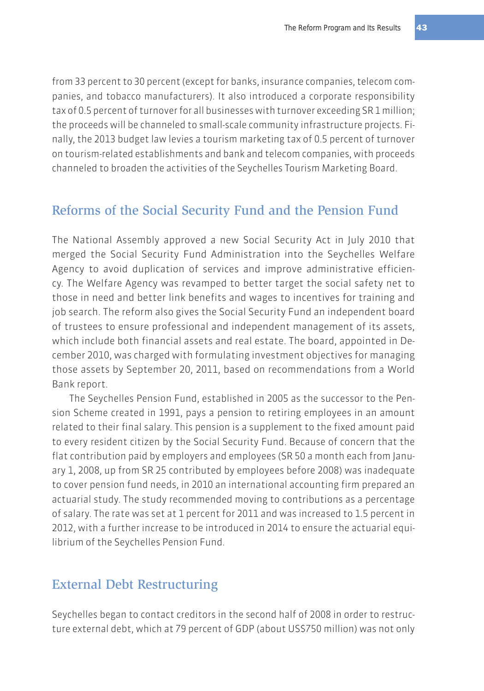from 33 percent to 30 percent (except for banks, insurance companies, telecom companies, and tobacco manufacturers). It also introduced a corporate responsibility tax of 0.5 percent of turnover for all businesses with turnover exceeding SR 1 million; the proceeds will be channeled to small-scale community infrastructure projects. Finally, the 2013 budget law levies a tourism marketing tax of 0.5 percent of turnover on tourism-related establishments and bank and telecom companies, with proceeds channeled to broaden the activities of the Seychelles Tourism Marketing Board.

#### Reforms of the Social Security Fund and the Pension Fund

The National Assembly approved a new Social Security Act in July 2010 that merged the Social Security Fund Administration into the Seychelles Welfare Agency to avoid duplication of services and improve administrative efficiency. The Welfare Agency was revamped to better target the social safety net to those in need and better link benefits and wages to incentives for training and job search. The reform also gives the Social Security Fund an independent board of trustees to ensure professional and independent management of its assets, which include both financial assets and real estate. The board, appointed in December 2010, was charged with formulating investment objectives for managing those assets by September 20, 2011, based on recommendations from a World Bank report.

The Seychelles Pension Fund, established in 2005 as the successor to the Pension Scheme created in 1991, pays a pension to retiring employees in an amount related to their final salary. This pension is a supplement to the fixed amount paid to every resident citizen by the Social Security Fund. Because of concern that the flat contribution paid by employers and employees (SR 50 a month each from January 1, 2008, up from SR 25 contributed by employees before 2008) was inadequate to cover pension fund needs, in 2010 an international accounting firm prepared an actuarial study. The study recommended moving to contributions as a percentage of salary. The rate was set at 1 percent for 2011 and was increased to 1.5 percent in 2012, with a further increase to be introduced in 2014 to ensure the actuarial equilibrium of the Seychelles Pension Fund.

## External Debt Restructuring

Seychelles began to contact creditors in the second half of 2008 in order to restructure external debt, which at 79 percent of GDP (about US\$750 million) was not only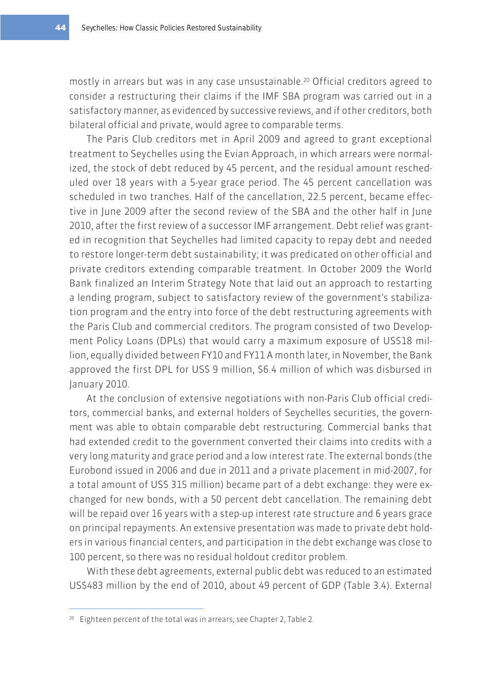mostly in arrears but was in any case unsustainable.20 Official creditors agreed to consider a restructuring their claims if the IMF SBA program was carried out in a satisfactory manner, as evidenced by successive reviews, and if other creditors, both bilateral official and private, would agree to comparable terms.

The Paris Club creditors met in April 2009 and agreed to grant exceptional treatment to Seychelles using the Evian Approach, in which arrears were normalized, the stock of debt reduced by 45 percent, and the residual amount rescheduled over 18 years with a 5-year grace period. The 45 percent cancellation was scheduled in two tranches. Half of the cancellation, 22.5 percent, became effective in June 2009 after the second review of the SBA and the other half in June 2010, after the first review of a successor IMF arrangement. Debt relief was granted in recognition that Seychelles had limited capacity to repay debt and needed to restore longer-term debt sustainability; it was predicated on other official and private creditors extending comparable treatment. In October 2009 the World Bank finalized an Interim Strategy Note that laid out an approach to restarting a lending program, subject to satisfactory review of the government's stabilization program and the entry into force of the debt restructuring agreements with the Paris Club and commercial creditors. The program consisted of two Development Policy Loans (DPLs) that would carry a maximum exposure of US\$18 million, equally divided between FY10 and FY11 A month later, in November, the Bank approved the first DPL for US\$ 9 million, \$6.4 million of which was disbursed in January 2010.

At the conclusion of extensive negotiations with non-Paris Club official creditors, commercial banks, and external holders of Seychelles securities, the government was able to obtain comparable debt restructuring. Commercial banks that had extended credit to the government converted their claims into credits with a very long maturity and grace period and a low interest rate. The external bonds (the Eurobond issued in 2006 and due in 2011 and a private placement in mid-2007, for a total amount of US\$ 315 million) became part of a debt exchange: they were exchanged for new bonds, with a 50 percent debt cancellation. The remaining debt will be repaid over 16 years with a step-up interest rate structure and 6 years grace on principal repayments. An extensive presentation was made to private debt holders in various financial centers, and participation in the debt exchange was close to 100 percent, so there was no residual holdout creditor problem.

With these debt agreements, external public debt was reduced to an estimated US\$483 million by the end of 2010, about 49 percent of GDP (Table 3.4). External

<sup>20</sup> Eighteen percent of the total was in arrears; see Chapter 2, Table 2.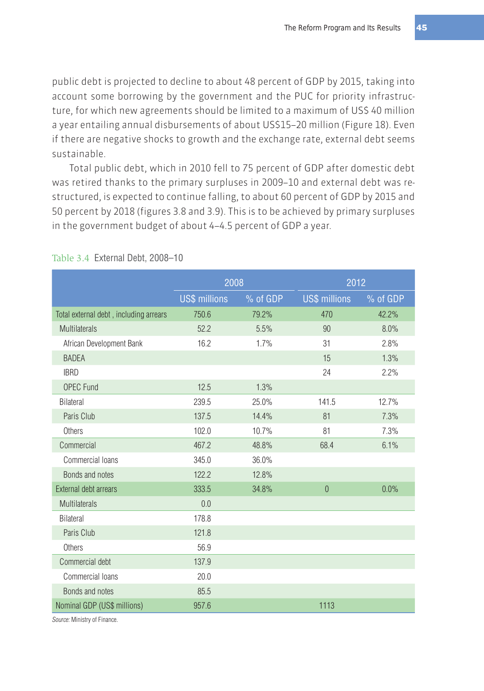public debt is projected to decline to about 48 percent of GDP by 2015, taking into account some borrowing by the government and the PUC for priority infrastructure, for which new agreements should be limited to a maximum of US\$ 40 million a year entailing annual disbursements of about US\$15–20 million (Figure 18). Even if there are negative shocks to growth and the exchange rate, external debt seems sustainable.

Total public debt, which in 2010 fell to 75 percent of GDP after domestic debt was retired thanks to the primary surpluses in 2009–10 and external debt was restructured, is expected to continue falling, to about 60 percent of GDP by 2015 and 50 percent by 2018 (figures 3.8 and 3.9). This is to be achieved by primary surpluses in the government budget of about 4–4.5 percent of GDP a year.

|                                        | 2008                 |          | 2012                 |          |  |
|----------------------------------------|----------------------|----------|----------------------|----------|--|
|                                        | <b>US\$ millions</b> | % of GDP | <b>US\$ millions</b> | % of GDP |  |
| Total external debt, including arrears | 750.6                | 79.2%    | 470                  | 42.2%    |  |
| <b>Multilaterals</b>                   | 52.2                 | 5.5%     | 90                   | 8.0%     |  |
| African Development Bank               | 16.2                 | 1.7%     | 31                   | 2.8%     |  |
| <b>BADEA</b>                           |                      |          | 15                   | 1.3%     |  |
| <b>IBRD</b>                            |                      |          | 24                   | 2.2%     |  |
| <b>OPEC Fund</b>                       | 12.5                 | 1.3%     |                      |          |  |
| <b>Bilateral</b>                       | 239.5                | 25.0%    | 141.5                | 12.7%    |  |
| Paris Club                             | 137.5                | 14.4%    | 81                   | 7.3%     |  |
| <b>Others</b>                          | 102.0                | 10.7%    | 81                   | 7.3%     |  |
| Commercial                             | 467.2                | 48.8%    | 68.4                 | 6.1%     |  |
| Commercial Ioans                       | 345.0                | 36.0%    |                      |          |  |
| Bonds and notes                        | 122.2                | 12.8%    |                      |          |  |
| External debt arrears                  | 333.5                | 34.8%    | $\overline{0}$       | 0.0%     |  |
| Multilaterals                          | 0.0                  |          |                      |          |  |
| <b>Bilateral</b>                       | 178.8                |          |                      |          |  |
| Paris Club                             | 121.8                |          |                      |          |  |
| Others                                 | 56.9                 |          |                      |          |  |
| Commercial debt                        | 137.9                |          |                      |          |  |
| Commercial Ioans                       | 20.0                 |          |                      |          |  |
| Bonds and notes                        | 85.5                 |          |                      |          |  |
| Nominal GDP (US\$ millions)            | 957.6                |          | 1113                 |          |  |

#### Table 3.4 External Debt, 2008–10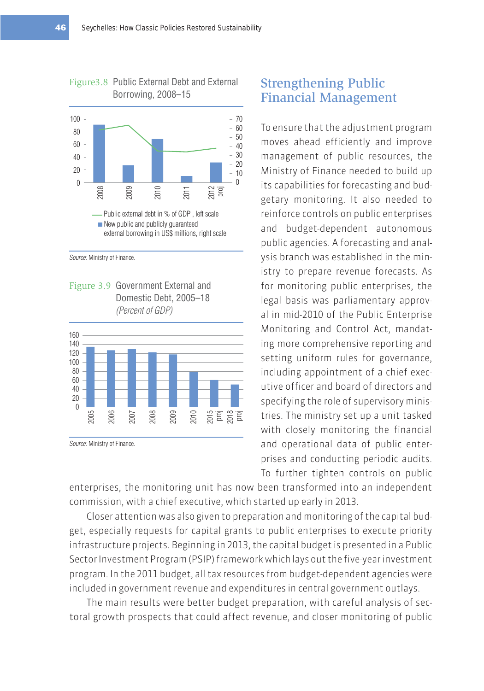

Source: Ministry of Finance.

Figure 3.9 Government External and Domestic Debt, 2005–18 (Percent of GDP)



Source: Ministry of Finance.

## Strengthening Public Financial Management

To ensure that the adjustment program moves ahead efficiently and improve management of public resources, the Ministry of Finance needed to build up its capabilities for forecasting and budgetary monitoring. It also needed to reinforce controls on public enterprises and budget-dependent autonomous public agencies. A forecasting and analysis branch was established in the ministry to prepare revenue forecasts. As for monitoring public enterprises, the legal basis was parliamentary approval in mid-2010 of the Public Enterprise Monitoring and Control Act, mandating more comprehensive reporting and setting uniform rules for governance, including appointment of a chief executive officer and board of directors and specifying the role of supervisory ministries. The ministry set up a unit tasked with closely monitoring the financial and operational data of public enterprises and conducting periodic audits. To further tighten controls on public

enterprises, the monitoring unit has now been transformed into an independent commission, with a chief executive, which started up early in 2013.

Closer attention was also given to preparation and monitoring of the capital budget, especially requests for capital grants to public enterprises to execute priority infrastructure projects. Beginning in 2013, the capital budget is presented in a Public Sector Investment Program (PSIP) framework which lays out the five-year investment program. In the 2011 budget, all tax resources from budget-dependent agencies were included in government revenue and expenditures in central government outlays.

The main results were better budget preparation, with careful analysis of sectoral growth prospects that could affect revenue, and closer monitoring of public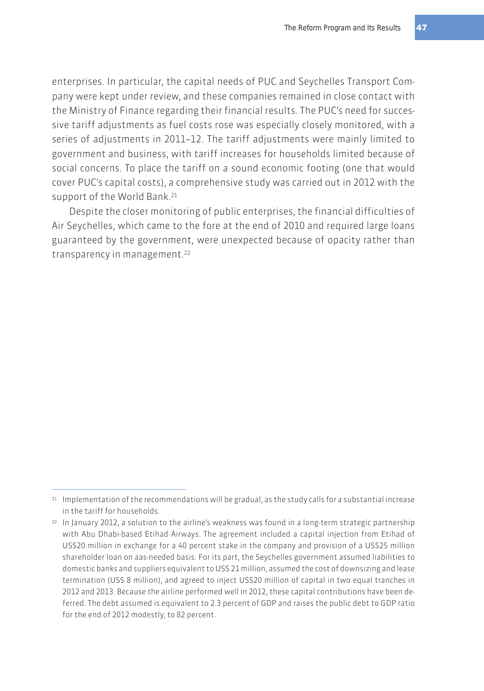enterprises. In particular, the capital needs of PUC and Seychelles Transport Company were kept under review, and these companies remained in close contact with the Ministry of Finance regarding their financial results. The PUC's need for successive tariff adjustments as fuel costs rose was especially closely monitored, with a series of adjustments in 2011–12. The tariff adjustments were mainly limited to government and business, with tariff increases for households limited because of social concerns. To place the tariff on a sound economic footing (one that would cover PUC's capital costs), a comprehensive study was carried out in 2012 with the support of the World Bank.<sup>21</sup>

Despite the closer monitoring of public enterprises, the financial difficulties of Air Seychelles, which came to the fore at the end of 2010 and required large loans guaranteed by the government, were unexpected because of opacity rather than transparency in management.<sup>22</sup>

<sup>&</sup>lt;sup>21</sup> Implementation of the recommendations will be gradual, as the study calls for a substantial increase in the tariff for households.

<sup>22</sup> In January 2012, a solution to the airline's weakness was found in a long-term strategic partnership with Abu Dhabi-based Etihad Airways. The agreement included a capital injection from Etihad of US\$20 million in exchange for a 40 percent stake in the company and provision of a US\$25 million shareholder loan on aas-needed basis. For its part, the Seychelles government assumed liabilities to domestic banks and suppliers equivalent to US\$ 21 million, assumed the cost of downsizing and lease termination (US\$ 8 million), and agreed to inject US\$20 million of capital in two equal tranches in 2012 and 2013. Because the airline performed well in 2012, these capital contributions have been deferred. The debt assumed is equivalent to 2.3 percent of GDP and raises the public debt to GDP ratio for the end of 2012 modestly, to 82 percent.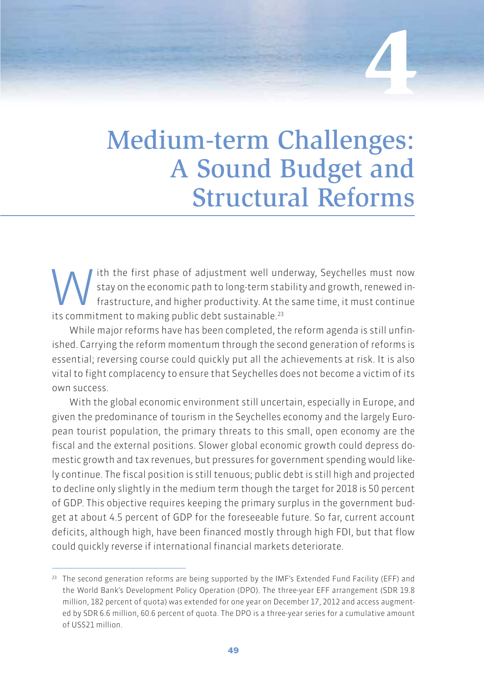Medium-term Challenges: A Sound Budget and Structural Reforms

**4**

Ith the first phase of adjustment well underway, Seychelles must now<br>stay on the economic path to long-term stability and growth, renewed in-<br>frastructure, and higher productivity. At the same time, it must continue<br>its co stay on the economic path to long-term stability and growth, renewed infrastructure, and higher productivity. At the same time, it must continue its commitment to making public debt sustainable.<sup>23</sup>

While major reforms have has been completed, the reform agenda is still unfinished. Carrying the reform momentum through the second generation of reforms is essential; reversing course could quickly put all the achievements at risk. It is also vital to fight complacency to ensure that Seychelles does not become a victim of its own success.

With the global economic environment still uncertain, especially in Europe, and given the predominance of tourism in the Seychelles economy and the largely European tourist population, the primary threats to this small, open economy are the fiscal and the external positions. Slower global economic growth could depress domestic growth and tax revenues, but pressures for government spending would likely continue. The fiscal position is still tenuous; public debt is still high and projected to decline only slightly in the medium term though the target for 2018 is 50 percent of GDP. This objective requires keeping the primary surplus in the government budget at about 4.5 percent of GDP for the foreseeable future. So far, current account deficits, although high, have been financed mostly through high FDI, but that flow could quickly reverse if international financial markets deteriorate.

<sup>&</sup>lt;sup>23</sup> The second generation reforms are being supported by the IMF's Extended Fund Facility (EFF) and the World Bank's Development Policy Operation (DPO). The three-year EFF arrangement (SDR 19.8 million, 182 percent of quota) was extended for one year on December 17, 2012 and access augmented by SDR 6.6 million, 60.6 percent of quota. The DPO is a three-year series for a cumulative amount of US\$21 million.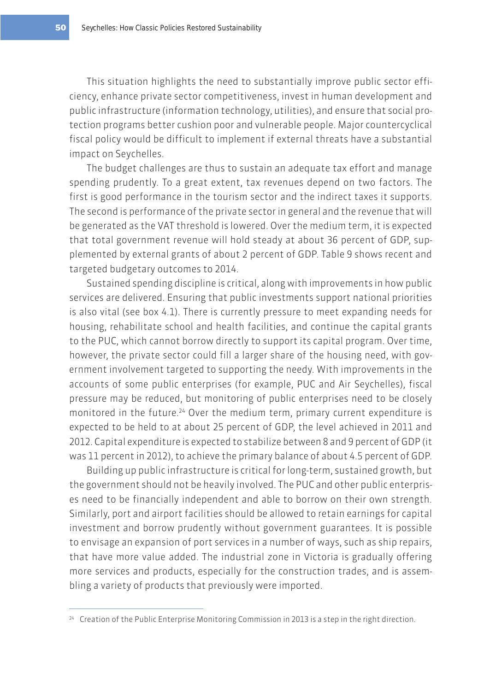This situation highlights the need to substantially improve public sector efficiency, enhance private sector competitiveness, invest in human development and public infrastructure (information technology, utilities), and ensure that social protection programs better cushion poor and vulnerable people. Major countercyclical fiscal policy would be difficult to implement if external threats have a substantial impact on Seychelles.

The budget challenges are thus to sustain an adequate tax effort and manage spending prudently. To a great extent, tax revenues depend on two factors. The first is good performance in the tourism sector and the indirect taxes it supports. The second is performance of the private sector in general and the revenue that will be generated as the VAT threshold is lowered. Over the medium term, it is expected that total government revenue will hold steady at about 36 percent of GDP, supplemented by external grants of about 2 percent of GDP. Table 9 shows recent and targeted budgetary outcomes to 2014.

Sustained spending discipline is critical, along with improvements in how public services are delivered. Ensuring that public investments support national priorities is also vital (see box 4.1). There is currently pressure to meet expanding needs for housing, rehabilitate school and health facilities, and continue the capital grants to the PUC, which cannot borrow directly to support its capital program. Over time, however, the private sector could fill a larger share of the housing need, with government involvement targeted to supporting the needy. With improvements in the accounts of some public enterprises (for example, PUC and Air Seychelles), fiscal pressure may be reduced, but monitoring of public enterprises need to be closely monitored in the future.<sup>24</sup> Over the medium term, primary current expenditure is expected to be held to at about 25 percent of GDP, the level achieved in 2011 and 2012. Capital expenditure is expected to stabilize between 8 and 9 percent of GDP (it was 11 percent in 2012), to achieve the primary balance of about 4.5 percent of GDP.

Building up public infrastructure is critical for long-term, sustained growth, but the government should not be heavily involved. The PUC and other public enterprises need to be financially independent and able to borrow on their own strength. Similarly, port and airport facilities should be allowed to retain earnings for capital investment and borrow prudently without government guarantees. It is possible to envisage an expansion of port services in a number of ways, such as ship repairs, that have more value added. The industrial zone in Victoria is gradually offering more services and products, especially for the construction trades, and is assembling a variety of products that previously were imported.

<sup>24</sup> Creation of the Public Enterprise Monitoring Commission in 2013 is a step in the right direction.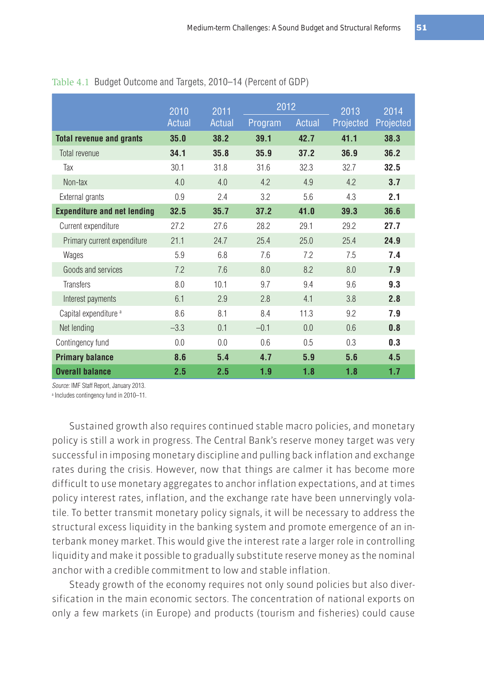2010 **Actual** 2011 **Actual** <sup>2012</sup> <sup>2013</sup> Program Actual Projected Projected 2014 **Total revenue and grants 35.0 38.2 39.1 42.7 41.1 38.3** Total revenue **34.1 35.8 35.9 37.2 36.9 36.2** Tax 30.1 31.8 31.6 32.3 32.7 **32.5** Non-tax 4.0 4.0 4.2 4.9 4.2 **3.7** External grants 0.9 2.4 3.2 5.6 4.3 **2.1 Expenditure and net lending 32.5 35.7 37.2 41.0 39.3 36.6** Current expenditure 27.2 27.6 28.2 29.1 29.2 **27.7** Primary current expenditure 21.1 24.7 25.4 25.0 25.4 **24.9** Wages 5.9 6.8 7.6 7.2 7.5 **7.4** Goods and services **7.2** 7.6 8.0 8.2 8.0 7.9 Transfers 8.0 10.1 9.7 9.4 9.6 **9.3** Interest payments 6.1 2.9 2.8 4.1 3.8 **2.8** Capital expenditure a 8.6 8.1 8.4 11.3 9.2 **7.9** Net lending –3.3 0.1 –0.1 0.0 0.6 **0.8** Contingency fund 0.0 0.0 0.6 0.5 0.3 **0.3 Primary balance 8.6 5.4 4.7 5.9 5.6 4.5 Overall balance 2.5 2.5 1.9 1.8 1.8 1.7**

Table 4.1 Budget Outcome and Targets, 2010–14 (Percent of GDP)

Source: IMF Staff Report, January 2013.

a Includes contingency fund in 2010–11.

Sustained growth also requires continued stable macro policies, and monetary policy is still a work in progress. The Central Bank's reserve money target was very successful in imposing monetary discipline and pulling back inflation and exchange rates during the crisis. However, now that things are calmer it has become more difficult to use monetary aggregates to anchor inflation expectations, and at times policy interest rates, inflation, and the exchange rate have been unnervingly volatile. To better transmit monetary policy signals, it will be necessary to address the structural excess liquidity in the banking system and promote emergence of an interbank money market. This would give the interest rate a larger role in controlling liquidity and make it possible to gradually substitute reserve money as the nominal anchor with a credible commitment to low and stable inflation.

Steady growth of the economy requires not only sound policies but also diversification in the main economic sectors. The concentration of national exports on only a few markets (in Europe) and products (tourism and fisheries) could cause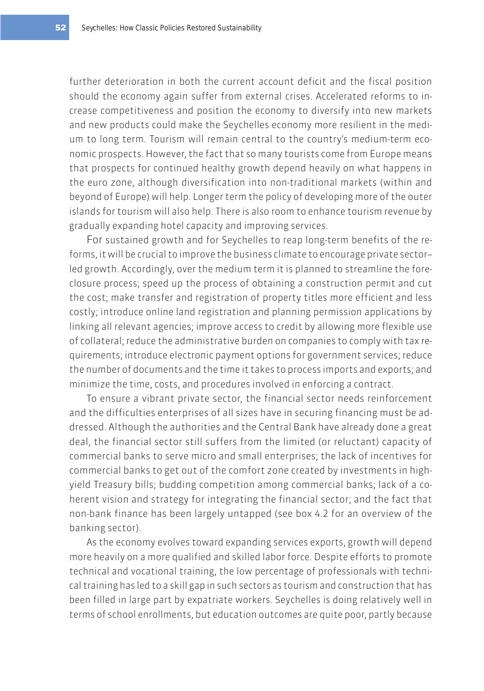further deterioration in both the current account deficit and the fiscal position should the economy again suffer from external crises. Accelerated reforms to increase competitiveness and position the economy to diversify into new markets and new products could make the Seychelles economy more resilient in the medium to long term. Tourism will remain central to the country's medium-term economic prospects. However, the fact that so many tourists come from Europe means that prospects for continued healthy growth depend heavily on what happens in the euro zone, although diversification into non-traditional markets (within and beyond of Europe) will help. Longer term the policy of developing more of the outer islands for tourism will also help. There is also room to enhance tourism revenue by gradually expanding hotel capacity and improving services.

For sustained growth and for Seychelles to reap long-term benefits of the reforms, it will be crucial to improve the business climate to encourage private sector– led growth. Accordingly, over the medium term it is planned to streamline the foreclosure process; speed up the process of obtaining a construction permit and cut the cost; make transfer and registration of property titles more efficient and less costly; introduce online land registration and planning permission applications by linking all relevant agencies; improve access to credit by allowing more flexible use of collateral; reduce the administrative burden on companies to comply with tax requirements; introduce electronic payment options for government services; reduce the number of documents and the time it takes to process imports and exports; and minimize the time, costs, and procedures involved in enforcing a contract.

To ensure a vibrant private sector, the financial sector needs reinforcement and the difficulties enterprises of all sizes have in securing financing must be addressed. Although the authorities and the Central Bank have already done a great deal, the financial sector still suffers from the limited (or reluctant) capacity of commercial banks to serve micro and small enterprises; the lack of incentives for commercial banks to get out of the comfort zone created by investments in highyield Treasury bills; budding competition among commercial banks; lack of a coherent vision and strategy for integrating the financial sector; and the fact that non-bank finance has been largely untapped (see box 4.2 for an overview of the banking sector).

As the economy evolves toward expanding services exports, growth will depend more heavily on a more qualified and skilled labor force. Despite efforts to promote technical and vocational training, the low percentage of professionals with technical training has led to a skill gap in such sectors as tourism and construction that has been filled in large part by expatriate workers. Seychelles is doing relatively well in terms of school enrollments, but education outcomes are quite poor, partly because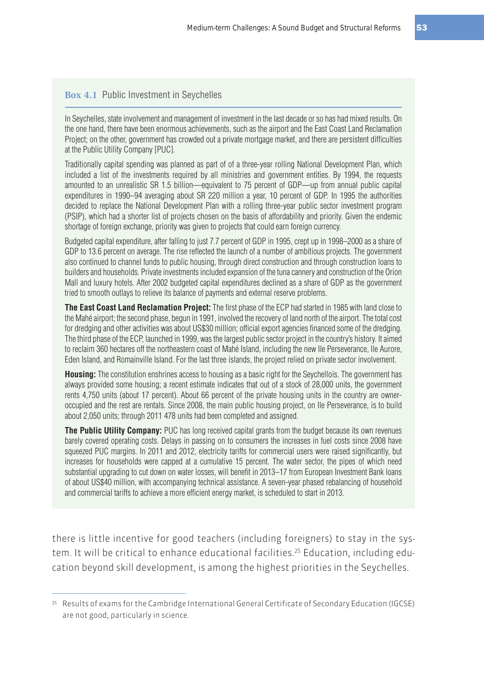#### **Box 4.1** Public Investment in Seychelles

In Seychelles, state involvement and management of investment in the last decade or so has had mixed results. On the one hand, there have been enormous achievements, such as the airport and the East Coast Land Reclamation Project; on the other, government has crowded out a private mortgage market, and there are persistent difficulties at the Public Utility Company [PUC].

Traditionally capital spending was planned as part of of a three-year rolling National Development Plan, which included a list of the investments required by all ministries and government entities. By 1994, the requests amounted to an unrealistic SR 1.5 billion—equivalent to 75 percent of GDP—up from annual public capital expenditures in 1990–94 averaging about SR 220 million a year, 10 percent of GDP. In 1995 the authorities decided to replace the National Development Plan with a rolling three-year public sector investment program (PSIP), which had a shorter list of projects chosen on the basis of affordability and priority. Given the endemic shortage of foreign exchange, priority was given to projects that could earn foreign currency.

Budgeted capital expenditure, after falling to just 7.7 percent of GDP in 1995, crept up in 1998–2000 as a share of GDP to 13.6 percent on average. The rise reflected the launch of a number of ambitious projects. The government also continued to channel funds to public housing, through direct construction and through construction loans to builders and households. Private investments included expansion of the tuna cannery and construction of the Orion Mall and luxury hotels. After 2002 budgeted capital expenditures declined as a share of GDP as the government tried to smooth outlays to relieve its balance of payments and external reserve problems.

**The East Coast Land Reclamation Project:** The first phase of the ECP had started in 1985 with land close to the Mahé airport; the second phase, begun in 1991, involved the recovery of land north of the airport. The total cost for dredging and other activities was about US\$30 million; official export agencies financed some of the dredging. The third phase of the ECP, launched in 1999, was the largest public sector project in the country's history. It aimed to reclaim 360 hectares off the northeastern coast of Mahé Island, including the new Ile Perseverance, Ile Aurore, Eden Island, and Romainville Island. For the last three islands, the project relied on private sector involvement.

**Housing:** The constitution enshrines access to housing as a basic right for the Seychellois. The government has always provided some housing; a recent estimate indicates that out of a stock of 28,000 units, the government rents 4,750 units (about 17 percent). About 66 percent of the private housing units in the country are owneroccupied and the rest are rentals. Since 2008, the main public housing project, on Ile Perseverance, is to build about 2,050 units; through 2011 478 units had been completed and assigned.

**The Public Utility Company:** PUC has long received capital grants from the budget because its own revenues barely covered operating costs. Delays in passing on to consumers the increases in fuel costs since 2008 have squeezed PUC margins. In 2011 and 2012, electricity tariffs for commercial users were raised significantly, but increases for households were capped at a cumulative 15 percent. The water sector, the pipes of which need substantial upgrading to cut down on water losses, will benefit in 2013–17 from European Investment Bank loans of about US\$40 million, with accompanying technical assistance. A seven-year phased rebalancing of household and commercial tariffs to achieve a more efficient energy market, is scheduled to start in 2013.

there is little incentive for good teachers (including foreigners) to stay in the system. It will be critical to enhance educational facilities.<sup>25</sup> Education, including education beyond skill development, is among the highest priorities in the Seychelles.

<sup>25</sup> Results of exams for the Cambridge International General Certificate of Secondary Education (IGCSE) are not good, particularly in science.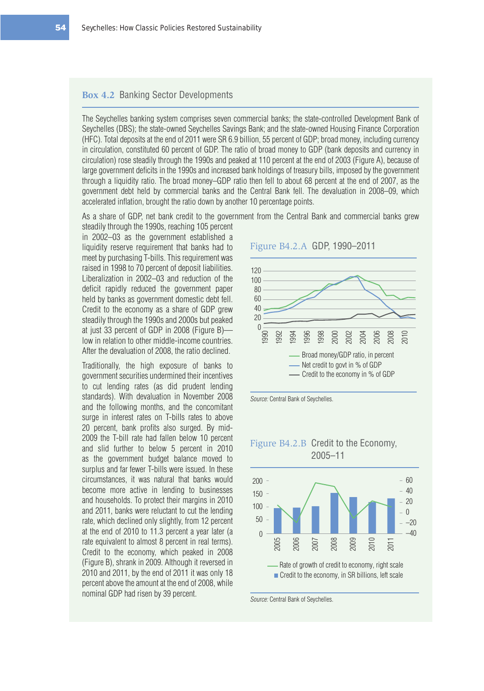## **Box 4.2** Banking Sector Developments

The Seychelles banking system comprises seven commercial banks; the state-controlled Development Bank of Seychelles (DBS); the state-owned Seychelles Savings Bank; and the state-owned Housing Finance Corporation (HFC). Total deposits at the end of 2011 were SR 6.9 billion, 55 percent of GDP; broad money, including currency in circulation, constituted 60 percent of GDP. The ratio of broad money to GDP (bank deposits and currency in circulation) rose steadily through the 1990s and peaked at 110 percent at the end of 2003 (Figure A), because of large government deficits in the 1990s and increased bank holdings of treasury bills, imposed by the government through a liquidity ratio. The broad money–GDP ratio then fell to about 68 percent at the end of 2007, as the government debt held by commercial banks and the Central Bank fell. The devaluation in 2008–09, which accelerated inflation, brought the ratio down by another 10 percentage points.

As a share of GDP, net bank credit to the government from the Central Bank and commercial banks grew steadily through the 1990s, reaching 105 percent

in 2002–03 as the government established a liquidity reserve requirement that banks had to meet by purchasing T-bills. This requirement was raised in 1998 to 70 percent of deposit liabilities. Liberalization in 2002–03 and reduction of the deficit rapidly reduced the government paper held by banks as government domestic debt fell. Credit to the economy as a share of GDP grew steadily through the 1990s and 2000s but peaked at just 33 percent of GDP in 2008 (Figure B) low in relation to other middle-income countries. After the devaluation of 2008, the ratio declined.

Traditionally, the high exposure of banks to government securities undermined their incentives to cut lending rates (as did prudent lending standards). With devaluation in November 2008 and the following months, and the concomitant surge in interest rates on T-bills rates to above 20 percent, bank profits also surged. By mid-2009 the T-bill rate had fallen below 10 percent and slid further to below 5 percent in 2010 as the government budget balance moved to surplus and far fewer T-bills were issued. In these circumstances, it was natural that banks would become more active in lending to businesses and households. To protect their margins in 2010 and 2011, banks were reluctant to cut the lending rate, which declined only slightly, from 12 percent at the end of 2010 to 11.3 percent a year later (a rate equivalent to almost 8 percent in real terms). Credit to the economy, which peaked in 2008 (Figure B), shrank in 2009. Although it reversed in 2010 and 2011, by the end of 2011 it was only 18 percent above the amount at the end of 2008, while nominal GDP had risen by 39 percent.

## Figure B4.2.A GDP, 1990–2011



Source: Central Bank of Seychelles.

## Figure B4.2.B Credit to the Economy,



Source: Central Bank of Seychelles.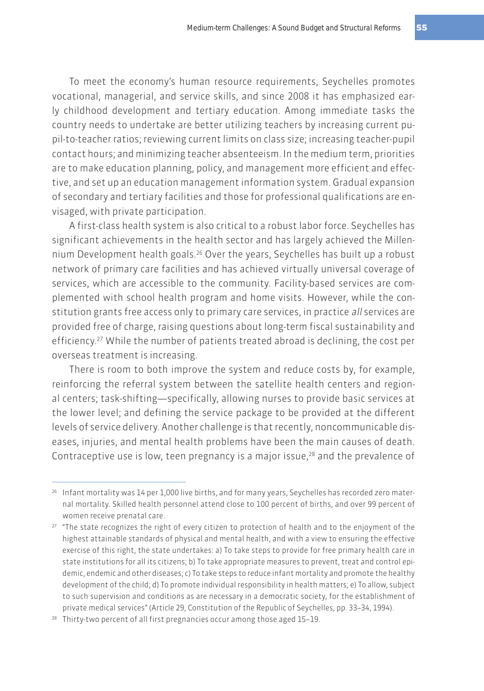To meet the economy's human resource requirements, Seychelles promotes vocational, managerial, and service skills, and since 2008 it has emphasized early childhood development and tertiary education. Among immediate tasks the country needs to undertake are better utilizing teachers by increasing current pupil-to-teacher ratios; reviewing current limits on class size; increasing teacher-pupil contact hours; and minimizing teacher absenteeism. In the medium term, priorities are to make education planning, policy, and management more efficient and effective, and set up an education management information system. Gradual expansion of secondary and tertiary facilities and those for professional qualifications are envisaged, with private participation.

A first-class health system is also critical to a robust labor force. Seychelles has significant achievements in the health sector and has largely achieved the Millennium Development health goals.<sup>26</sup> Over the years, Seychelles has built up a robust network of primary care facilities and has achieved virtually universal coverage of services, which are accessible to the community. Facility-based services are complemented with school health program and home visits. However, while the constitution grants free access only to primary care services, in practice all services are provided free of charge, raising questions about long-term fiscal sustainability and efficiency.27 While the number of patients treated abroad is declining, the cost per overseas treatment is increasing.

There is room to both improve the system and reduce costs by, for example, reinforcing the referral system between the satellite health centers and regional centers; task-shifting—specifically, allowing nurses to provide basic services at the lower level; and defining the service package to be provided at the different levels of service delivery. Another challenge is that recently, noncommunicable diseases, injuries, and mental health problems have been the main causes of death. Contraceptive use is low, teen pregnancy is a major issue, $28$  and the prevalence of

<sup>26</sup> Infant mortality was 14 per 1,000 live births, and for many years, Seychelles has recorded zero maternal mortality. Skilled health personnel attend close to 100 percent of births, and over 99 percent of women receive prenatal care.

<sup>&</sup>lt;sup>27</sup> "The state recognizes the right of every citizen to protection of health and to the enjoyment of the highest attainable standards of physical and mental health, and with a view to ensuring the effective exercise of this right, the state undertakes: a) To take steps to provide for free primary health care in state institutions for all its citizens; b) To take appropriate measures to prevent, treat and control epidemic, endemic and other diseases; c) To take steps to reduce infant mortality and promote the healthy development of the child; d) To promote individual responsibility in health matters; e) To allow, subject to such supervision and conditions as are necessary in a democratic society, for the establishment of private medical services" (Article 29, Constitution of the Republic of Seychelles, pp. 33–34, 1994).

<sup>28</sup> Thirty-two percent of all first pregnancies occur among those aged 15–19.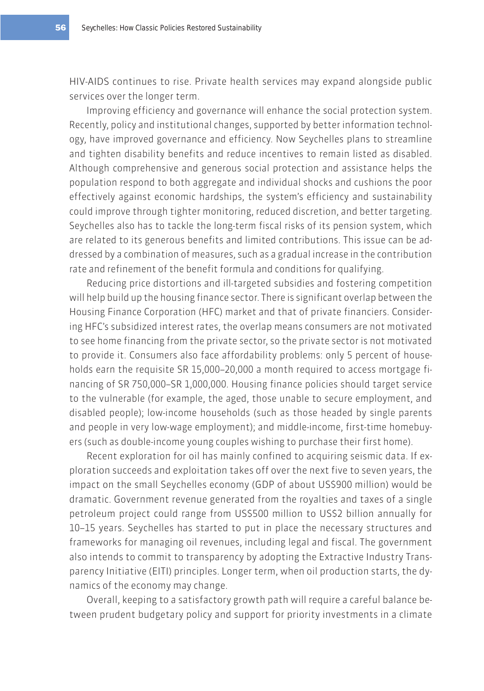HIV-AIDS continues to rise. Private health services may expand alongside public services over the longer term.

Improving efficiency and governance will enhance the social protection system. Recently, policy and institutional changes, supported by better information technology, have improved governance and efficiency. Now Seychelles plans to streamline and tighten disability benefits and reduce incentives to remain listed as disabled. Although comprehensive and generous social protection and assistance helps the population respond to both aggregate and individual shocks and cushions the poor effectively against economic hardships, the system's efficiency and sustainability could improve through tighter monitoring, reduced discretion, and better targeting. Seychelles also has to tackle the long-term fiscal risks of its pension system, which are related to its generous benefits and limited contributions. This issue can be addressed by a combination of measures, such as a gradual increase in the contribution rate and refinement of the benefit formula and conditions for qualifying.

Reducing price distortions and ill-targeted subsidies and fostering competition will help build up the housing finance sector. There is significant overlap between the Housing Finance Corporation (HFC) market and that of private financiers. Considering HFC's subsidized interest rates, the overlap means consumers are not motivated to see home financing from the private sector, so the private sector is not motivated to provide it. Consumers also face affordability problems: only 5 percent of households earn the requisite SR 15,000–20,000 a month required to access mortgage financing of SR 750,000–SR 1,000,000. Housing finance policies should target service to the vulnerable (for example, the aged, those unable to secure employment, and disabled people); low-income households (such as those headed by single parents and people in very low-wage employment); and middle-income, first-time homebuyers (such as double-income young couples wishing to purchase their first home).

Recent exploration for oil has mainly confined to acquiring seismic data. If exploration succeeds and exploitation takes off over the next five to seven years, the impact on the small Seychelles economy (GDP of about US\$900 million) would be dramatic. Government revenue generated from the royalties and taxes of a single petroleum project could range from US\$500 million to US\$2 billion annually for 10–15 years. Seychelles has started to put in place the necessary structures and frameworks for managing oil revenues, including legal and fiscal. The government also intends to commit to transparency by adopting the Extractive Industry Transparency Initiative (EITI) principles. Longer term, when oil production starts, the dynamics of the economy may change.

Overall, keeping to a satisfactory growth path will require a careful balance between prudent budgetary policy and support for priority investments in a climate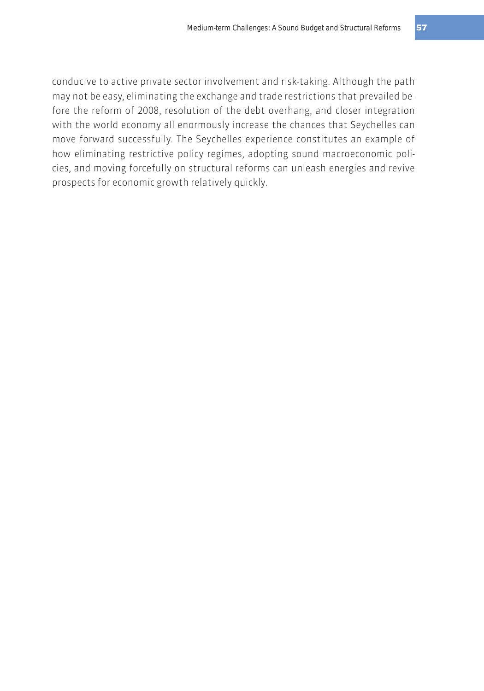conducive to active private sector involvement and risk-taking. Although the path may not be easy, eliminating the exchange and trade restrictions that prevailed before the reform of 2008, resolution of the debt overhang, and closer integration with the world economy all enormously increase the chances that Seychelles can move forward successfully. The Seychelles experience constitutes an example of how eliminating restrictive policy regimes, adopting sound macroeconomic policies, and moving forcefully on structural reforms can unleash energies and revive prospects for economic growth relatively quickly.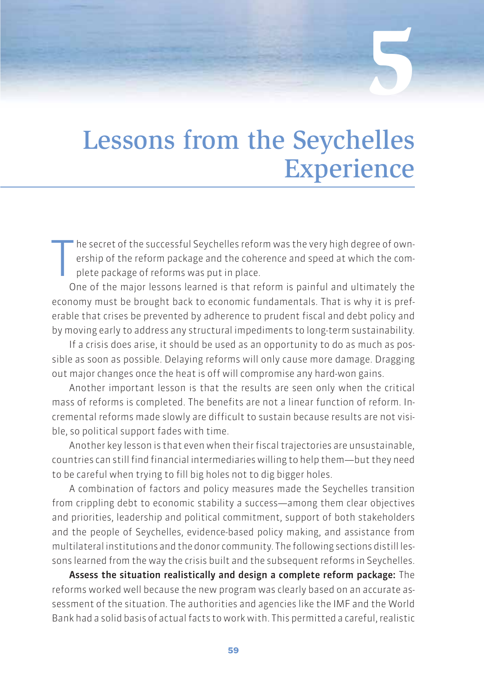## Lessons from the Seychelles **Experience**

**5**

T he secret of the successful Seychelles reform was the very high degree of ownership of the reform package and the coherence and speed at which the complete package of reforms was put in place.

One of the major lessons learned is that reform is painful and ultimately the economy must be brought back to economic fundamentals. That is why it is preferable that crises be prevented by adherence to prudent fiscal and debt policy and by moving early to address any structural impediments to long-term sustainability.

If a crisis does arise, it should be used as an opportunity to do as much as possible as soon as possible. Delaying reforms will only cause more damage. Dragging out major changes once the heat is off will compromise any hard-won gains.

Another important lesson is that the results are seen only when the critical mass of reforms is completed. The benefits are not a linear function of reform. Incremental reforms made slowly are difficult to sustain because results are not visible, so political support fades with time.

Another key lesson is that even when their fiscal trajectories are unsustainable, countries can still find financial intermediaries willing to help them—but they need to be careful when trying to fill big holes not to dig bigger holes.

A combination of factors and policy measures made the Seychelles transition from crippling debt to economic stability a success—among them clear objectives and priorities, leadership and political commitment, support of both stakeholders and the people of Seychelles, evidence-based policy making, and assistance from multilateral institutions and the donor community. The following sections distill lessons learned from the way the crisis built and the subsequent reforms in Seychelles.

Assess the situation realistically and design a complete reform package: The reforms worked well because the new program was clearly based on an accurate assessment of the situation. The authorities and agencies like the IMF and the World Bank had a solid basis of actual facts to work with. This permitted a careful, realistic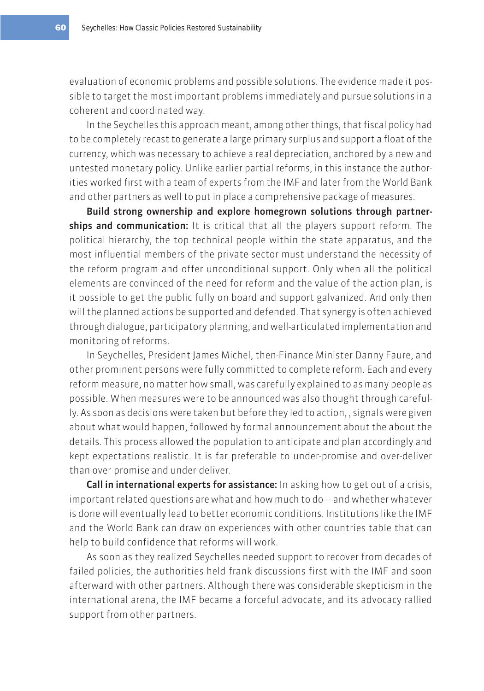evaluation of economic problems and possible solutions. The evidence made it possible to target the most important problems immediately and pursue solutions in a coherent and coordinated way.

In the Seychelles this approach meant, among other things, that fiscal policy had to be completely recast to generate a large primary surplus and support a float of the currency, which was necessary to achieve a real depreciation, anchored by a new and untested monetary policy. Unlike earlier partial reforms, in this instance the authorities worked first with a team of experts from the IMF and later from the World Bank and other partners as well to put in place a comprehensive package of measures.

Build strong ownership and explore homegrown solutions through partnerships and communication: It is critical that all the players support reform. The political hierarchy, the top technical people within the state apparatus, and the most influential members of the private sector must understand the necessity of the reform program and offer unconditional support. Only when all the political elements are convinced of the need for reform and the value of the action plan, is it possible to get the public fully on board and support galvanized. And only then will the planned actions be supported and defended. That synergy is often achieved through dialogue, participatory planning, and well-articulated implementation and monitoring of reforms.

In Seychelles, President James Michel, then-Finance Minister Danny Faure, and other prominent persons were fully committed to complete reform. Each and every reform measure, no matter how small, was carefully explained to as many people as possible. When measures were to be announced was also thought through carefully. As soon as decisions were taken but before they led to action, , signals were given about what would happen, followed by formal announcement about the about the details. This process allowed the population to anticipate and plan accordingly and kept expectations realistic. It is far preferable to under-promise and over-deliver than over-promise and under-deliver.

Call in international experts for assistance: In asking how to get out of a crisis, important related questions are what and how much to do—and whether whatever is done will eventually lead to better economic conditions. Institutions like the IMF and the World Bank can draw on experiences with other countries table that can help to build confidence that reforms will work.

As soon as they realized Seychelles needed support to recover from decades of failed policies, the authorities held frank discussions first with the IMF and soon afterward with other partners. Although there was considerable skepticism in the international arena, the IMF became a forceful advocate, and its advocacy rallied support from other partners.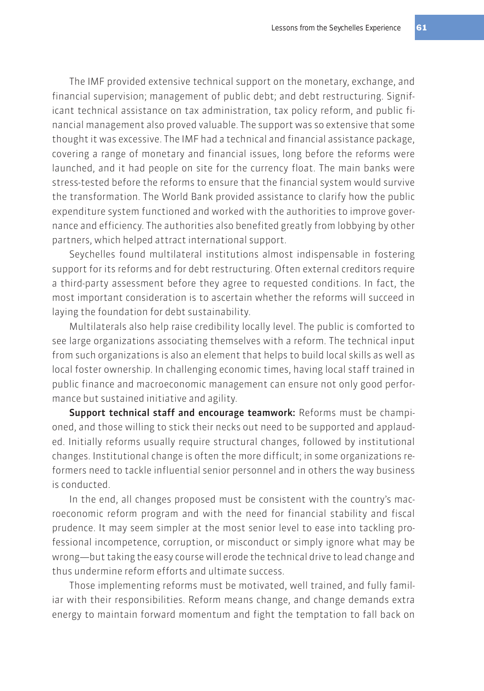The IMF provided extensive technical support on the monetary, exchange, and financial supervision; management of public debt; and debt restructuring. Significant technical assistance on tax administration, tax policy reform, and public financial management also proved valuable. The support was so extensive that some thought it was excessive. The IMF had a technical and financial assistance package, covering a range of monetary and financial issues, long before the reforms were launched, and it had people on site for the currency float. The main banks were stress-tested before the reforms to ensure that the financial system would survive the transformation. The World Bank provided assistance to clarify how the public expenditure system functioned and worked with the authorities to improve governance and efficiency. The authorities also benefited greatly from lobbying by other partners, which helped attract international support.

Seychelles found multilateral institutions almost indispensable in fostering support for its reforms and for debt restructuring. Often external creditors require a third-party assessment before they agree to requested conditions. In fact, the most important consideration is to ascertain whether the reforms will succeed in laying the foundation for debt sustainability.

Multilaterals also help raise credibility locally level. The public is comforted to see large organizations associating themselves with a reform. The technical input from such organizations is also an element that helps to build local skills as well as local foster ownership. In challenging economic times, having local staff trained in public finance and macroeconomic management can ensure not only good performance but sustained initiative and agility.

Support technical staff and encourage teamwork: Reforms must be championed, and those willing to stick their necks out need to be supported and applauded. Initially reforms usually require structural changes, followed by institutional changes. Institutional change is often the more difficult; in some organizations reformers need to tackle influential senior personnel and in others the way business is conducted.

In the end, all changes proposed must be consistent with the country's macroeconomic reform program and with the need for financial stability and fiscal prudence. It may seem simpler at the most senior level to ease into tackling professional incompetence, corruption, or misconduct or simply ignore what may be wrong—but taking the easy course will erode the technical drive to lead change and thus undermine reform efforts and ultimate success.

Those implementing reforms must be motivated, well trained, and fully familiar with their responsibilities. Reform means change, and change demands extra energy to maintain forward momentum and fight the temptation to fall back on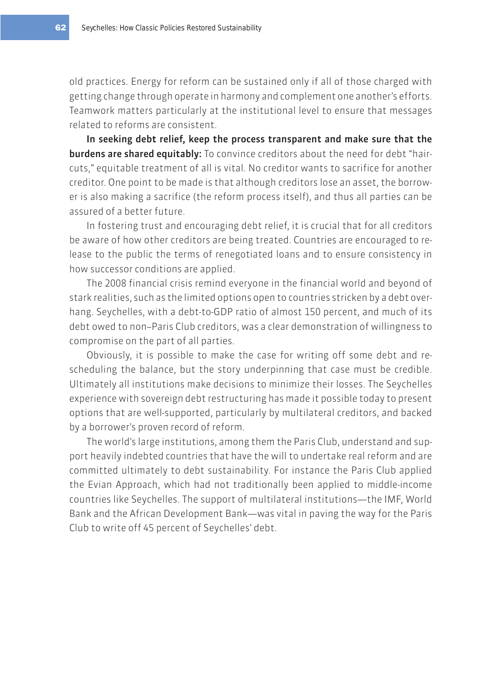old practices. Energy for reform can be sustained only if all of those charged with getting change through operate in harmony and complement one another's efforts. Teamwork matters particularly at the institutional level to ensure that messages related to reforms are consistent.

In seeking debt relief, keep the process transparent and make sure that the burdens are shared equitably: To convince creditors about the need for debt "haircuts," equitable treatment of all is vital. No creditor wants to sacrifice for another creditor. One point to be made is that although creditors lose an asset, the borrower is also making a sacrifice (the reform process itself), and thus all parties can be assured of a better future.

In fostering trust and encouraging debt relief, it is crucial that for all creditors be aware of how other creditors are being treated. Countries are encouraged to release to the public the terms of renegotiated loans and to ensure consistency in how successor conditions are applied.

The 2008 financial crisis remind everyone in the financial world and beyond of stark realities, such as the limited options open to countries stricken by a debt overhang. Seychelles, with a debt-to-GDP ratio of almost 150 percent, and much of its debt owed to non–Paris Club creditors, was a clear demonstration of willingness to compromise on the part of all parties.

Obviously, it is possible to make the case for writing off some debt and rescheduling the balance, but the story underpinning that case must be credible. Ultimately all institutions make decisions to minimize their losses. The Seychelles experience with sovereign debt restructuring has made it possible today to present options that are well-supported, particularly by multilateral creditors, and backed by a borrower's proven record of reform.

The world's large institutions, among them the Paris Club, understand and support heavily indebted countries that have the will to undertake real reform and are committed ultimately to debt sustainability. For instance the Paris Club applied the Evian Approach, which had not traditionally been applied to middle-income countries like Seychelles. The support of multilateral institutions—the IMF, World Bank and the African Development Bank—was vital in paving the way for the Paris Club to write off 45 percent of Seychelles' debt.